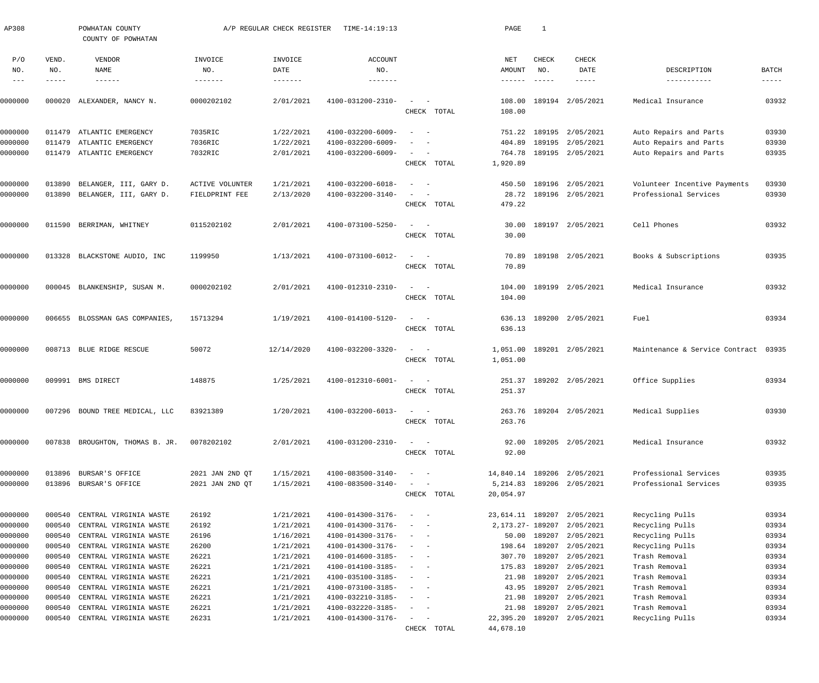| AP308                    |                  | POWHATAN COUNTY<br>COUNTY OF POWHATAN            |                        | A/P REGULAR CHECK REGISTER | TIME-14:19:13                          |                                                      |             | PAGE                 | $\mathbf{1}$     |                            |                                      |                |
|--------------------------|------------------|--------------------------------------------------|------------------------|----------------------------|----------------------------------------|------------------------------------------------------|-------------|----------------------|------------------|----------------------------|--------------------------------------|----------------|
| P/O                      | VEND.<br>NO.     | VENDOR<br>NAME                                   | INVOICE<br>NO.         | INVOICE<br>DATE            | ACCOUNT<br>NO.                         |                                                      |             | NET                  | CHECK<br>NO.     | <b>CHECK</b><br>DATE       | DESCRIPTION                          | <b>BATCH</b>   |
| NO.<br>$\qquad \qquad -$ | -----            | $- - - - - - -$                                  | $- - - - - - - -$      |                            | -------                                |                                                      |             | AMOUNT<br>------     |                  | -----                      | -----------                          | $------$       |
|                          |                  |                                                  |                        |                            |                                        |                                                      |             |                      |                  |                            |                                      |                |
| 0000000                  | 000020           | ALEXANDER, NANCY N.                              | 0000202102             | 2/01/2021                  | 4100-031200-2310-                      | $\overline{\phantom{a}}$                             |             | 108.00               |                  | 189194 2/05/2021           | Medical Insurance                    | 03932          |
|                          |                  |                                                  |                        |                            |                                        |                                                      | CHECK TOTAL | 108.00               |                  |                            |                                      |                |
| 0000000                  | 011479           | ATLANTIC EMERGENCY                               | 7035RIC                | 1/22/2021                  | 4100-032200-6009-                      | $\sim$                                               |             | 751.22               |                  | 189195 2/05/2021           | Auto Repairs and Parts               | 03930          |
| 0000000                  | 011479           | ATLANTIC EMERGENCY                               | 7036RIC                | 1/22/2021                  | 4100-032200-6009-                      |                                                      |             | 404.89               |                  | 189195 2/05/2021           | Auto Repairs and Parts               | 03930          |
| 0000000                  | 011479           | ATLANTIC EMERGENCY                               | 7032RIC                | 2/01/2021                  | 4100-032200-6009-                      | $\overline{\phantom{a}}$<br>$\overline{\phantom{a}}$ |             | 764.78               |                  | 189195 2/05/2021           | Auto Repairs and Parts               | 03935          |
|                          |                  |                                                  |                        |                            |                                        |                                                      | CHECK TOTAL | 1,920.89             |                  |                            |                                      |                |
| 0000000                  | 013890           | BELANGER, III, GARY D.                           | <b>ACTIVE VOLUNTER</b> | 1/21/2021                  | 4100-032200-6018-                      | - -                                                  |             | 450.50               |                  | 189196 2/05/2021           | Volunteer Incentive Payments         | 03930          |
| 0000000                  | 013890           | BELANGER, III, GARY D.                           | FIELDPRINT FEE         | 2/13/2020                  | 4100-032200-3140-                      | $\overline{\phantom{a}}$                             |             | 28.72                |                  | 189196 2/05/2021           | Professional Services                | 03930          |
|                          |                  |                                                  |                        |                            |                                        |                                                      | CHECK TOTAL | 479.22               |                  |                            |                                      |                |
| 0000000                  | 011590           | BERRIMAN, WHITNEY                                | 0115202102             | 2/01/2021                  | 4100-073100-5250-                      | $\sim$<br>$\sim$ $-$                                 |             | 30.00                |                  | 189197 2/05/2021           | Cell Phones                          | 03932          |
|                          |                  |                                                  |                        |                            |                                        |                                                      | CHECK TOTAL | 30.00                |                  |                            |                                      |                |
|                          |                  |                                                  |                        |                            |                                        |                                                      |             |                      |                  |                            |                                      |                |
| 0000000                  | 013328           | BLACKSTONE AUDIO, INC                            | 1199950                | 1/13/2021                  | 4100-073100-6012-                      | $\sim$ $  -$                                         |             | 70.89                |                  | 189198 2/05/2021           | Books & Subscriptions                | 03935          |
|                          |                  |                                                  |                        |                            |                                        |                                                      | CHECK TOTAL | 70.89                |                  |                            |                                      |                |
| 0000000                  |                  | 000045 BLANKENSHIP, SUSAN M.                     | 0000202102             | 2/01/2021                  | 4100-012310-2310-                      | $\sim$<br>$\sim$ $-$                                 |             | 104.00               |                  | 189199 2/05/2021           | Medical Insurance                    | 03932          |
|                          |                  |                                                  |                        |                            |                                        |                                                      | CHECK TOTAL | 104.00               |                  |                            |                                      |                |
| 0000000                  | 006655           | BLOSSMAN GAS COMPANIES,                          | 15713294               | 1/19/2021                  | 4100-014100-5120-                      | $\sim$<br>$\sim$                                     |             | 636.13               |                  | 189200 2/05/2021           | Fuel                                 | 03934          |
|                          |                  |                                                  |                        |                            |                                        |                                                      | CHECK TOTAL | 636.13               |                  |                            |                                      |                |
|                          |                  |                                                  |                        | 12/14/2020                 |                                        |                                                      |             |                      |                  |                            |                                      |                |
| 0000000                  |                  | 008713 BLUE RIDGE RESCUE                         | 50072                  |                            | 4100-032200-3320-                      | $\sim$ .<br>$\sim$ $-$                               | CHECK TOTAL | 1,051.00<br>1,051.00 |                  | 189201 2/05/2021           | Maintenance & Service Contract 03935 |                |
|                          |                  |                                                  |                        |                            |                                        |                                                      |             |                      |                  |                            |                                      |                |
| 0000000                  |                  | 009991 BMS DIRECT                                | 148875                 | 1/25/2021                  | 4100-012310-6001-                      | $\sim$ $  -$                                         |             | 251.37               |                  | 189202 2/05/2021           | Office Supplies                      | 03934          |
|                          |                  |                                                  |                        |                            |                                        |                                                      | CHECK TOTAL | 251.37               |                  |                            |                                      |                |
| 0000000                  |                  | 007296 BOUND TREE MEDICAL, LLC                   | 83921389               | 1/20/2021                  | $4100 - 032200 - 6013 - - -$           |                                                      |             |                      |                  | 263.76 189204 2/05/2021    | Medical Supplies                     | 03930          |
|                          |                  |                                                  |                        |                            |                                        |                                                      | CHECK TOTAL | 263.76               |                  |                            |                                      |                |
| 0000000                  |                  | 007838 BROUGHTON, THOMAS B. JR.                  | 0078202102             | 2/01/2021                  | 4100-031200-2310-                      |                                                      |             |                      |                  | 92.00 189205 2/05/2021     | Medical Insurance                    | 03932          |
|                          |                  |                                                  |                        |                            |                                        |                                                      | CHECK TOTAL | 92.00                |                  |                            |                                      |                |
| 0000000                  | 013896           | BURSAR'S OFFICE                                  | 2021 JAN 2ND QT        | 1/15/2021                  | 4100-083500-3140-                      |                                                      |             |                      |                  | 14,840.14 189206 2/05/2021 | Professional Services                | 03935          |
| 0000000                  |                  | 013896 BURSAR'S OFFICE                           | 2021 JAN 2ND QT        | 1/15/2021                  | 4100-083500-3140-                      |                                                      |             | 5,214.83             |                  | 189206 2/05/2021           | Professional Services                | 03935          |
|                          |                  |                                                  |                        |                            |                                        |                                                      | CHECK TOTAL | 20,054.97            |                  |                            |                                      |                |
|                          |                  |                                                  |                        |                            |                                        |                                                      |             |                      |                  |                            |                                      |                |
| 0000000                  | 000540           | CENTRAL VIRGINIA WASTE                           | 26192                  | 1/21/2021                  | 4100-014300-3176-                      |                                                      |             |                      |                  | 23,614.11 189207 2/05/2021 | Recycling Pulls                      | 03934          |
| 0000000                  | 000540           | CENTRAL VIRGINIA WASTE                           | 26192                  | 1/21/2021                  | 4100-014300-3176-                      |                                                      |             | 2, 173. 27 - 189 207 |                  | 2/05/2021                  | Recycling Pulls                      | 03934          |
| 0000000                  | 000540           | CENTRAL VIRGINIA WASTE                           | 26196                  | 1/16/2021                  | 4100-014300-3176-                      |                                                      |             |                      | 50.00 189207     | 2/05/2021                  | Recycling Pulls                      | 03934          |
| 0000000                  | 000540           | CENTRAL VIRGINIA WASTE                           | 26200                  | 1/21/2021                  | 4100-014300-3176-                      |                                                      |             | 198.64               | 189207           | 2/05/2021                  | Recycling Pulls                      | 03934          |
| 0000000                  | 000540           | CENTRAL VIRGINIA WASTE                           | 26221                  | 1/21/2021                  | 4100-014600-3185-                      |                                                      |             | 307.70               | 189207           | 2/05/2021                  | Trash Removal                        | 03934          |
| 0000000                  | 000540           | CENTRAL VIRGINIA WASTE                           | 26221                  | 1/21/2021                  | 4100-014100-3185-                      |                                                      |             | 175.83               | 189207           | 2/05/2021                  | Trash Removal                        | 03934          |
| 0000000                  | 000540           | CENTRAL VIRGINIA WASTE                           | 26221                  | 1/21/2021                  | 4100-035100-3185-                      |                                                      |             | 21.98                | 189207           | 2/05/2021                  | Trash Removal                        | 03934<br>03934 |
| 0000000<br>0000000       | 000540<br>000540 | CENTRAL VIRGINIA WASTE<br>CENTRAL VIRGINIA WASTE | 26221<br>26221         | 1/21/2021<br>1/21/2021     | 4100-073100-3185-<br>4100-032210-3185- |                                                      |             | 43.95<br>21.98       | 189207<br>189207 | 2/05/2021<br>2/05/2021     | Trash Removal<br>Trash Removal       | 03934          |
| 0000000                  | 000540           | CENTRAL VIRGINIA WASTE                           | 26221                  | 1/21/2021                  | 4100-032220-3185-                      |                                                      |             | 21.98                | 189207           | 2/05/2021                  | Trash Removal                        | 03934          |
| 0000000                  | 000540           | CENTRAL VIRGINIA WASTE                           | 26231                  | 1/21/2021                  | 4100-014300-3176-                      | $\sim$ $ -$                                          |             |                      |                  | 22,395.20 189207 2/05/2021 | Recycling Pulls                      | 03934          |
|                          |                  |                                                  |                        |                            |                                        |                                                      | CHECK TOTAL | 44,678.10            |                  |                            |                                      |                |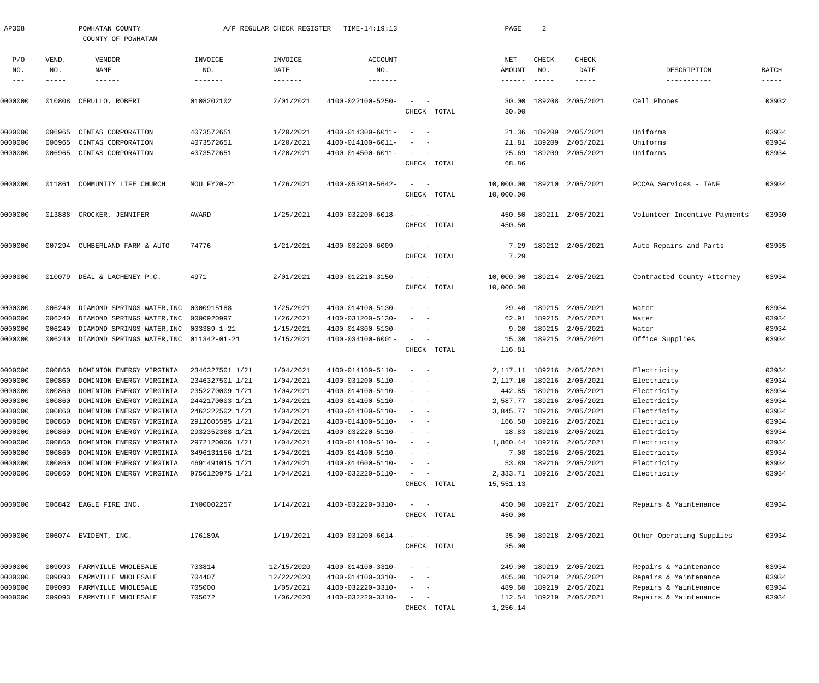| AP308          |              | POWHATAN COUNTY<br>COUNTY OF POWHATAN          |                        | A/P REGULAR CHECK REGISTER | TIME-14:19:13     |                                               |             | PAGE                      | 2                    |                             |                              |                             |
|----------------|--------------|------------------------------------------------|------------------------|----------------------------|-------------------|-----------------------------------------------|-------------|---------------------------|----------------------|-----------------------------|------------------------------|-----------------------------|
|                |              |                                                |                        |                            |                   |                                               |             |                           |                      |                             |                              |                             |
| P/O            | VEND.        | VENDOR                                         | INVOICE                | INVOICE                    | <b>ACCOUNT</b>    |                                               |             | NET                       | <b>CHECK</b>         | CHECK                       |                              |                             |
| NO.<br>$- - -$ | NO.<br>----- | NAME<br>$- - - - - - -$                        | NO.<br>$- - - - - - -$ | DATE<br>-------            | NO.<br>-------    |                                               |             | AMOUNT<br>$- - - - - - -$ | NO.<br>$- - - - - -$ | DATE<br>-----               | DESCRIPTION<br>-----------   | <b>BATCH</b><br>$- - - - -$ |
|                |              |                                                |                        |                            |                   |                                               |             |                           |                      |                             |                              |                             |
| 0000000        | 010808       | CERULLO, ROBERT                                | 0108202102             | 2/01/2021                  | 4100-022100-5250- | $\sim$<br>$\sim$ $-$                          |             | 30.00                     | 189208               | 2/05/2021                   | Cell Phones                  | 03932                       |
|                |              |                                                |                        |                            |                   |                                               | CHECK TOTAL | 30.00                     |                      |                             |                              |                             |
| 0000000        | 006965       | CINTAS CORPORATION                             | 4073572651             | 1/20/2021                  | 4100-014300-6011- | $\sim$<br>$\sim$ $-$                          |             | 21.36                     | 189209               | 2/05/2021                   | Uniforms                     | 03934                       |
| 0000000        | 006965       | CINTAS CORPORATION                             | 4073572651             | 1/20/2021                  | 4100-014100-6011- | $\overline{\phantom{a}}$                      |             | 21.81                     | 189209               | 2/05/2021                   | Uniforms                     | 03934                       |
| 0000000        | 006965       | CINTAS CORPORATION                             | 4073572651             | 1/20/2021                  | 4100-014500-6011- | $\sim$<br>$\sim$ $-$                          |             | 25.69                     |                      | 189209 2/05/2021            | Uniforms                     | 03934                       |
|                |              |                                                |                        |                            |                   |                                               | CHECK TOTAL | 68.86                     |                      |                             |                              |                             |
| 0000000        | 011861       | COMMUNITY LIFE CHURCH                          | MOU FY20-21            | 1/26/2021                  | 4100-053910-5642- | $\sim$<br>$\sim$ $-$                          |             | 10,000.00                 |                      | 189210 2/05/2021            | PCCAA Services - TANF        | 03934                       |
|                |              |                                                |                        |                            |                   |                                               | CHECK TOTAL | 10,000.00                 |                      |                             |                              |                             |
| 0000000        |              | 013888 CROCKER, JENNIFER                       | AWARD                  | 1/25/2021                  | 4100-032200-6018- | $\sim$<br>$\sim$ $-$                          |             | 450.50                    |                      | 189211 2/05/2021            | Volunteer Incentive Payments | 03930                       |
|                |              |                                                |                        |                            |                   |                                               | CHECK TOTAL | 450.50                    |                      |                             |                              |                             |
|                |              |                                                |                        |                            |                   |                                               |             |                           |                      |                             |                              |                             |
| 0000000        | 007294       | CUMBERLAND FARM & AUTO                         | 74776                  | 1/21/2021                  | 4100-032200-6009- | $\sim$<br>$\sim$ $-$                          |             | 7.29                      |                      | 189212 2/05/2021            | Auto Repairs and Parts       | 03935                       |
|                |              |                                                |                        |                            |                   |                                               | CHECK TOTAL | 7.29                      |                      |                             |                              |                             |
| 0000000        | 010079       | DEAL & LACHENEY P.C.                           | 4971                   | 2/01/2021                  | 4100-012210-3150- | $\sim$<br>$\sim$ $-$                          |             | 10,000.00                 |                      | 189214 2/05/2021            | Contracted County Attorney   | 03934                       |
|                |              |                                                |                        |                            |                   |                                               | CHECK TOTAL | 10,000.00                 |                      |                             |                              |                             |
| 0000000        | 006240       | DIAMOND SPRINGS WATER, INC 0000915188          |                        | 1/25/2021                  | 4100-014100-5130- | $\sim$<br>$\sim$ $-$                          |             | 29.40                     |                      | 189215 2/05/2021            | Water                        | 03934                       |
| 0000000        | 006240       | DIAMOND SPRINGS WATER, INC 0000920997          |                        | 1/26/2021                  | 4100-031200-5130- | $\hspace{0.1mm}-\hspace{0.1mm}$<br>$\sim$     |             | 62.91                     | 189215               | 2/05/2021                   | Water                        | 03934                       |
| 0000000        | 006240       | DIAMOND SPRINGS WATER, INC 003389-1-21         |                        | 1/15/2021                  | 4100-014300-5130- | $\sim$<br>$\sim$ $-$                          |             | 9.20                      | 189215               | 2/05/2021                   | Water                        | 03934                       |
| 0000000        |              | 006240 DIAMOND SPRINGS WATER, INC 011342-01-21 |                        | 1/15/2021                  | 4100-034100-6001- | $\sim$<br>$\sim$ $-$                          |             | 15.30                     |                      | 189215 2/05/2021            | Office Supplies              | 03934                       |
|                |              |                                                |                        |                            |                   |                                               | CHECK TOTAL | 116.81                    |                      |                             |                              |                             |
| 0000000        | 000860       | DOMINION ENERGY VIRGINIA                       | 2346327501 1/21        | 1/04/2021                  | 4100-014100-5110- | $\sim$ $-$<br>$\sim$                          |             |                           |                      | 2, 117. 11 189216 2/05/2021 | Electricity                  | 03934                       |
| 0000000        | 000860       | DOMINION ENERGY VIRGINIA                       | 2346327501 1/21        | 1/04/2021                  | 4100-031200-5110- | $\sim$ $-$<br>$\sim$                          |             |                           |                      | 2, 117.10 189216 2/05/2021  | Electricity                  | 03934                       |
| 0000000        | 000860       | DOMINION ENERGY VIRGINIA                       | 2352270009 1/21        | 1/04/2021                  | 4100-014100-5110- | $\hspace{0.1mm}-\hspace{0.1mm}$<br>$\sim$     |             | 442.85                    |                      | 189216 2/05/2021            | Electricity                  | 03934                       |
| 0000000        | 000860       | DOMINION ENERGY VIRGINIA                       | 2442170003 1/21        | 1/04/2021                  | 4100-014100-5110- |                                               |             |                           |                      | 2,587.77 189216 2/05/2021   | Electricity                  | 03934                       |
| 0000000        |              | 000860 DOMINION ENERGY VIRGINIA                | 2462222502 1/21        | 1/04/2021                  | 4100-014100-5110- |                                               |             |                           |                      | 3,845.77 189216 2/05/2021   | Electricity                  | 03934                       |
| 0000000        | 000860       | DOMINION ENERGY VIRGINIA                       | 2912605595 1/21        | 1/04/2021                  | 4100-014100-5110- | $\sim$ 100 $\sim$ 100 $\sim$                  |             |                           |                      | 166.58 189216 2/05/2021     | Electricity                  | 03934                       |
| 0000000        | 000860       | DOMINION ENERGY VIRGINIA                       | 2932352368 1/21        | 1/04/2021                  | 4100-032220-5110- | $\sim$<br>$\sim$ $-$                          |             | 18.83                     | 189216               | 2/05/2021                   | Electricity                  | 03934                       |
| 0000000        | 000860       | DOMINION ENERGY VIRGINIA                       | 2972120006 1/21        | 1/04/2021                  | 4100-014100-5110- | $\sim$ $ -$                                   |             | 1,860.44                  |                      | 189216 2/05/2021            | Electricity                  | 03934                       |
| 0000000        | 000860       | DOMINION ENERGY VIRGINIA                       | 3496131156 1/21        | 1/04/2021                  | 4100-014100-5110- | $\sim$ 100 $\sim$ 100 $\sim$                  |             | 7.08                      |                      | 189216 2/05/2021            | Electricity                  | 03934                       |
| 0000000        | 000860       | DOMINION ENERGY VIRGINIA                       | 4691491015 1/21        | 1/04/2021                  | 4100-014600-5110- | $\sim$ 100 $\sim$ 100 $\sim$                  |             | 53.89                     |                      | 189216 2/05/2021            | Electricity                  | 03934                       |
| 0000000        | 000860       | DOMINION ENERGY VIRGINIA                       | 9750120975 1/21        | 1/04/2021                  | 4100-032220-5110- | $\sim$<br>$\sim$ $-$                          |             | 2,333.71                  |                      | 189216 2/05/2021            | Electricity                  | 03934                       |
|                |              |                                                |                        |                            |                   |                                               | CHECK TOTAL | 15,551.13                 |                      |                             |                              |                             |
| 0000000        |              | 006842 EAGLE FIRE INC.                         | IN00002257             | 1/14/2021                  | 4100-032220-3310- | $\sim$ $-$<br>$\hspace{0.1mm}-\hspace{0.1mm}$ |             | 450.00                    |                      | 189217 2/05/2021            | Repairs & Maintenance        | 03934                       |
|                |              |                                                |                        |                            |                   |                                               | CHECK TOTAL | 450.00                    |                      |                             |                              |                             |
| 0000000        |              | 006074 EVIDENT, INC.                           | 176189A                | 1/19/2021                  | 4100-031200-6014- | $\sim$ $-$<br>$\sim$                          |             | 35.00                     |                      | 189218 2/05/2021            | Other Operating Supplies     | 03934                       |
|                |              |                                                |                        |                            |                   |                                               | CHECK TOTAL | 35.00                     |                      |                             |                              |                             |
| 0000000        | 009093       | FARMVILLE WHOLESALE                            | 703814                 | 12/15/2020                 | 4100-014100-3310- | $\sim$ 100 $\sim$ 100 $\sim$                  |             | 249.00                    | 189219               | 2/05/2021                   | Repairs & Maintenance        | 03934                       |
| 0000000        | 009093       | FARMVILLE WHOLESALE                            | 704407                 | 12/22/2020                 | 4100-014100-3310- | $\sim$ $ -$                                   |             | 405.00                    | 189219               | 2/05/2021                   | Repairs & Maintenance        | 03934                       |
| 0000000        | 009093       | FARMVILLE WHOLESALE                            | 705000                 | 1/05/2021                  | 4100-032220-3310- | $\sim$ $ -$                                   |             | 489.60                    |                      | 189219 2/05/2021            | Repairs & Maintenance        | 03934                       |
| 0000000        | 009093       | FARMVILLE WHOLESALE                            | 705072                 | 1/06/2020                  | 4100-032220-3310- | $\sim$<br>$\sim$ $-$                          |             | 112.54                    |                      | 189219 2/05/2021            | Repairs & Maintenance        | 03934                       |
|                |              |                                                |                        |                            |                   |                                               | CHECK TOTAL | 1,256.14                  |                      |                             |                              |                             |
|                |              |                                                |                        |                            |                   |                                               |             |                           |                      |                             |                              |                             |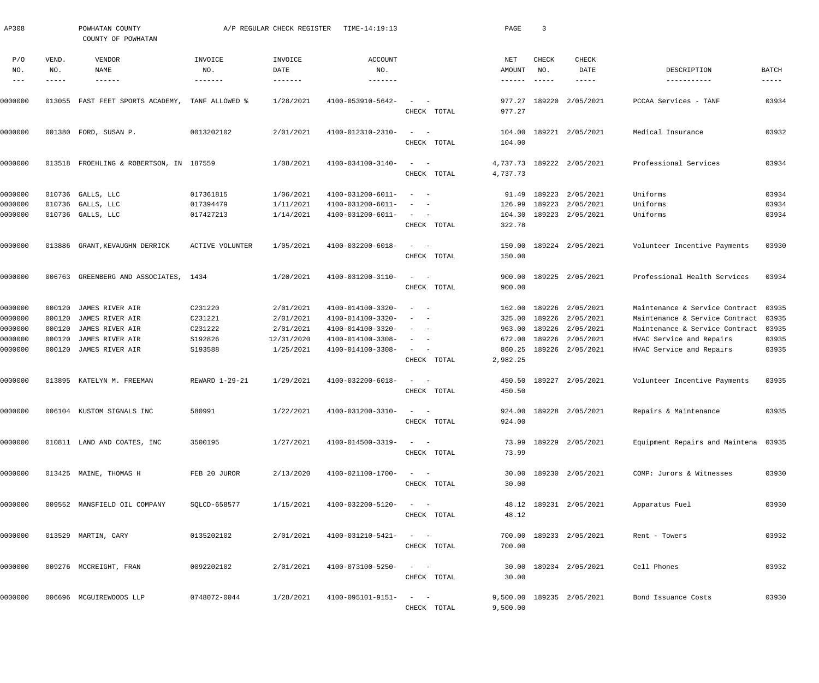| AP308         |              | POWHATAN COUNTY<br>COUNTY OF POWHATAN |                        | A/P REGULAR CHECK REGISTER | TIME-14:19:13                |                                                                                                                           | PAGE                 | $\overline{3}$            |                           |                                      |             |
|---------------|--------------|---------------------------------------|------------------------|----------------------------|------------------------------|---------------------------------------------------------------------------------------------------------------------------|----------------------|---------------------------|---------------------------|--------------------------------------|-------------|
| P/O<br>NO.    | VEND.<br>NO. | VENDOR<br>NAME                        | INVOICE<br>NO.         | INVOICE<br>DATE            | ACCOUNT<br>NO.               |                                                                                                                           | NET<br>AMOUNT        | CHECK<br>NO.              | CHECK<br>DATE             | DESCRIPTION                          | BATCH       |
| $\frac{1}{2}$ | -----        | $- - - - - - -$                       | $- - - - - - -$        |                            | -------                      |                                                                                                                           | -------              | $\qquad \qquad - - - - -$ | $- - - - - -$             | -----------                          | $- - - - -$ |
| 0000000       |              | 013055 FAST FEET SPORTS ACADEMY,      | TANF ALLOWED %         | 1/28/2021                  | 4100-053910-5642-            |                                                                                                                           | 977.27               | 189220                    | 2/05/2021                 | PCCAA Services - TANF                | 03934       |
|               |              |                                       |                        |                            |                              | CHECK TOTAL                                                                                                               | 977.27               |                           |                           |                                      |             |
| 0000000       | 001380       | FORD, SUSAN P.                        | 0013202102             | 2/01/2021                  | 4100-012310-2310-            | $\sim$<br>$\hspace{0.1mm}$                                                                                                | 104.00               |                           | 189221 2/05/2021          | Medical Insurance                    | 03932       |
|               |              |                                       |                        |                            |                              | CHECK TOTAL                                                                                                               | 104.00               |                           |                           |                                      |             |
| 0000000       | 013518       | FROEHLING & ROBERTSON, IN 187559      |                        | 1/08/2021                  | 4100-034100-3140-            | $\sim$<br>$\hspace{0.1mm}$<br>CHECK TOTAL                                                                                 | 4,737.73<br>4,737.73 |                           | 189222 2/05/2021          | Professional Services                | 03934       |
|               |              |                                       |                        |                            |                              |                                                                                                                           |                      |                           |                           |                                      |             |
| 0000000       | 010736       | GALLS, LLC                            | 017361815              | 1/06/2021                  | 4100-031200-6011-            | $\overline{\phantom{a}}$<br>$\sim$                                                                                        | 91.49                | 189223                    | 2/05/2021                 | Uniforms                             | 03934       |
| 0000000       | 010736       | GALLS, LLC                            | 017394479              | 1/11/2021                  | 4100-031200-6011-            | $\sim$                                                                                                                    | 126.99               | 189223                    | 2/05/2021                 | Uniforms                             | 03934       |
| 0000000       | 010736       | GALLS, LLC                            | 017427213              | 1/14/2021                  | 4100-031200-6011-            | $\frac{1}{2} \left( \frac{1}{2} \right) \left( \frac{1}{2} \right) \left( \frac{1}{2} \right) \left( \frac{1}{2} \right)$ | 104.30               | 189223                    | 2/05/2021                 | Uniforms                             | 03934       |
|               |              |                                       |                        |                            |                              | CHECK TOTAL                                                                                                               | 322.78               |                           |                           |                                      |             |
| 0000000       | 013886       | GRANT, KEVAUGHN DERRICK               | <b>ACTIVE VOLUNTER</b> | 1/05/2021                  | 4100-032200-6018-            | $\sim$<br>$\sim$                                                                                                          | 150.00               |                           | 189224 2/05/2021          | Volunteer Incentive Payments         | 03930       |
|               |              |                                       |                        |                            |                              | CHECK TOTAL                                                                                                               | 150.00               |                           |                           |                                      |             |
| 0000000       | 006763       | GREENBERG AND ASSOCIATES,             | 1434                   | 1/20/2021                  | 4100-031200-3110-            | $\sim$ .<br>$\sim$                                                                                                        | 900.00               | 189225                    | 2/05/2021                 | Professional Health Services         | 03934       |
|               |              |                                       |                        |                            |                              | CHECK TOTAL                                                                                                               | 900.00               |                           |                           |                                      |             |
| 0000000       | 000120       | JAMES RIVER AIR                       | C231220                | 2/01/2021                  | 4100-014100-3320-            | $\overline{\phantom{0}}$<br>$\overline{\phantom{m}}$                                                                      | 162.00               | 189226                    | 2/05/2021                 | Maintenance & Service Contract       | 03935       |
| 0000000       | 000120       | JAMES RIVER AIR                       | C231221                | 2/01/2021                  | 4100-014100-3320-            | $\overline{\phantom{a}}$                                                                                                  | 325.00               | 189226                    | 2/05/2021                 | Maintenance & Service Contract       | 03935       |
| 0000000       | 000120       | JAMES RIVER AIR                       | C231222                | 2/01/2021                  | 4100-014100-3320-            | $\overline{\phantom{a}}$<br>$\overline{\phantom{a}}$                                                                      | 963.00               | 189226                    | 2/05/2021                 | Maintenance & Service Contract       | 03935       |
| 0000000       | 000120       | JAMES RIVER AIR                       | S192826                | 12/31/2020                 | 4100-014100-3308-            | $-$<br>$\overline{\phantom{a}}$                                                                                           | 672.00               | 189226                    | 2/05/2021                 | HVAC Service and Repairs             | 03935       |
| 0000000       | 000120       | JAMES RIVER AIR                       | S193588                | 1/25/2021                  | 4100-014100-3308-            | $\sim$ 100 $\mu$<br>$\sim$                                                                                                | 860.25               |                           | 189226 2/05/2021          | HVAC Service and Repairs             | 03935       |
|               |              |                                       |                        |                            |                              | CHECK TOTAL                                                                                                               | 2,982.25             |                           |                           |                                      |             |
| 0000000       |              | 013895 KATELYN M. FREEMAN             | REWARD 1-29-21         | 1/29/2021                  | 4100-032200-6018-            | $\sim$<br>$\overline{\phantom{a}}$                                                                                        |                      |                           | 450.50 189227 2/05/2021   | Volunteer Incentive Payments         | 03935       |
|               |              |                                       |                        |                            |                              | CHECK TOTAL                                                                                                               | 450.50               |                           |                           |                                      |             |
| 0000000       |              | 006104 KUSTOM SIGNALS INC             | 580991                 | 1/22/2021                  | $4100 - 031200 - 3310 - - -$ |                                                                                                                           |                      |                           | 924.00 189228 2/05/2021   | Repairs & Maintenance                | 03935       |
|               |              |                                       |                        |                            |                              | CHECK TOTAL                                                                                                               | 924.00               |                           |                           |                                      |             |
|               |              |                                       |                        |                            |                              |                                                                                                                           |                      |                           |                           |                                      |             |
| 0000000       |              | 010811 LAND AND COATES, INC           | 3500195                | 1/27/2021                  | 4100-014500-3319-            | $\mathcal{L}_{\text{max}}$ , and $\mathcal{L}_{\text{max}}$                                                               |                      |                           | 73.99 189229 2/05/2021    | Equipment Repairs and Maintena 03935 |             |
|               |              |                                       |                        |                            |                              | CHECK TOTAL                                                                                                               | 73.99                |                           |                           |                                      |             |
| 0000000       |              | 013425 MAINE, THOMAS H                | FEB 20 JUROR           | 2/13/2020                  | 4100-021100-1700-            |                                                                                                                           |                      |                           | 30.00 189230 2/05/2021    | COMP: Jurors & Witnesses             | 03930       |
|               |              |                                       |                        |                            |                              | CHECK TOTAL                                                                                                               | 30.00                |                           |                           |                                      |             |
| 0000000       |              | 009552 MANSFIELD OIL COMPANY          | SQLCD-658577           | 1/15/2021                  | 4100-032200-5120-            | $\frac{1}{2}$ , $\frac{1}{2}$ , $\frac{1}{2}$ , $\frac{1}{2}$                                                             |                      |                           | 48.12 189231 2/05/2021    | Apparatus Fuel                       | 03930       |
|               |              |                                       |                        |                            |                              | CHECK TOTAL                                                                                                               | 48.12                |                           |                           |                                      |             |
|               |              |                                       |                        |                            |                              |                                                                                                                           |                      |                           |                           |                                      |             |
| 0000000       |              | 013529 MARTIN, CARY                   | 0135202102             | 2/01/2021                  | 4100-031210-5421-            | $\sim$ 100 $\sim$ 100 $\sim$<br>CHECK TOTAL                                                                               | 700.00               |                           | 700.00 189233 2/05/2021   | Rent - Towers                        | 03932       |
|               |              |                                       |                        |                            |                              |                                                                                                                           |                      |                           |                           |                                      |             |
| 0000000       |              | 009276 MCCREIGHT, FRAN                | 0092202102             | 2/01/2021                  | 4100-073100-5250-            | $\frac{1}{2} \left( \frac{1}{2} \right) \left( \frac{1}{2} \right) \left( \frac{1}{2} \right) \left( \frac{1}{2} \right)$ |                      |                           | 30.00 189234 2/05/2021    | Cell Phones                          | 03932       |
|               |              |                                       |                        |                            |                              | CHECK TOTAL                                                                                                               | 30.00                |                           |                           |                                      |             |
| 0000000       |              | 006696 MCGUIREWOODS LLP               | 0748072-0044           | 1/28/2021                  | 4100-095101-9151-            | $\alpha = 1, \ldots, \alpha$                                                                                              |                      |                           | 9,500.00 189235 2/05/2021 | Bond Issuance Costs                  | 03930       |
|               |              |                                       |                        |                            |                              | CHECK TOTAL                                                                                                               | 9,500.00             |                           |                           |                                      |             |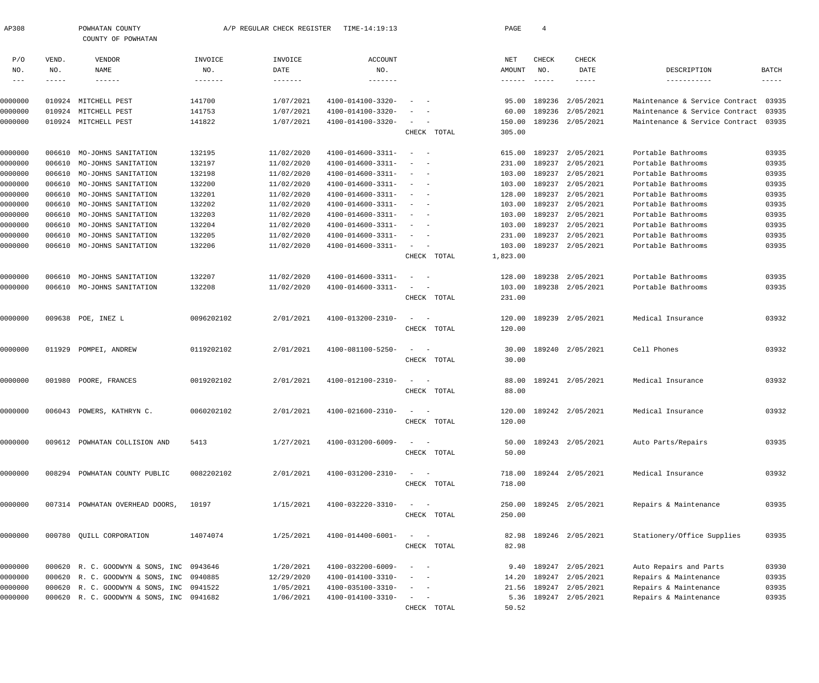| AP308             |                      | POWHATAN COUNTY<br>COUNTY OF POWHATAN    |                | A/P REGULAR CHECK REGISTER | TIME-14:19:13          |                                                      | PAGE             | $\overline{4}$       |                         |                                      |                             |
|-------------------|----------------------|------------------------------------------|----------------|----------------------------|------------------------|------------------------------------------------------|------------------|----------------------|-------------------------|--------------------------------------|-----------------------------|
| P/O               | VEND.                | VENDOR                                   | INVOICE        | INVOICE                    | ACCOUNT                |                                                      | NET              | CHECK                | CHECK                   |                                      |                             |
| NO.<br>$--\,$ $-$ | NO.<br>$- - - - - -$ | NAME<br>$- - - - - - -$                  | NO.<br>------- | DATE<br>$- - - - - - - -$  | NO.<br>$- - - - - - -$ |                                                      | AMOUNT<br>------ | NO.<br>$- - - - - -$ | DATE<br>-----           | DESCRIPTION<br>-----------           | <b>BATCH</b><br>$- - - - -$ |
| 0000000           | 010924               | MITCHELL PEST                            | 141700         | 1/07/2021                  | 4100-014100-3320-      |                                                      | 95.00            | 189236               | 2/05/2021               | Maintenance & Service Contract       | 03935                       |
| 0000000           | 010924               | MITCHELL PEST                            | 141753         | 1/07/2021                  | 4100-014100-3320-      |                                                      | 60.00            | 189236               | 2/05/2021               | Maintenance & Service Contract       | 03935                       |
| 0000000           |                      | 010924 MITCHELL PEST                     | 141822         | 1/07/2021                  | 4100-014100-3320-      |                                                      | 150.00           |                      | 189236 2/05/2021        | Maintenance & Service Contract 03935 |                             |
|                   |                      |                                          |                |                            |                        | CHECK TOTAL                                          | 305.00           |                      |                         |                                      |                             |
| 0000000           |                      | 006610 MO-JOHNS SANITATION               | 132195         | 11/02/2020                 | 4100-014600-3311-      | $\overline{\phantom{a}}$<br>$\sim$                   | 615.00           | 189237               | 2/05/2021               | Portable Bathrooms                   | 03935                       |
| 0000000           |                      | 006610 MO-JOHNS SANITATION               | 132197         | 11/02/2020                 | 4100-014600-3311-      |                                                      | 231.00           | 189237               | 2/05/2021               | Portable Bathrooms                   | 03935                       |
| 0000000           |                      | 006610 MO-JOHNS SANITATION               | 132198         | 11/02/2020                 | 4100-014600-3311-      |                                                      | 103.00           | 189237               | 2/05/2021               | Portable Bathrooms                   | 03935                       |
| 0000000           |                      | 006610 MO-JOHNS SANITATION               | 132200         | 11/02/2020                 | 4100-014600-3311-      |                                                      | 103.00           | 189237               | 2/05/2021               | Portable Bathrooms                   | 03935                       |
| 0000000           |                      | 006610 MO-JOHNS SANITATION               | 132201         | 11/02/2020                 | 4100-014600-3311-      |                                                      | 128.00           | 189237               | 2/05/2021               | Portable Bathrooms                   | 03935                       |
| 0000000           |                      | 006610 MO-JOHNS SANITATION               | 132202         | 11/02/2020                 | 4100-014600-3311-      |                                                      | 103.00           | 189237               | 2/05/2021               | Portable Bathrooms                   | 03935                       |
| 0000000           |                      | 006610 MO-JOHNS SANITATION               | 132203         | 11/02/2020                 | 4100-014600-3311-      |                                                      | 103.00           | 189237               | 2/05/2021               | Portable Bathrooms                   | 03935                       |
| 0000000           |                      | 006610 MO-JOHNS SANITATION               | 132204         | 11/02/2020                 | 4100-014600-3311-      |                                                      | 103.00           | 189237               | 2/05/2021               | Portable Bathrooms                   | 03935                       |
| 0000000           | 006610               | MO-JOHNS SANITATION                      | 132205         | 11/02/2020                 | 4100-014600-3311-      |                                                      | 231.00           | 189237               | 2/05/2021               | Portable Bathrooms                   | 03935                       |
| 0000000           |                      | 006610 MO-JOHNS SANITATION               | 132206         | 11/02/2020                 | 4100-014600-3311-      | $\overline{\phantom{a}}$                             | 103.00           |                      | 189237 2/05/2021        | Portable Bathrooms                   | 03935                       |
|                   |                      |                                          |                |                            |                        | CHECK TOTAL                                          | 1,823.00         |                      |                         |                                      |                             |
| 0000000           |                      | 006610 MO-JOHNS SANITATION               | 132207         | 11/02/2020                 | 4100-014600-3311-      | $\overline{\phantom{a}}$                             | 128.00           |                      | 189238 2/05/2021        | Portable Bathrooms                   | 03935                       |
| 0000000           |                      | 006610 MO-JOHNS SANITATION               | 132208         | 11/02/2020                 | 4100-014600-3311-      |                                                      | 103.00           |                      | 189238 2/05/2021        | Portable Bathrooms                   | 03935                       |
|                   |                      |                                          |                |                            |                        | CHECK TOTAL                                          | 231.00           |                      |                         |                                      |                             |
| 0000000           |                      | 009638 POE, INEZ L                       | 0096202102     | 2/01/2021                  | 4100-013200-2310-      | $\overline{\phantom{a}}$<br>$\overline{\phantom{a}}$ | 120.00           |                      | 189239 2/05/2021        | Medical Insurance                    | 03932                       |
|                   |                      |                                          |                |                            |                        | CHECK TOTAL                                          | 120.00           |                      |                         |                                      |                             |
| 0000000           |                      | 011929 POMPEI, ANDREW                    | 0119202102     | 2/01/2021                  | 4100-081100-5250-      |                                                      | 30.00            |                      | 189240 2/05/2021        | Cell Phones                          | 03932                       |
|                   |                      |                                          |                |                            |                        | CHECK TOTAL                                          | 30.00            |                      |                         |                                      |                             |
| 0000000           |                      | 001980 POORE, FRANCES                    | 0019202102     | 2/01/2021                  | 4100-012100-2310-      |                                                      | 88.00            |                      | 189241 2/05/2021        | Medical Insurance                    | 03932                       |
|                   |                      |                                          |                |                            |                        | CHECK TOTAL                                          | 88.00            |                      |                         |                                      |                             |
| 0000000           |                      | 006043 POWERS, KATHRYN C.                | 0060202102     | 2/01/2021                  | 4100-021600-2310-      |                                                      |                  |                      | 120.00 189242 2/05/2021 | Medical Insurance                    | 03932                       |
|                   |                      |                                          |                |                            |                        | CHECK TOTAL                                          | 120.00           |                      |                         |                                      |                             |
| 0000000           |                      | 009612 POWHATAN COLLISION AND            | 5413           | 1/27/2021                  | 4100-031200-6009-      | $\frac{1}{2}$ and $\frac{1}{2}$ and $\frac{1}{2}$    | 50.00            |                      | 189243 2/05/2021        | Auto Parts/Repairs                   | 03935                       |
|                   |                      |                                          |                |                            |                        | CHECK TOTAL                                          | 50.00            |                      |                         |                                      |                             |
| 0000000           |                      | 008294 POWHATAN COUNTY PUBLIC            | 0082202102     | 2/01/2021                  | 4100-031200-2310-      | $\frac{1}{2}$ and $\frac{1}{2}$ and $\frac{1}{2}$    |                  |                      | 718.00 189244 2/05/2021 | Medical Insurance                    | 03932                       |
|                   |                      |                                          |                |                            |                        | CHECK TOTAL                                          | 718.00           |                      |                         |                                      |                             |
| 0000000           |                      | 007314 POWHATAN OVERHEAD DOORS,          | 10197          | 1/15/2021                  | 4100-032220-3310-      | $\frac{1}{2}$ and $\frac{1}{2}$ and $\frac{1}{2}$    |                  |                      | 250.00 189245 2/05/2021 | Repairs & Maintenance                | 03935                       |
|                   |                      |                                          |                |                            |                        | CHECK TOTAL                                          | 250.00           |                      |                         |                                      |                             |
| 0000000           |                      | 000780 QUILL CORPORATION                 | 14074074       | 1/25/2021                  | 4100-014400-6001-      | $\frac{1}{2}$ and $\frac{1}{2}$ and $\frac{1}{2}$    | 82.98            |                      | 189246 2/05/2021        | Stationery/Office Supplies           | 03935                       |
|                   |                      |                                          |                |                            |                        | CHECK TOTAL                                          | 82.98            |                      |                         |                                      |                             |
| 0000000           |                      | 000620 R. C. GOODWYN & SONS, INC 0943646 |                | 1/20/2021                  | 4100-032200-6009-      | $\sim$<br>$\sim$ $-$                                 | 9.40             |                      | 189247 2/05/2021        | Auto Repairs and Parts               | 03930                       |
| 0000000           |                      | 000620 R. C. GOODWYN & SONS, INC 0940885 |                | 12/29/2020                 | 4100-014100-3310-      | $\frac{1}{2}$ and $\frac{1}{2}$ and $\frac{1}{2}$    | 14.20            |                      | 189247 2/05/2021        | Repairs & Maintenance                | 03935                       |
| 0000000           |                      | 000620 R. C. GOODWYN & SONS, INC 0941522 |                | 1/05/2021                  | 4100-035100-3310-      | $\frac{1}{2}$ and $\frac{1}{2}$ and $\frac{1}{2}$    | 21.56            |                      | 189247 2/05/2021        | Repairs & Maintenance                | 03935                       |
| 0000000           |                      | 000620 R. C. GOODWYN & SONS, INC 0941682 |                | 1/06/2021                  | 4100-014100-3310-      | $\sim$<br>$\sim$ $-$                                 |                  |                      | 5.36 189247 2/05/2021   | Repairs & Maintenance                | 03935                       |
|                   |                      |                                          |                |                            |                        | CHECK TOTAL                                          | 50.52            |                      |                         |                                      |                             |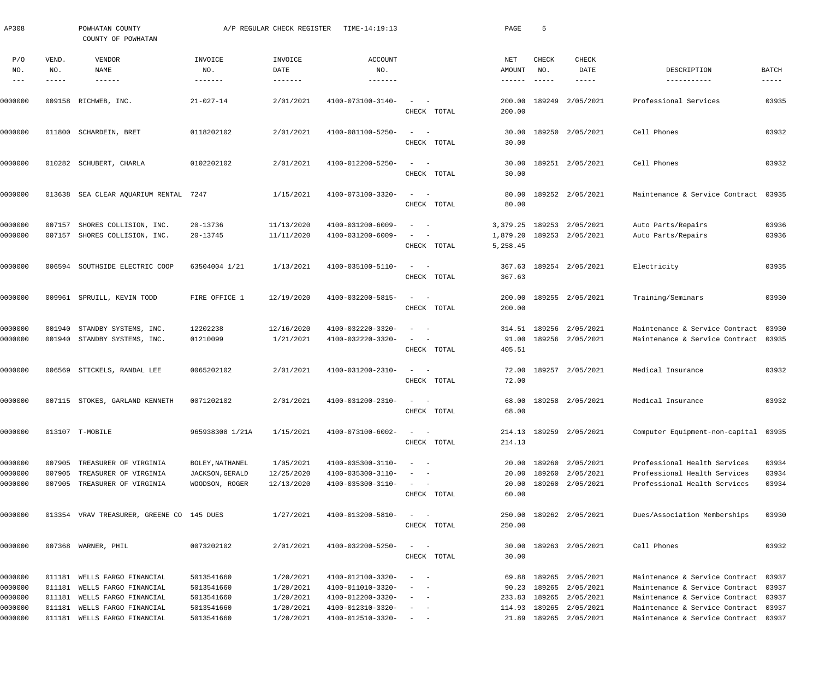| AP308                        |                  | POWHATAN COUNTY<br>COUNTY OF POWHATAN                 |                                           | A/P REGULAR CHECK REGISTER | TIME-14:19:13                          |                                                                                                                             | PAGE                       | 5                                   |                                             |                                                                        |                        |
|------------------------------|------------------|-------------------------------------------------------|-------------------------------------------|----------------------------|----------------------------------------|-----------------------------------------------------------------------------------------------------------------------------|----------------------------|-------------------------------------|---------------------------------------------|------------------------------------------------------------------------|------------------------|
| P/O<br>NO.                   | VEND.<br>NO.     | VENDOR<br>NAME                                        | INVOICE<br>NO.                            | INVOICE<br>DATE            | <b>ACCOUNT</b><br>NO.                  |                                                                                                                             | NET<br>AMOUNT              | CHECK<br>NO.                        | <b>CHECK</b><br>DATE                        | DESCRIPTION                                                            | BATCH                  |
| $\qquad \qquad -$<br>0000000 | -----            | $\cdots\cdots\cdots\cdots$<br>009158 RICHWEB, INC.    | $- - - - - - - -$<br>$21 - 027 - 14$      | 2/01/2021                  | -------<br>4100-073100-3140-           | CHECK TOTAL                                                                                                                 | ------<br>200.00<br>200.00 | $\qquad \qquad - - - - -$<br>189249 | $- - - - - -$<br>2/05/2021                  | -----------<br>Professional Services                                   | $- - - - - -$<br>03935 |
| 0000000                      | 011800           | SCHARDEIN, BRET                                       | 0118202102                                | 2/01/2021                  | 4100-081100-5250-                      | $\sim$<br>$\sim$<br>CHECK TOTAL                                                                                             | 30.00<br>30.00             | 189250                              | 2/05/2021                                   | Cell Phones                                                            | 03932                  |
| 0000000                      | 010282           | SCHUBERT, CHARLA                                      | 0102202102                                | 2/01/2021                  | 4100-012200-5250-                      | $\sim$<br>$\overline{\phantom{a}}$<br>CHECK TOTAL                                                                           | 30.00<br>30.00             |                                     | 189251 2/05/2021                            | Cell Phones                                                            | 03932                  |
| 0000000                      | 013638           | SEA CLEAR AQUARIUM RENTAL 7247                        |                                           | 1/15/2021                  | 4100-073100-3320-                      | $\sim$<br>$\sim$<br>CHECK TOTAL                                                                                             | 80.00<br>80.00             |                                     | 189252 2/05/2021                            | Maintenance & Service Contract 03935                                   |                        |
| 0000000                      | 007157           | SHORES COLLISION, INC.                                | 20-13736                                  | 11/13/2020                 | 4100-031200-6009-                      | $\sim$                                                                                                                      |                            |                                     | 3,379.25 189253 2/05/2021                   | Auto Parts/Repairs                                                     | 03936                  |
| 0000000                      | 007157           | SHORES COLLISION, INC.                                | 20-13745                                  | 11/11/2020                 | 4100-031200-6009-                      | CHECK TOTAL                                                                                                                 | 1,879.20<br>5,258.45       |                                     | 189253 2/05/2021                            | Auto Parts/Repairs                                                     | 03936                  |
| 0000000                      | 006594           | SOUTHSIDE ELECTRIC COOP                               | 63504004 1/21                             | 1/13/2021                  | 4100-035100-5110-                      | $\frac{1}{2} \left( \frac{1}{2} \right) \left( \frac{1}{2} \right) = \frac{1}{2} \left( \frac{1}{2} \right)$<br>CHECK TOTAL | 367.63                     |                                     | 367.63 189254 2/05/2021                     | Electricity                                                            | 03935                  |
| 0000000                      | 009961           | SPRUILL, KEVIN TODD                                   | FIRE OFFICE 1                             | 12/19/2020                 | 4100-032200-5815-                      | $\frac{1}{2} \left( \frac{1}{2} \right) \left( \frac{1}{2} \right) = \frac{1}{2} \left( \frac{1}{2} \right)$<br>CHECK TOTAL | 200.00<br>200.00           |                                     | 189255 2/05/2021                            | Training/Seminars                                                      | 03930                  |
| 0000000<br>0000000           | 001940           | STANDBY SYSTEMS, INC.<br>001940 STANDBY SYSTEMS, INC. | 12202238<br>01210099                      | 12/16/2020<br>1/21/2021    | 4100-032220-3320-<br>4100-032220-3320- | $\sim$<br>CHECK TOTAL                                                                                                       | 91.00<br>405.51            |                                     | 314.51 189256 2/05/2021<br>189256 2/05/2021 | Maintenance & Service Contract<br>Maintenance & Service Contract 03935 | 03930                  |
| 0000000                      |                  | 006569 STICKELS, RANDAL LEE                           | 0065202102                                | 2/01/2021                  | 4100-031200-2310-                      | $\frac{1}{2} \left( \frac{1}{2} \right) \left( \frac{1}{2} \right) = \frac{1}{2} \left( \frac{1}{2} \right)$<br>CHECK TOTAL | 72.00<br>72.00             |                                     | 189257 2/05/2021                            | Medical Insurance                                                      | 03932                  |
| 0000000                      |                  | 007115 STOKES, GARLAND KENNETH                        | 0071202102                                | 2/01/2021                  | 4100-031200-2310-                      | $\overline{\phantom{a}}$<br>CHECK TOTAL                                                                                     | 68.00                      |                                     | 68.00 189258 2/05/2021                      | Medical Insurance                                                      | 03932                  |
| 0000000                      |                  | 013107 T-MOBILE                                       | 965938308 1/21A                           | 1/15/2021                  | 4100-073100-6002-                      | $\sim$ $  -$<br>CHECK TOTAL                                                                                                 | 214.13                     |                                     | 214.13 189259 2/05/2021                     | Computer Equipment-non-capital 03935                                   |                        |
| 0000000<br>0000000           | 007905<br>007905 | TREASURER OF VIRGINIA<br>TREASURER OF VIRGINIA        | BOLEY, NATHANEL<br><b>JACKSON, GERALD</b> | 1/05/2021<br>12/25/2020    | 4100-035300-3110-<br>4100-035300-3110- | $\overline{\phantom{a}}$<br>$\sim$ $-$                                                                                      | 20.00                      | 189260                              | 20.00 189260 2/05/2021<br>2/05/2021         | Professional Health Services<br>Professional Health Services           | 03934<br>03934         |
| 0000000                      |                  | 007905 TREASURER OF VIRGINIA                          | WOODSON, ROGER                            | 12/13/2020                 | 4100-035300-3110-                      | $\sim$ $ -$<br>CHECK TOTAL                                                                                                  | 20.00<br>60.00             | 189260                              | 2/05/2021                                   | Professional Health Services                                           | 03934                  |
| 0000000                      |                  | 013354 VRAV TREASURER, GREENE CO 145 DUES             |                                           | 1/27/2021                  | 4100-013200-5810-                      | $\sim$ $  -$<br>CHECK TOTAL                                                                                                 | 250.00                     |                                     | 250.00 189262 2/05/2021                     | Dues/Association Memberships                                           | 03930                  |
| 0000000                      |                  | 007368 WARNER, PHIL                                   | 0073202102                                | 2/01/2021                  | 4100-032200-5250-                      | $\frac{1}{2} \left( \frac{1}{2} \right) \left( \frac{1}{2} \right) = \frac{1}{2} \left( \frac{1}{2} \right)$<br>CHECK TOTAL | 30.00                      |                                     | 30.00 189263 2/05/2021                      | Cell Phones                                                            | 03932                  |
| 0000000<br>0000000           | 011181           | 011181 WELLS FARGO FINANCIAL<br>WELLS FARGO FINANCIAL | 5013541660<br>5013541660                  | 1/20/2021<br>1/20/2021     | 4100-012100-3320-<br>4100-011010-3320- | $\sim$ $-$                                                                                                                  | 90.23                      | 189265                              | 69.88 189265 2/05/2021<br>2/05/2021         | Maintenance & Service Contract 03937<br>Maintenance & Service Contract | 03937                  |
| 0000000                      | 011181           | WELLS FARGO FINANCIAL                                 | 5013541660                                | 1/20/2021                  | 4100-012200-3320-                      |                                                                                                                             | 233.83                     | 189265                              | 2/05/2021                                   | Maintenance & Service Contract                                         | 03937                  |
| 0000000                      | 011181           | WELLS FARGO FINANCIAL                                 | 5013541660                                | 1/20/2021                  | 4100-012310-3320-                      |                                                                                                                             |                            |                                     | 114.93 189265 2/05/2021                     | Maintenance & Service Contract                                         | 03937                  |
| 0000000                      |                  | 011181 WELLS FARGO FINANCIAL                          | 5013541660                                | 1/20/2021                  | 4100-012510-3320-                      |                                                                                                                             |                            |                                     | 21.89 189265 2/05/2021                      | Maintenance & Service Contract 03937                                   |                        |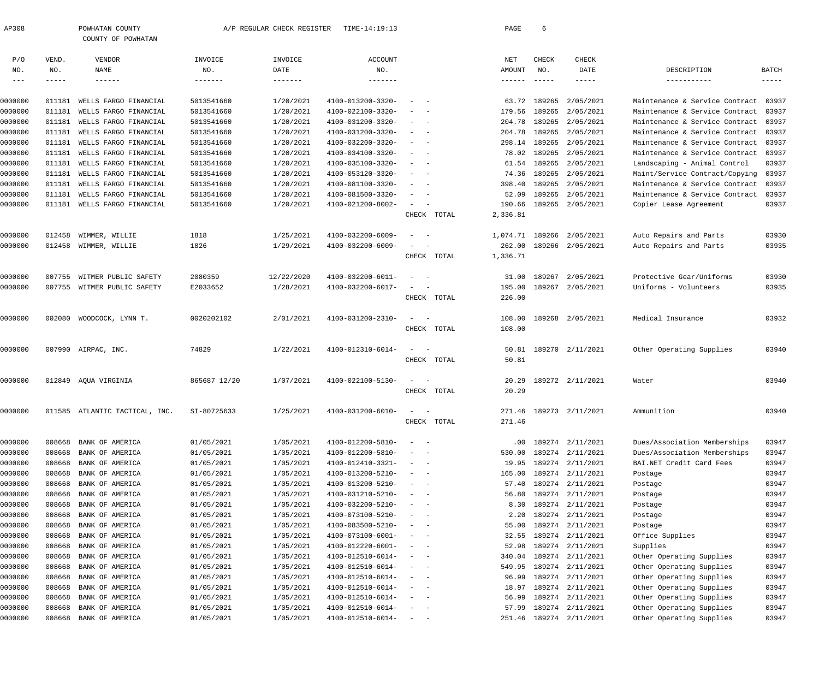| AP308                |                  | POWHATAN COUNTY<br>COUNTY OF POWHATAN |                          | A/P REGULAR CHECK REGISTER | TIME-14:19:13                          |                                                                                                                           | PAGE                      | 6                    |                                      |                                |                        |
|----------------------|------------------|---------------------------------------|--------------------------|----------------------------|----------------------------------------|---------------------------------------------------------------------------------------------------------------------------|---------------------------|----------------------|--------------------------------------|--------------------------------|------------------------|
| P/O                  | VEND.            | VENDOR                                | INVOICE                  | INVOICE                    | ACCOUNT                                |                                                                                                                           | NET                       | CHECK                | CHECK                                |                                |                        |
| NO.<br>$\frac{1}{2}$ | NO.<br>-----     | NAME<br>$- - - - - - -$               | NO.                      | DATE                       | NO.                                    |                                                                                                                           | AMOUNT<br>$- - - - - - -$ | NO.<br>$- - - - - -$ | DATE<br>$- - - - - -$                | DESCRIPTION<br>-----------     | BATCH<br>$- - - - - -$ |
| 0000000              | 011181           | WELLS FARGO FINANCIAL                 | 5013541660               | 1/20/2021                  | 4100-013200-3320-                      | $\frac{1}{2} \left( \frac{1}{2} \right) \left( \frac{1}{2} \right) \left( \frac{1}{2} \right) \left( \frac{1}{2} \right)$ | 63.72                     | 189265               | 2/05/2021                            | Maintenance & Service Contract | 03937                  |
| 0000000              | 011181           | WELLS FARGO FINANCIAL                 | 5013541660               | 1/20/2021                  | 4100-022100-3320-                      | $\frac{1}{2} \left( \frac{1}{2} \right) \left( \frac{1}{2} \right) \left( \frac{1}{2} \right) \left( \frac{1}{2} \right)$ | 179.56                    | 189265               | 2/05/2021                            | Maintenance & Service Contract | 03937                  |
| 0000000              | 011181           | WELLS FARGO FINANCIAL                 | 5013541660               | 1/20/2021                  | 4100-031200-3320-                      | $\sim$ 100 $\sim$ 100 $\sim$                                                                                              | 204.78                    | 189265               | 2/05/2021                            | Maintenance & Service Contract | 03937                  |
| 0000000              | 011181           | WELLS FARGO FINANCIAL                 | 5013541660               | 1/20/2021                  | 4100-031200-3320-                      | $\sim$ 100 $\sim$ 100 $\sim$                                                                                              | 204.78                    | 189265               | 2/05/2021                            | Maintenance & Service Contract | 03937                  |
| 0000000              | 011181           | WELLS FARGO FINANCIAL                 | 5013541660               | 1/20/2021                  | 4100-032200-3320-                      | $\sim$ 100 $\sim$ 100 $\sim$                                                                                              |                           | 298.14 189265        | 2/05/2021                            | Maintenance & Service Contract | 03937                  |
| 0000000              | 011181           | WELLS FARGO FINANCIAL                 | 5013541660               | 1/20/2021                  | 4100-034100-3320-                      | $\sim$ 100 $\sim$ 100 $\sim$                                                                                              | 78.02                     | 189265               | 2/05/2021                            | Maintenance & Service Contract | 03937                  |
| 0000000              | 011181           | WELLS FARGO FINANCIAL                 | 5013541660               | 1/20/2021                  | 4100-035100-3320-                      | $\sim$ 100 $\sim$ 100 $\sim$                                                                                              | 61.54                     | 189265               | 2/05/2021                            | Landscaping - Animal Control   | 03937                  |
| 0000000              | 011181           | WELLS FARGO FINANCIAL                 | 5013541660               | 1/20/2021                  | 4100-053120-3320-                      | $\sim$ 100 $\sim$ 100 $\sim$                                                                                              | 74.36                     | 189265               | 2/05/2021                            | Maint/Service Contract/Copying | 03937                  |
| 0000000              | 011181           | WELLS FARGO FINANCIAL                 | 5013541660               | 1/20/2021                  | 4100-081100-3320-                      | $\sim$ 100 $\sim$ 100 $\sim$                                                                                              | 398.40                    | 189265               | 2/05/2021                            | Maintenance & Service Contract | 03937                  |
| 0000000              | 011181           | WELLS FARGO FINANCIAL                 | 5013541660               | 1/20/2021                  | 4100-081500-3320-                      | $\sim$ $\sim$                                                                                                             | 52.09                     | 189265               | 2/05/2021                            | Maintenance & Service Contract | 03937                  |
| 0000000              |                  | 011181 WELLS FARGO FINANCIAL          | 5013541660               | 1/20/2021                  | 4100-021200-8002-                      | $\sim$<br>$\sim$ $-$                                                                                                      | 190.66                    |                      | 189265 2/05/2021                     | Copier Lease Agreement         | 03937                  |
|                      |                  |                                       |                          |                            |                                        | CHECK TOTAL                                                                                                               | 2,336.81                  |                      |                                      |                                |                        |
| 0000000              | 012458           | WIMMER, WILLIE                        | 1818                     | 1/25/2021                  | 4100-032200-6009-                      | $\sim$<br>$\sim$                                                                                                          |                           |                      | 1,074.71 189266 2/05/2021            | Auto Repairs and Parts         | 03930                  |
| 0000000              | 012458           | WIMMER, WILLIE                        | 1826                     | 1/29/2021                  | 4100-032200-6009-                      | $\sim$                                                                                                                    | 262.00                    |                      | 189266 2/05/2021                     | Auto Repairs and Parts         | 03935                  |
|                      |                  |                                       |                          |                            |                                        | CHECK TOTAL                                                                                                               | 1,336.71                  |                      |                                      |                                |                        |
| 0000000              | 007755           | WITMER PUBLIC SAFETY                  | 2080359                  | 12/22/2020                 | 4100-032200-6011-                      | $\frac{1}{2} \left( \frac{1}{2} \right) \left( \frac{1}{2} \right) \left( \frac{1}{2} \right) \left( \frac{1}{2} \right)$ | 31.00                     | 189267               | 2/05/2021                            | Protective Gear/Uniforms       | 03930                  |
| 0000000              | 007755           | WITMER PUBLIC SAFETY                  | E2033652                 | 1/28/2021                  | 4100-032200-6017-                      | $\sim$ $-$                                                                                                                | 195.00                    |                      | 189267 2/05/2021                     | Uniforms - Volunteers          | 03935                  |
|                      |                  |                                       |                          |                            |                                        | CHECK TOTAL                                                                                                               | 226.00                    |                      |                                      |                                |                        |
| 0000000              | 002080           | WOODCOCK, LYNN T.                     | 0020202102               | 2/01/2021                  | 4100-031200-2310-                      | $\sim$ $-$                                                                                                                | 108.00                    |                      | 189268 2/05/2021                     | Medical Insurance              | 03932                  |
|                      |                  |                                       |                          |                            |                                        | CHECK TOTAL                                                                                                               | 108.00                    |                      |                                      |                                |                        |
| 0000000              | 007990           | AIRPAC, INC.                          | 74829                    | 1/22/2021                  | 4100-012310-6014-                      | $\sim$ $-$                                                                                                                | 50.81                     |                      | 189270 2/11/2021                     | Other Operating Supplies       | 03940                  |
|                      |                  |                                       |                          |                            |                                        | CHECK TOTAL                                                                                                               | 50.81                     |                      |                                      |                                |                        |
| 0000000              |                  | 012849 AQUA VIRGINIA                  | 865687 12/20             | 1/07/2021                  | 4100-022100-5130-                      | $\sim$<br>$\sim$                                                                                                          | 20.29                     |                      | 189272 2/11/2021                     | Water                          | 03940                  |
|                      |                  |                                       |                          |                            |                                        | CHECK TOTAL                                                                                                               | 20.29                     |                      |                                      |                                |                        |
| 0000000              |                  | 011585 ATLANTIC TACTICAL, INC.        | SI-80725633              | 1/25/2021                  | 4100-031200-6010-                      |                                                                                                                           |                           |                      | 271.46 189273 2/11/2021              | Ammunition                     | 03940                  |
|                      |                  |                                       |                          |                            |                                        | CHECK TOTAL                                                                                                               | 271.46                    |                      |                                      |                                |                        |
| 0000000              | 008668           | BANK OF AMERICA                       | 01/05/2021               | 1/05/2021                  | 4100-012200-5810-                      | $\qquad \qquad -$                                                                                                         | $.00 \,$                  |                      | 189274 2/11/2021                     | Dues/Association Memberships   | 03947                  |
| 0000000              | 008668           | BANK OF AMERICA                       | 01/05/2021               | 1/05/2021                  | 4100-012200-5810-                      | $\qquad \qquad -$                                                                                                         | 530.00                    |                      | 189274 2/11/2021                     | Dues/Association Memberships   | 03947                  |
| 0000000              | 008668           | BANK OF AMERICA                       | 01/05/2021               | 1/05/2021                  | 4100-012410-3321-                      | $\frac{1}{2}$ and $\frac{1}{2}$ and $\frac{1}{2}$                                                                         | 19.95                     |                      | 189274 2/11/2021                     | BAI.NET Credit Card Fees       | 03947                  |
| 0000000              | 008668           | BANK OF AMERICA                       | 01/05/2021               | 1/05/2021                  | 4100-013200-5210-                      | $\frac{1}{2}$ and $\frac{1}{2}$ and $\frac{1}{2}$                                                                         | 165.00                    |                      | 189274 2/11/2021                     | Postage                        | 03947                  |
| 0000000              | 008668           | BANK OF AMERICA                       | 01/05/2021               | 1/05/2021                  | 4100-013200-5210-                      | $\frac{1}{2}$ and $\frac{1}{2}$ and $\frac{1}{2}$                                                                         | 57.40                     |                      | 189274 2/11/2021                     | Postage                        | 03947                  |
| 0000000<br>0000000   | 008668<br>008668 | BANK OF AMERICA<br>BANK OF AMERICA    | 01/05/2021<br>01/05/2021 | 1/05/2021<br>1/05/2021     | 4100-031210-5210-<br>4100-032200-5210- | $\frac{1}{2}$ and $\frac{1}{2}$ and $\frac{1}{2}$<br>$\frac{1}{2}$ and $\frac{1}{2}$ and $\frac{1}{2}$                    | 56.80<br>8.30             |                      | 189274 2/11/2021<br>189274 2/11/2021 | Postage<br>Postage             | 03947<br>03947         |
| 0000000              | 008668           | BANK OF AMERICA                       | 01/05/2021               | 1/05/2021                  | 4100-073100-5210-                      | $\frac{1}{2}$ and $\frac{1}{2}$ and $\frac{1}{2}$                                                                         | 2.20                      |                      | 189274 2/11/2021                     | Postage                        | 03947                  |
| 0000000              | 008668           | BANK OF AMERICA                       | 01/05/2021               | 1/05/2021                  | 4100-083500-5210-                      | $\frac{1}{2}$ and $\frac{1}{2}$ and $\frac{1}{2}$                                                                         | 55.00                     |                      | 189274 2/11/2021                     | Postage                        | 03947                  |
| 0000000              | 008668           | BANK OF AMERICA                       | 01/05/2021               | 1/05/2021                  | 4100-073100-6001-                      | $\frac{1}{2}$ and $\frac{1}{2}$ and $\frac{1}{2}$                                                                         | 32.55                     |                      | 189274 2/11/2021                     | Office Supplies                | 03947                  |
| 0000000              | 008668           | BANK OF AMERICA                       | 01/05/2021               | 1/05/2021                  | 4100-012220-6001-                      | $\frac{1}{2}$ and $\frac{1}{2}$ and $\frac{1}{2}$                                                                         | 52.98                     |                      | 189274 2/11/2021                     | Supplies                       | 03947                  |
| 0000000              | 008668           | BANK OF AMERICA                       | 01/05/2021               | 1/05/2021                  | 4100-012510-6014-                      | $\frac{1}{2}$ and $\frac{1}{2}$ and $\frac{1}{2}$                                                                         | 340.04                    |                      | 189274 2/11/2021                     | Other Operating Supplies       | 03947                  |
| 0000000              | 008668           | BANK OF AMERICA                       | 01/05/2021               | 1/05/2021                  | 4100-012510-6014-                      | $\frac{1}{2}$ and $\frac{1}{2}$ and $\frac{1}{2}$                                                                         | 549.95                    |                      | 189274 2/11/2021                     | Other Operating Supplies       | 03947                  |
| 0000000              | 008668           | BANK OF AMERICA                       | 01/05/2021               | 1/05/2021                  | 4100-012510-6014-                      | $\frac{1}{2}$ and $\frac{1}{2}$ and $\frac{1}{2}$                                                                         | 96.99                     |                      | 189274 2/11/2021                     | Other Operating Supplies       | 03947                  |
| 0000000              | 008668           | BANK OF AMERICA                       | 01/05/2021               | 1/05/2021                  | 4100-012510-6014-                      | $\frac{1}{2}$ and $\frac{1}{2}$ and $\frac{1}{2}$                                                                         | 18.97                     |                      | 189274 2/11/2021                     | Other Operating Supplies       | 03947                  |
| 0000000              | 008668           | BANK OF AMERICA                       | 01/05/2021               | 1/05/2021                  | 4100-012510-6014-                      | $\frac{1}{2}$ and $\frac{1}{2}$ and $\frac{1}{2}$                                                                         | 56.99                     |                      | 189274 2/11/2021                     | Other Operating Supplies       | 03947                  |
| 0000000              | 008668           | BANK OF AMERICA                       | 01/05/2021               | 1/05/2021                  | 4100-012510-6014-                      | $\frac{1}{2}$ and $\frac{1}{2}$ and $\frac{1}{2}$                                                                         | 57.99                     |                      | 189274 2/11/2021                     | Other Operating Supplies       | 03947                  |
| 0000000              |                  | 008668 BANK OF AMERICA                | 01/05/2021               | 1/05/2021                  | 4100-012510-6014-                      | $\alpha = 1, \ldots, n-1$                                                                                                 |                           |                      | 251.46 189274 2/11/2021              | Other Operating Supplies       | 03947                  |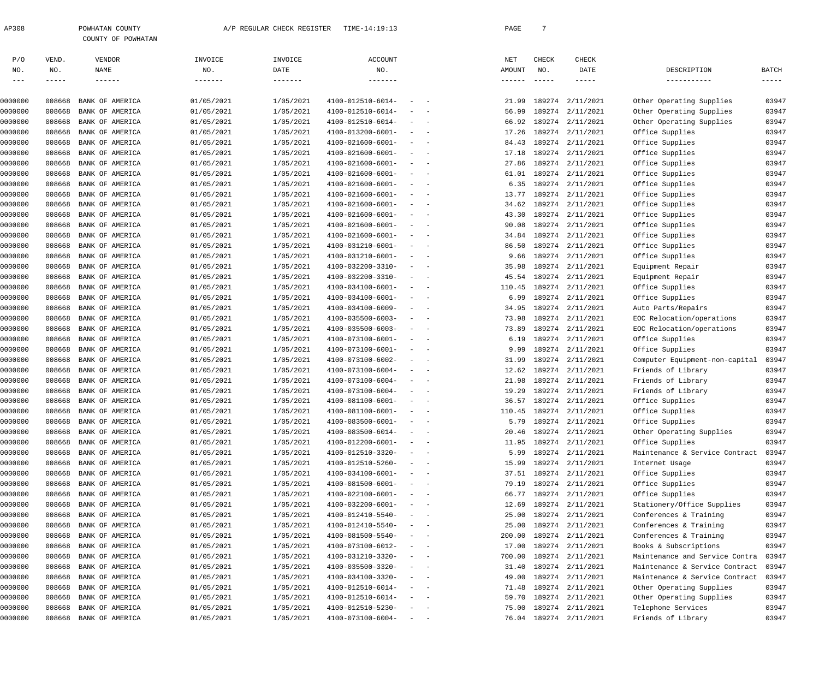| 2308 | POWHATAN COUNTY |                    |
|------|-----------------|--------------------|
|      |                 | COUNTY OF POWHATAN |

| P/O     | VEND.  | VENDOR          | INVOICE    | INVOICE   | <b>ACCOUNT</b>    |                                                                                                                           |            | NET    | CHECK | CHECK                  |                                |            |
|---------|--------|-----------------|------------|-----------|-------------------|---------------------------------------------------------------------------------------------------------------------------|------------|--------|-------|------------------------|--------------------------------|------------|
| NO.     | NO.    | NAME            | NO.        | DATE      | NO.               |                                                                                                                           |            | AMOUNT | NO.   | DATE                   | DESCRIPTION                    | BATCH      |
| $- - -$ | -----  | $- - - - - - -$ |            |           | $- - - - - - - -$ |                                                                                                                           |            |        |       | $- - - - - -$          | -----------                    | $-- - - -$ |
|         |        |                 |            |           |                   |                                                                                                                           |            |        |       |                        |                                |            |
| 0000000 | 008668 | BANK OF AMERICA | 01/05/2021 | 1/05/2021 | 4100-012510-6014- | $\qquad \qquad -$                                                                                                         |            | 21.99  |       | 189274 2/11/2021       | Other Operating Supplies       | 03947      |
| 0000000 | 008668 | BANK OF AMERICA | 01/05/2021 | 1/05/2021 | 4100-012510-6014- | $\sim$                                                                                                                    | $\sim$     | 56.99  |       | 189274 2/11/2021       | Other Operating Supplies       | 03947      |
| 0000000 | 008668 | BANK OF AMERICA | 01/05/2021 | 1/05/2021 | 4100-012510-6014- | $\sim$ $  -$                                                                                                              |            | 66.92  |       | 189274 2/11/2021       | Other Operating Supplies       | 03947      |
| 0000000 | 008668 | BANK OF AMERICA | 01/05/2021 | 1/05/2021 | 4100-013200-6001- | $\begin{array}{cccccccccc} - & & & & & & & - \end{array}$                                                                 |            | 17.26  |       | 189274 2/11/2021       | Office Supplies                | 03947      |
| 0000000 | 008668 | BANK OF AMERICA | 01/05/2021 | 1/05/2021 | 4100-021600-6001- | $\sim$ $  -$                                                                                                              |            | 84.43  |       | 189274 2/11/2021       | Office Supplies                | 03947      |
| 0000000 | 008668 | BANK OF AMERICA | 01/05/2021 | 1/05/2021 | 4100-021600-6001- | $\sim$ $  -$                                                                                                              |            | 17.18  |       | 189274 2/11/2021       | Office Supplies                | 03947      |
| 0000000 | 008668 | BANK OF AMERICA | 01/05/2021 | 1/05/2021 | 4100-021600-6001- | $\begin{array}{cccccccccc} - & & & & & & & - \end{array}$                                                                 |            | 27.86  |       | 189274 2/11/2021       | Office Supplies                | 03947      |
| 0000000 | 008668 | BANK OF AMERICA | 01/05/2021 | 1/05/2021 | 4100-021600-6001- | $\sim$ $  -$                                                                                                              |            | 61.01  |       | 189274 2/11/2021       | Office Supplies                | 03947      |
| 0000000 | 008668 | BANK OF AMERICA | 01/05/2021 | 1/05/2021 | 4100-021600-6001- | $\begin{array}{cccccccccc} - & & & & & & & - \end{array}$                                                                 |            | 6.35   |       | 189274 2/11/2021       | Office Supplies                | 03947      |
| 0000000 | 008668 | BANK OF AMERICA | 01/05/2021 | 1/05/2021 | 4100-021600-6001- | $\sim$ $  -$                                                                                                              |            | 13.77  |       | 189274 2/11/2021       | Office Supplies                | 03947      |
| 0000000 | 008668 | BANK OF AMERICA | 01/05/2021 | 1/05/2021 | 4100-021600-6001- | $\sim$ $  -$                                                                                                              |            | 34.62  |       | 189274 2/11/2021       | Office Supplies                | 03947      |
| 0000000 | 008668 | BANK OF AMERICA | 01/05/2021 | 1/05/2021 | 4100-021600-6001- | $\begin{array}{cccccccccc} - & & & & & & & - \end{array}$                                                                 |            | 43.30  |       | 189274 2/11/2021       | Office Supplies                | 03947      |
| 0000000 | 008668 | BANK OF AMERICA | 01/05/2021 | 1/05/2021 | 4100-021600-6001- | $\sim$ $  -$                                                                                                              |            | 90.08  |       | 189274 2/11/2021       | Office Supplies                | 03947      |
| 0000000 | 008668 | BANK OF AMERICA | 01/05/2021 | 1/05/2021 | 4100-021600-6001- | $\sim$ $  -$                                                                                                              |            | 34.84  |       | 189274 2/11/2021       | Office Supplies                | 03947      |
| 0000000 | 008668 | BANK OF AMERICA | 01/05/2021 | 1/05/2021 | 4100-031210-6001- | $\begin{array}{cccccccccc} - & & & & & & & - \end{array}$                                                                 |            | 86.50  |       | 189274 2/11/2021       | Office Supplies                | 03947      |
| 0000000 | 008668 | BANK OF AMERICA | 01/05/2021 | 1/05/2021 | 4100-031210-6001- | $\sim$ $  -$                                                                                                              |            | 9.66   |       | 189274 2/11/2021       | Office Supplies                | 03947      |
| 0000000 | 008668 | BANK OF AMERICA | 01/05/2021 | 1/05/2021 | 4100-032200-3310- | $\begin{array}{cccccccccc} - & & & & & & & - \end{array}$                                                                 |            | 35.98  |       | 189274 2/11/2021       | Equipment Repair               | 03947      |
| 0000000 | 008668 | BANK OF AMERICA | 01/05/2021 | 1/05/2021 | 4100-032200-3310- | $\sim$ $  -$                                                                                                              |            | 45.54  |       | 189274 2/11/2021       | Equipment Repair               | 03947      |
| 0000000 | 008668 | BANK OF AMERICA | 01/05/2021 | 1/05/2021 | 4100-034100-6001- | $\sim$ $  -$                                                                                                              |            | 110.45 |       | 189274 2/11/2021       | Office Supplies                | 03947      |
| 0000000 | 008668 | BANK OF AMERICA | 01/05/2021 | 1/05/2021 | 4100-034100-6001- | $\begin{array}{cccccccccc} - & & & & & & & - \end{array}$                                                                 |            | 6.99   |       | 189274 2/11/2021       | Office Supplies                | 03947      |
| 0000000 | 008668 | BANK OF AMERICA | 01/05/2021 | 1/05/2021 | 4100-034100-6009- | $\frac{1}{2}$ and $\frac{1}{2}$ and $\frac{1}{2}$                                                                         |            | 34.95  |       | 189274 2/11/2021       | Auto Parts/Repairs             | 03947      |
| 0000000 | 008668 | BANK OF AMERICA | 01/05/2021 | 1/05/2021 | 4100-035500-6003- | $\sim$ $  -$                                                                                                              |            | 73.98  |       | 189274 2/11/2021       | EOC Relocation/operations      | 03947      |
| 0000000 | 008668 | BANK OF AMERICA | 01/05/2021 | 1/05/2021 | 4100-035500-6003- | $\sim$ $  -$                                                                                                              |            | 73.89  |       | 189274 2/11/2021       | EOC Relocation/operations      | 03947      |
| 0000000 | 008668 | BANK OF AMERICA | 01/05/2021 | 1/05/2021 | 4100-073100-6001- | $\frac{1}{2}$ and $\frac{1}{2}$ and $\frac{1}{2}$                                                                         |            | 6.19   |       | 189274 2/11/2021       | Office Supplies                | 03947      |
| 0000000 | 008668 | BANK OF AMERICA | 01/05/2021 | 1/05/2021 | 4100-073100-6001- | $\sim$ $  -$                                                                                                              |            | 9.99   |       | 189274 2/11/2021       | Office Supplies                | 03947      |
| 0000000 | 008668 | BANK OF AMERICA | 01/05/2021 | 1/05/2021 | 4100-073100-6002- | $\sim$ $  -$                                                                                                              |            | 31.99  |       | 189274 2/11/2021       |                                | 03947      |
|         | 008668 | BANK OF AMERICA | 01/05/2021 | 1/05/2021 | 4100-073100-6004- | $\sim$ $  -$                                                                                                              |            | 12.62  |       | 189274 2/11/2021       | Computer Equipment-non-capital | 03947      |
| 0000000 |        |                 |            |           |                   |                                                                                                                           |            |        |       |                        | Friends of Library             |            |
| 0000000 | 008668 | BANK OF AMERICA | 01/05/2021 | 1/05/2021 | 4100-073100-6004- | $\begin{array}{cccccccccc} - & & & & & & & - \end{array}$                                                                 |            | 21.98  |       | 189274 2/11/2021       | Friends of Library             | 03947      |
| 0000000 | 008668 | BANK OF AMERICA | 01/05/2021 | 1/05/2021 | 4100-073100-6004- | $\sim$ $  -$                                                                                                              |            | 19.29  |       | 189274 2/11/2021       | Friends of Library             | 03947      |
| 0000000 | 008668 | BANK OF AMERICA | 01/05/2021 | 1/05/2021 | 4100-081100-6001- | $\sim$ $  -$                                                                                                              |            | 36.57  |       | 189274 2/11/2021       | Office Supplies                | 03947      |
| 0000000 | 008668 | BANK OF AMERICA | 01/05/2021 | 1/05/2021 | 4100-081100-6001- | $\sim$ $  -$                                                                                                              |            | 110.45 |       | 189274 2/11/2021       | Office Supplies                | 03947      |
| 0000000 | 008668 | BANK OF AMERICA | 01/05/2021 | 1/05/2021 | 4100-083500-6001- | $\frac{1}{2} \left( \frac{1}{2} \right) \left( \frac{1}{2} \right) \left( \frac{1}{2} \right) \left( \frac{1}{2} \right)$ |            | 5.79   |       | 189274 2/11/2021       | Office Supplies                | 03947      |
| 0000000 | 008668 | BANK OF AMERICA | 01/05/2021 | 1/05/2021 | 4100-083500-6014- | $\sim$ $  -$                                                                                                              |            | 20.46  |       | 189274 2/11/2021       | Other Operating Supplies       | 03947      |
| 0000000 | 008668 | BANK OF AMERICA | 01/05/2021 | 1/05/2021 | 4100-012200-6001- |                                                                                                                           |            |        |       | 11.95 189274 2/11/2021 | Office Supplies                | 03947      |
| 0000000 | 008668 | BANK OF AMERICA | 01/05/2021 | 1/05/2021 | 4100-012510-3320- | $\frac{1}{2} \left( \frac{1}{2} \right) \left( \frac{1}{2} \right) \left( \frac{1}{2} \right) \left( \frac{1}{2} \right)$ |            | 5.99   |       | 189274 2/11/2021       | Maintenance & Service Contract | 03947      |
| 0000000 | 008668 | BANK OF AMERICA | 01/05/2021 | 1/05/2021 | 4100-012510-5260- |                                                                                                                           |            | 15.99  |       | 189274 2/11/2021       | Internet Usage                 | 03947      |
| 0000000 | 008668 | BANK OF AMERICA | 01/05/2021 | 1/05/2021 | 4100-034100-6001- | $\frac{1}{2} \left( \frac{1}{2} \right) \left( \frac{1}{2} \right) \left( \frac{1}{2} \right) \left( \frac{1}{2} \right)$ |            | 37.51  |       | 189274 2/11/2021       | Office Supplies                | 03947      |
| 0000000 | 008668 | BANK OF AMERICA | 01/05/2021 | 1/05/2021 | 4100-081500-6001- | $\sim$                                                                                                                    | $\sim$ $-$ | 79.19  |       | 189274 2/11/2021       | Office Supplies                | 03947      |
| 0000000 | 008668 | BANK OF AMERICA | 01/05/2021 | 1/05/2021 | 4100-022100-6001- | $\sim$                                                                                                                    |            | 66.77  |       | 189274 2/11/2021       | Office Supplies                | 03947      |
| 0000000 | 008668 | BANK OF AMERICA | 01/05/2021 | 1/05/2021 | 4100-032200-6001- | $\overline{\phantom{a}}$                                                                                                  | $\sim$ $-$ | 12.69  |       | 189274 2/11/2021       | Stationery/Office Supplies     | 03947      |
| 0000000 | 008668 | BANK OF AMERICA | 01/05/2021 | 1/05/2021 | 4100-012410-5540- | $\frac{1}{2} \left( \frac{1}{2} \right) \left( \frac{1}{2} \right) \left( \frac{1}{2} \right) \left( \frac{1}{2} \right)$ |            | 25.00  |       | 189274 2/11/2021       | Conferences & Training         | 03947      |
| 0000000 | 008668 | BANK OF AMERICA | 01/05/2021 | 1/05/2021 | 4100-012410-5540- | $\sim$                                                                                                                    | $\sim$ $-$ | 25.00  |       | 189274 2/11/2021       | Conferences & Training         | 03947      |
| 0000000 | 008668 | BANK OF AMERICA | 01/05/2021 | 1/05/2021 | 4100-081500-5540- | $\sim$                                                                                                                    | $\sim$ $-$ | 200.00 |       | 189274 2/11/2021       | Conferences & Training         | 03947      |
| 0000000 | 008668 | BANK OF AMERICA | 01/05/2021 | 1/05/2021 | 4100-073100-6012- | $\frac{1}{2} \left( \frac{1}{2} \right) \left( \frac{1}{2} \right) \left( \frac{1}{2} \right) \left( \frac{1}{2} \right)$ |            | 17.00  |       | 189274 2/11/2021       | Books & Subscriptions          | 03947      |
| 0000000 | 008668 | BANK OF AMERICA | 01/05/2021 | 1/05/2021 | 4100-031210-3320- | $\sim$                                                                                                                    | $\sim$ $-$ | 700.00 |       | 189274 2/11/2021       | Maintenance and Service Contra | 03947      |
| 0000000 | 008668 | BANK OF AMERICA | 01/05/2021 | 1/05/2021 | 4100-035500-3320- | $\sim$ $ -$                                                                                                               |            | 31.40  |       | 189274 2/11/2021       | Maintenance & Service Contract | 03947      |
| 0000000 | 008668 | BANK OF AMERICA | 01/05/2021 | 1/05/2021 | 4100-034100-3320- | $\sim$ $ -$                                                                                                               |            | 49.00  |       | 189274 2/11/2021       | Maintenance & Service Contract | 03947      |
| 0000000 | 008668 | BANK OF AMERICA | 01/05/2021 | 1/05/2021 | 4100-012510-6014- | $\sim$ $ -$                                                                                                               |            | 71.48  |       | 189274 2/11/2021       | Other Operating Supplies       | 03947      |
| 0000000 | 008668 | BANK OF AMERICA | 01/05/2021 | 1/05/2021 | 4100-012510-6014- | $\sim$ $ -$                                                                                                               |            | 59.70  |       | 189274 2/11/2021       | Other Operating Supplies       | 03947      |
| 0000000 | 008668 | BANK OF AMERICA | 01/05/2021 | 1/05/2021 | 4100-012510-5230- | $\frac{1}{2} \left( \frac{1}{2} \right) \left( \frac{1}{2} \right) \left( \frac{1}{2} \right) \left( \frac{1}{2} \right)$ |            | 75.00  |       | 189274 2/11/2021       | Telephone Services             | 03947      |
| 0000000 | 008668 | BANK OF AMERICA | 01/05/2021 | 1/05/2021 | 4100-073100-6004- | $\alpha = 1, \ldots, n-1$                                                                                                 |            |        |       | 76.04 189274 2/11/2021 | Friends of Library             | 03947      |
|         |        |                 |            |           |                   |                                                                                                                           |            |        |       |                        |                                |            |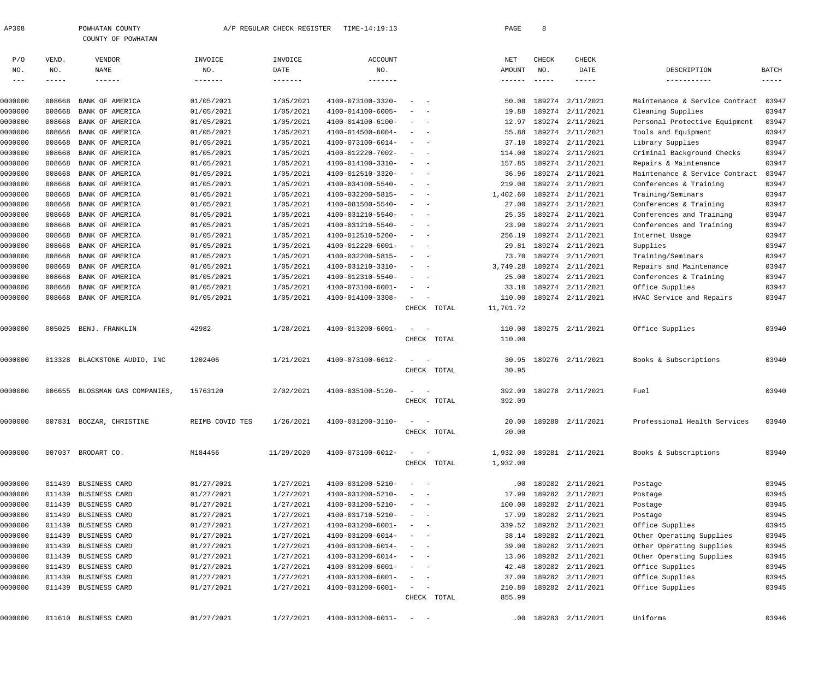| AP308   |        | POWHATAN COUNTY                |            | A/P REGULAR CHECK REGISTER | TIME-14:19:13     |                                   |     | PAGE   | 8            |                                             |                                |        |
|---------|--------|--------------------------------|------------|----------------------------|-------------------|-----------------------------------|-----|--------|--------------|---------------------------------------------|--------------------------------|--------|
|         |        | COUNTY OF POWHATAN             |            |                            |                   |                                   |     |        |              |                                             |                                |        |
| P/O     | VEND.  | VENDOR                         | INVOICE    | INVOICE                    | ACCOUNT           |                                   |     | NET    | <b>CHECK</b> | CHECK                                       |                                |        |
| NO.     | NO.    | NAME                           | NO.        | DATE                       | NO.               |                                   |     | AMOUNT | NO.          | DATE                                        | DESCRIPTION                    | BATCH  |
|         |        | ------                         | -------    | --------                   | -------           |                                   |     |        | ------       | -----                                       | -----------                    | ------ |
| 0000000 | 008668 | BANK OF AMERICA                | 01/05/2021 | 1/05/2021                  | 4100-073100-3320- | <b>Service</b>                    |     | 50.00  | 189274       | 2/11/2021                                   | Maintenance & Service Contract | 03947  |
| 0000000 | 008668 | BANK OF AMERICA                | 01/05/2021 | 1/05/2021                  | 4100-014100-6005- | <b>Contract Contract Contract</b> | $-$ | 19.88  | 189274       | 2/11/2021                                   | Cleaning Supplies              | 03947  |
| 0000000 | 008668 | BANK OF AMERICA                | 01/05/2021 | 1/05/2021                  | 4100-014100-6100- | $\sim$ $\sim$                     |     | 12.97  | 189274       | 2/11/2021                                   | Personal Protective Equipment  | 03947  |
| 0000000 | 008668 | BANK OF AMERICA                | 01/05/2021 | 1/05/2021                  | 4100-014500-6004- | $\sim$ $\sim$                     |     | 55.88  | 189274       | 2/11/2021                                   | Tools and Equipment            | 03947  |
| 0000000 | 008668 | BANK OF AMERICA                | 01/05/2021 | 1/05/2021                  | 4100-073100-6014- | $\sim$ $\sim$                     |     | 37.10  | 189274       | 2/11/2021                                   | Library Supplies               | 03947  |
| 0000000 | 008668 | BANK OF AMERICA                | 01/05/2021 | 1/05/2021                  | 4100-012220-7002- | $ -$                              |     | 114.00 | 189274       | 2/11/2021                                   | Criminal Background Checks     | 03947  |
| 0000000 |        | $0.00000$ $0.00000$ $0.000000$ | 01/05/0001 | 1/0F/0001                  | 1100 011100 2210  |                                   |     |        |              | $1\Gamma$ 7 0 $\Gamma$ $100274$ $2111/2021$ | Dennise C. Maintenanna         | 0.2017 |

| 0000000 | 008668 | BANK OF AMERICA                | 01/05/2021      | 1/05/2021  | 4100-014100-6100-            | $\overline{\phantom{a}}$<br>$\overline{\phantom{a}}$ | 12.97      | 189274 2/11/2021          | Personal Protective Equipment  | 03947 |
|---------|--------|--------------------------------|-----------------|------------|------------------------------|------------------------------------------------------|------------|---------------------------|--------------------------------|-------|
| 0000000 | 008668 | BANK OF AMERICA                | 01/05/2021      | 1/05/2021  | 4100-014500-6004-            | $\sim$                                               | 55.88      | 189274 2/11/2021          | Tools and Equipment            | 03947 |
| 0000000 | 008668 | BANK OF AMERICA                | 01/05/2021      | 1/05/2021  | 4100-073100-6014-            | $\sim$<br>$\sim$                                     |            | 37.10 189274 2/11/2021    | Library Supplies               | 03947 |
| 0000000 | 008668 | BANK OF AMERICA                | 01/05/2021      | 1/05/2021  | 4100-012220-7002-            | $\sim$<br>$\sim$                                     | 114.00     | 189274 2/11/2021          | Criminal Background Checks     | 03947 |
| 0000000 | 008668 | BANK OF AMERICA                | 01/05/2021      | 1/05/2021  | 4100-014100-3310-            | $\sim$<br>$\sim$ $-$                                 | 157.85     | 189274 2/11/2021          | Repairs & Maintenance          | 03947 |
| 0000000 | 008668 | BANK OF AMERICA                | 01/05/2021      | 1/05/2021  | 4100-012510-3320-            | $\sim$<br>$\sim$                                     | 36.96      | 189274 2/11/2021          | Maintenance & Service Contract | 03947 |
| 0000000 | 008668 | BANK OF AMERICA                | 01/05/2021      | 1/05/2021  | 4100-034100-5540-            | $\sim$<br>$\sim$ $-$                                 | 219.00     | 189274 2/11/2021          | Conferences & Training         | 03947 |
| 0000000 | 008668 | BANK OF AMERICA                | 01/05/2021      | 1/05/2021  | 4100-032200-5815-            | $\sim$<br>$\sim$ $-$                                 | 1,402.60   | 189274 2/11/2021          | Training/Seminars              | 03947 |
| 0000000 | 008668 | BANK OF AMERICA                | 01/05/2021      | 1/05/2021  | 4100-081500-5540-            | $\sim$<br>$\sim$ $-$                                 | 27.00      | 189274 2/11/2021          | Conferences & Training         | 03947 |
| 0000000 | 008668 | BANK OF AMERICA                | 01/05/2021      | 1/05/2021  | 4100-031210-5540-            | $\sim$<br>$\sim$ $-$                                 | 25.35      | 189274 2/11/2021          | Conferences and Training       | 03947 |
| 0000000 | 008668 | BANK OF AMERICA                | 01/05/2021      | 1/05/2021  | 4100-031210-5540-            | $\sim$<br>$\overline{\phantom{0}}$                   | 23.90      | 189274 2/11/2021          | Conferences and Training       | 03947 |
| 0000000 | 008668 | BANK OF AMERICA                | 01/05/2021      | 1/05/2021  | 4100-012510-5260-            | $\sim$<br>$\sim$                                     |            | 256.19 189274 2/11/2021   | Internet Usage                 | 03947 |
| 0000000 | 008668 | BANK OF AMERICA                | 01/05/2021      | 1/05/2021  | 4100-012220-6001-            | $\sim$<br>$\sim$ $-$                                 | 29.81      | 189274 2/11/2021          | Supplies                       | 03947 |
| 0000000 | 008668 | BANK OF AMERICA                | 01/05/2021      | 1/05/2021  | 4100-032200-5815-            | $\sim$<br>$\sim$ $-$                                 | 73.70      | 189274 2/11/2021          | Training/Seminars              | 03947 |
| 0000000 | 008668 | BANK OF AMERICA                | 01/05/2021      | 1/05/2021  | 4100-031210-3310-            | $\sim$<br>$\sim$ $-$                                 | 3,749.28   | 189274 2/11/2021          | Repairs and Maintenance        | 03947 |
| 0000000 | 008668 | BANK OF AMERICA                | 01/05/2021      | 1/05/2021  | 4100-012310-5540-            | $\sim$<br>$\sim$ $-$                                 | 25.00      | 189274 2/11/2021          | Conferences & Training         | 03947 |
| 0000000 | 008668 | BANK OF AMERICA                | 01/05/2021      | 1/05/2021  | 4100-073100-6001-            | $\sim$<br>$\sim$                                     | 33.10      | 189274 2/11/2021          | Office Supplies                | 03947 |
| 0000000 | 008668 | BANK OF AMERICA                | 01/05/2021      | 1/05/2021  | 4100-014100-3308-            | $\sim$<br>$\sim$ $-$                                 | 110.00     | 189274 2/11/2021          | HVAC Service and Repairs       | 03947 |
|         |        |                                |                 |            |                              | CHECK TOTAL                                          | 11,701.72  |                           |                                |       |
| 0000000 |        | 005025 BENJ. FRANKLIN          | 42982           | 1/28/2021  | 4100-013200-6001-            | $\sim$<br>$\sim$ $-$                                 | 110.00     | 189275 2/11/2021          | Office Supplies                | 03940 |
|         |        |                                |                 |            |                              | CHECK TOTAL                                          | 110.00     |                           |                                |       |
|         |        |                                |                 |            |                              |                                                      |            |                           |                                |       |
| 0000000 |        | 013328 BLACKSTONE AUDIO, INC   | 1202406         | 1/21/2021  | 4100-073100-6012-            | $\sim$<br>$\sim$ $-$                                 | 30.95      | 189276 2/11/2021          | Books & Subscriptions          | 03940 |
|         |        |                                |                 |            |                              | CHECK TOTAL                                          | 30.95      |                           |                                |       |
|         |        |                                |                 |            |                              |                                                      |            |                           |                                |       |
| 0000000 |        | 006655 BLOSSMAN GAS COMPANIES, | 15763120        | 2/02/2021  | 4100-035100-5120-            | $\sim$<br>$\sim$ $-$                                 | 392.09     | 189278 2/11/2021          | Fuel                           | 03940 |
|         |        |                                |                 |            |                              | CHECK TOTAL                                          | 392.09     |                           |                                |       |
|         |        |                                |                 |            |                              |                                                      |            |                           |                                |       |
| 0000000 |        | 007831 BOCZAR, CHRISTINE       | REIMB COVID TES | 1/26/2021  | 4100-031200-3110-            | $\sim$<br>$\sim$ $-$                                 | 20.00      | 189280 2/11/2021          | Professional Health Services   | 03940 |
|         |        |                                |                 |            |                              | CHECK TOTAL                                          | 20.00      |                           |                                |       |
|         |        |                                |                 |            |                              |                                                      |            |                           |                                |       |
| 0000000 |        | 007037 BRODART CO.             | M184456         | 11/29/2020 | 4100-073100-6012-            | $\sim$<br>$\sim$ $-$                                 |            | 1,932.00 189281 2/11/2021 | Books & Subscriptions          | 03940 |
|         |        |                                |                 |            |                              | CHECK TOTAL                                          | 1,932.00   |                           |                                |       |
| 0000000 | 011439 | <b>BUSINESS CARD</b>           | 01/27/2021      | 1/27/2021  | 4100-031200-5210-            | $-$<br>$-$                                           | $.00 \ \,$ | 189282 2/11/2021          | Postage                        | 03945 |
| 0000000 |        | 011439 BUSINESS CARD           | 01/27/2021      | 1/27/2021  | 4100-031200-5210-            | $\alpha = 1, \ldots, \alpha$                         |            | 17.99 189282 2/11/2021    | Postage                        | 03945 |
| 0000000 |        | 011439 BUSINESS CARD           | 01/27/2021      | 1/27/2021  | 4100-031200-5210-            |                                                      |            | 100.00 189282 2/11/2021   | Postage                        | 03945 |
| 0000000 | 011439 | BUSINESS CARD                  | 01/27/2021      | 1/27/2021  | 4100-031710-5210-            | $\sim$<br>$\sim$ $-$                                 |            | 17.99 189282 2/11/2021    | Postage                        | 03945 |
| 0000000 | 011439 | BUSINESS CARD                  | 01/27/2021      | 1/27/2021  | 4100-031200-6001-            | $\alpha = 1, \ldots, \alpha$                         |            | 339.52 189282 2/11/2021   | Office Supplies                | 03945 |
| 0000000 |        | 011439 BUSINESS CARD           | 01/27/2021      | 1/27/2021  | 4100-031200-6014-            | $\alpha = 1, \ldots, \alpha$                         |            | 38.14 189282 2/11/2021    | Other Operating Supplies       | 03945 |
| 0000000 | 011439 | BUSINESS CARD                  | 01/27/2021      | 1/27/2021  | 4100-031200-6014-            | $\sim$<br>$\sim$ $-$                                 | 39.00      | 189282 2/11/2021          | Other Operating Supplies       | 03945 |
| 0000000 | 011439 | BUSINESS CARD                  | 01/27/2021      | 1/27/2021  | 4100-031200-6014-            | $\sim$<br>$\sim$ $-$                                 | 13.06      | 189282 2/11/2021          | Other Operating Supplies       | 03945 |
| 0000000 |        | 011439 BUSINESS CARD           | 01/27/2021      | 1/27/2021  | 4100-031200-6001-            | $\alpha = 1, \ldots, \alpha$                         | 42.40      | 189282 2/11/2021          | Office Supplies                | 03945 |
| 0000000 | 011439 | BUSINESS CARD                  | 01/27/2021      | 1/27/2021  | 4100-031200-6001-            | $\alpha = 1, \ldots, n-1$                            | 37.09      | 189282 2/11/2021          | Office Supplies                | 03945 |
| 0000000 |        | 011439 BUSINESS CARD           | 01/27/2021      | 1/27/2021  | 4100-031200-6001-            | $\sim$<br>$\overline{\phantom{a}}$                   | 210.80     | 189282 2/11/2021          | Office Supplies                | 03945 |
|         |        |                                |                 |            |                              | CHECK TOTAL                                          | 855.99     |                           |                                |       |
|         |        |                                |                 |            |                              |                                                      |            |                           |                                |       |
| 0000000 |        | 011610 BUSINESS CARD           | 01/27/2021      | 1/27/2021  | $4100 - 031200 - 6011 - - -$ |                                                      |            | $.00$ 189283 2/11/2021    | Uniforms                       | 03946 |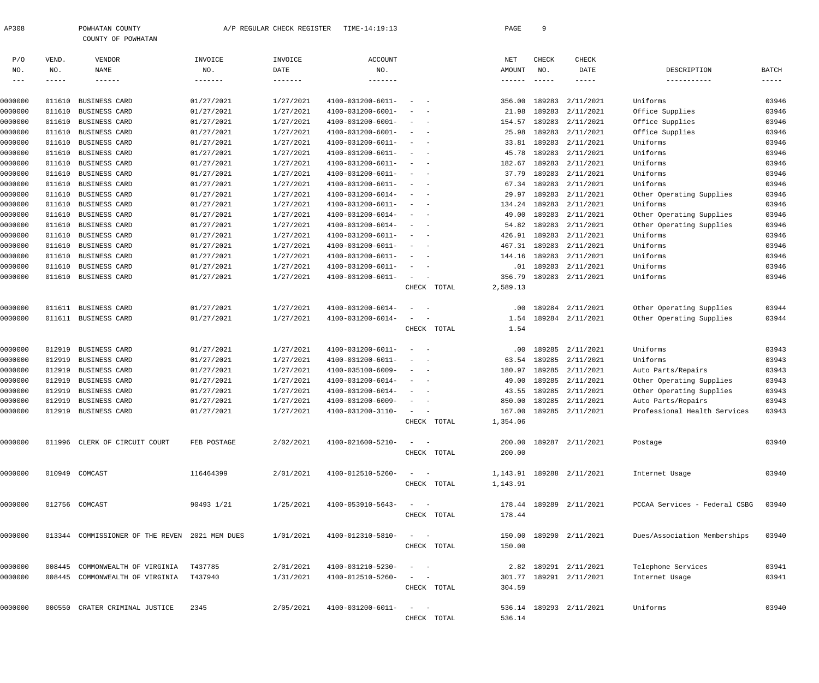| AP308 | POWHATAN COUNTY    | A/P REGULAR CHECK REGISTER | TIME-14:19:13 | PAGE |  |
|-------|--------------------|----------------------------|---------------|------|--|
|       | COUNTY OF POWHATAN |                            |               |      |  |

| P/O     | VEND.       | VENDOR                                         | INVOICE     | INVOICE   | ACCOUNT           |                                                              |             | NET      | CHECK         | CHECK                        |                               |                      |
|---------|-------------|------------------------------------------------|-------------|-----------|-------------------|--------------------------------------------------------------|-------------|----------|---------------|------------------------------|-------------------------------|----------------------|
| NO.     | NO.         | NAME                                           | NO.         | DATE      | NO.               |                                                              |             | AMOUNT   | NO.           | DATE                         | DESCRIPTION                   | BATCH                |
| $- - -$ | $- - - - -$ | $- - - - - - -$                                | -------     | --------  | -------           |                                                              |             | ------   | $- - - - - -$ | $- - - - - -$                | ------------                  | $\cdots\cdots\cdots$ |
| 0000000 | 011610      | BUSINESS CARD                                  | 01/27/2021  | 1/27/2021 | 4100-031200-6011- |                                                              |             | 356.00   | 189283        | 2/11/2021                    | Uniforms                      | 03946                |
| 0000000 | 011610      | BUSINESS CARD                                  | 01/27/2021  | 1/27/2021 | 4100-031200-6001- | $\sim$                                                       |             | 21.98    |               | 189283 2/11/2021             | Office Supplies               | 03946                |
| 0000000 | 011610      | BUSINESS CARD                                  | 01/27/2021  | 1/27/2021 | 4100-031200-6001- | $\sim$                                                       |             | 154.57   |               | 189283 2/11/2021             | Office Supplies               | 03946                |
| 0000000 | 011610      | BUSINESS CARD                                  | 01/27/2021  | 1/27/2021 | 4100-031200-6001- | $\sim$                                                       |             | 25.98    |               | 189283 2/11/2021             | Office Supplies               | 03946                |
| 0000000 | 011610      | BUSINESS CARD                                  | 01/27/2021  | 1/27/2021 | 4100-031200-6011- | $\sim$                                                       |             | 33.81    |               | 189283 2/11/2021             | Uniforms                      | 03946                |
| 0000000 | 011610      | BUSINESS CARD                                  | 01/27/2021  | 1/27/2021 | 4100-031200-6011- | $\sim$                                                       |             | 45.78    |               | 189283 2/11/2021             | Uniforms                      | 03946                |
| 0000000 | 011610      | BUSINESS CARD                                  | 01/27/2021  | 1/27/2021 | 4100-031200-6011- | $\sim$                                                       |             | 182.67   |               | 189283 2/11/2021             | Uniforms                      | 03946                |
| 0000000 | 011610      | BUSINESS CARD                                  | 01/27/2021  | 1/27/2021 | 4100-031200-6011- | $\sim$                                                       |             | 37.79    |               | 189283 2/11/2021             | Uniforms                      | 03946                |
| 0000000 | 011610      | BUSINESS CARD                                  | 01/27/2021  | 1/27/2021 | 4100-031200-6011- | $\sim$                                                       |             | 67.34    |               | 189283 2/11/2021             | Uniforms                      | 03946                |
| 0000000 | 011610      | BUSINESS CARD                                  | 01/27/2021  | 1/27/2021 | 4100-031200-6014- | $\sim$                                                       |             | 29.97    |               | 189283 2/11/2021             | Other Operating Supplies      | 03946                |
| 0000000 | 011610      | BUSINESS CARD                                  | 01/27/2021  | 1/27/2021 | 4100-031200-6011- | $\sim$                                                       |             | 134.24   |               | 189283 2/11/2021             | Uniforms                      | 03946                |
| 0000000 | 011610      | BUSINESS CARD                                  | 01/27/2021  | 1/27/2021 | 4100-031200-6014- | $\sim$                                                       |             | 49.00    |               | 189283 2/11/2021             | Other Operating Supplies      | 03946                |
| 0000000 | 011610      | BUSINESS CARD                                  | 01/27/2021  | 1/27/2021 | 4100-031200-6014- | $\overline{\phantom{a}}$                                     |             | 54.82    |               | 189283 2/11/2021             | Other Operating Supplies      | 03946                |
| 0000000 | 011610      | BUSINESS CARD                                  | 01/27/2021  | 1/27/2021 | 4100-031200-6011- | $\sim$                                                       |             | 426.91   |               | 189283 2/11/2021             | Uniforms                      | 03946                |
| 0000000 | 011610      | BUSINESS CARD                                  | 01/27/2021  | 1/27/2021 | 4100-031200-6011- | $\overline{\phantom{a}}$                                     |             | 467.31   |               | 189283 2/11/2021             | Uniforms                      | 03946                |
| 0000000 | 011610      | BUSINESS CARD                                  | 01/27/2021  | 1/27/2021 | 4100-031200-6011- | $\sim$                                                       |             | 144.16   |               | 189283 2/11/2021             | Uniforms                      | 03946                |
| 0000000 | 011610      | BUSINESS CARD                                  | 01/27/2021  | 1/27/2021 | 4100-031200-6011- | $\sim$                                                       |             | .01      |               | 189283 2/11/2021             | Uniforms                      | 03946                |
| 0000000 |             | 011610 BUSINESS CARD                           | 01/27/2021  | 1/27/2021 | 4100-031200-6011- | $\sim$                                                       |             | 356.79   |               | 189283 2/11/2021             | Uniforms                      | 03946                |
|         |             |                                                |             |           |                   |                                                              | CHECK TOTAL | 2,589.13 |               |                              |                               |                      |
| 0000000 | 011611      | BUSINESS CARD                                  | 01/27/2021  | 1/27/2021 | 4100-031200-6014- |                                                              |             | $.00 \,$ |               | 189284 2/11/2021             | Other Operating Supplies      | 03944                |
| 0000000 |             | 011611 BUSINESS CARD                           | 01/27/2021  | 1/27/2021 | 4100-031200-6014- |                                                              |             | 1.54     |               | 189284 2/11/2021             | Other Operating Supplies      | 03944                |
|         |             |                                                |             |           |                   |                                                              | CHECK TOTAL | 1.54     |               |                              |                               |                      |
| 0000000 | 012919      | BUSINESS CARD                                  | 01/27/2021  | 1/27/2021 | 4100-031200-6011- | $\sim$ $-$                                                   |             | $.00 \,$ |               | 189285 2/11/2021             | Uniforms                      | 03943                |
| 0000000 | 012919      | BUSINESS CARD                                  | 01/27/2021  | 1/27/2021 | 4100-031200-6011- |                                                              |             | 63.54    |               | 189285 2/11/2021             | Uniforms                      | 03943                |
| 0000000 | 012919      | BUSINESS CARD                                  | 01/27/2021  | 1/27/2021 | 4100-035100-6009- | $\sim$<br>$\sim$ $-$                                         |             | 180.97   |               | 189285 2/11/2021             | Auto Parts/Repairs            | 03943                |
| 0000000 | 012919      | BUSINESS CARD                                  | 01/27/2021  | 1/27/2021 | 4100-031200-6014- | $\overline{\phantom{a}}$                                     |             | 49.00    |               | 189285 2/11/2021             | Other Operating Supplies      | 03943                |
| 0000000 | 012919      | BUSINESS CARD                                  | 01/27/2021  | 1/27/2021 | 4100-031200-6014- | $\sim$                                                       |             | 43.55    |               | 189285 2/11/2021             | Other Operating Supplies      | 03943                |
| 0000000 | 012919      | BUSINESS CARD                                  | 01/27/2021  | 1/27/2021 | 4100-031200-6009- | $\overline{\phantom{a}}$                                     |             | 850.00   |               | 189285 2/11/2021             | Auto Parts/Repairs            | 03943                |
| 0000000 |             | 012919 BUSINESS CARD                           | 01/27/2021  | 1/27/2021 | 4100-031200-3110- | $\sim$                                                       |             | 167.00   |               | 189285 2/11/2021             | Professional Health Services  | 03943                |
|         |             |                                                |             |           |                   |                                                              | CHECK TOTAL | 1,354.06 |               |                              |                               |                      |
| 0000000 |             | 011996 CLERK OF CIRCUIT COURT                  | FEB POSTAGE | 2/02/2021 | 4100-021600-5210- | $\mathcal{L}_{\text{max}}$ , and $\mathcal{L}_{\text{max}}$  |             |          |               | 200.00 189287 2/11/2021      | Postage                       | 03940                |
|         |             |                                                |             |           |                   |                                                              | CHECK TOTAL | 200.00   |               |                              |                               |                      |
| 0000000 |             | 010949 COMCAST                                 | 116464399   | 2/01/2021 | 4100-012510-5260- | $\sim$ $  -$                                                 |             |          |               | 1, 143.91  189288  2/11/2021 | Internet Usage                | 03940                |
|         |             |                                                |             |           |                   |                                                              | CHECK TOTAL | 1,143.91 |               |                              |                               |                      |
| 0000000 |             | 012756 COMCAST                                 | 90493 1/21  | 1/25/2021 | 4100-053910-5643- | $\mathcal{L} = \mathcal{L} \times \mathcal{L} = \mathcal{L}$ |             |          |               | 178.44 189289 2/11/2021      | PCCAA Services - Federal CSBG | 03940                |
|         |             |                                                |             |           |                   |                                                              | CHECK TOTAL | 178.44   |               |                              |                               |                      |
| 0000000 |             | 013344 COMMISSIONER OF THE REVEN 2021 MEM DUES |             | 1/01/2021 | 4100-012310-5810- | $\qquad \qquad -$                                            |             |          |               | 150.00 189290 2/11/2021      | Dues/Association Memberships  | 03940                |
|         |             |                                                |             |           |                   |                                                              | CHECK TOTAL | 150.00   |               |                              |                               |                      |
| 0000000 | 008445      | COMMONWEALTH OF VIRGINIA                       | T437785     | 2/01/2021 | 4100-031210-5230- | $\sim$ $  -$                                                 |             |          |               | 2.82 189291 2/11/2021        | Telephone Services            | 03941                |
| 0000000 |             | 008445 COMMONWEALTH OF VIRGINIA T437940        |             | 1/31/2021 | 4100-012510-5260- | $\frac{1}{2}$ and $\frac{1}{2}$ and $\frac{1}{2}$            |             |          |               | 301.77 189291 2/11/2021      | Internet Usage                | 03941                |
|         |             |                                                |             |           |                   |                                                              | CHECK TOTAL | 304.59   |               |                              |                               |                      |
| 0000000 |             | 000550 CRATER CRIMINAL JUSTICE                 | 2345        | 2/05/2021 | 4100-031200-6011- | $\mathcal{L} = \mathcal{L} \times \mathcal{L} = \mathcal{L}$ |             |          |               | 536.14 189293 2/11/2021      | Uniforms                      | 03940                |
|         |             |                                                |             |           |                   |                                                              | CHECK TOTAL | 536.14   |               |                              |                               |                      |
|         |             |                                                |             |           |                   |                                                              |             |          |               |                              |                               |                      |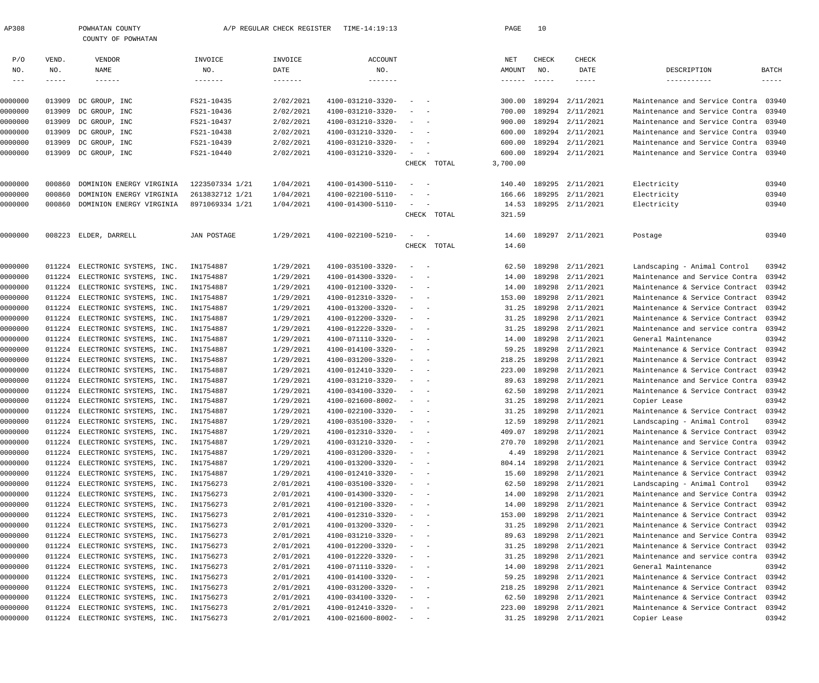| AP308              |                  | POWHATAN COUNTY<br>COUNTY OF POWHATAN                |                        | A/P REGULAR CHECK REGISTER | TIME-14:19:13                          |                                                                                  |             | PAGE           | 10                        |                                      |                                                                  |                           |
|--------------------|------------------|------------------------------------------------------|------------------------|----------------------------|----------------------------------------|----------------------------------------------------------------------------------|-------------|----------------|---------------------------|--------------------------------------|------------------------------------------------------------------|---------------------------|
| P/O                | VEND.            | VENDOR                                               | INVOICE                | INVOICE                    | <b>ACCOUNT</b>                         |                                                                                  |             | NET            | CHECK                     | CHECK                                |                                                                  |                           |
| NO.                | NO.              | <b>NAME</b>                                          | NO.                    | DATE                       | NO.                                    |                                                                                  |             | AMOUNT         | NO.                       | DATE                                 | DESCRIPTION                                                      | BATCH                     |
| $- - -$            | -----            | $- - - - - - -$                                      | -------                |                            | $- - - - - - - -$                      |                                                                                  |             |                | $\qquad \qquad - - - - -$ | $------$                             | -----------                                                      | $\qquad \qquad - - - - -$ |
| 0000000            | 013909           |                                                      | FS21-10435             | 2/02/2021                  | 4100-031210-3320-                      |                                                                                  |             | 300.00         |                           | 189294 2/11/2021                     | Maintenance and Service Contra                                   | 03940                     |
| 0000000            | 013909           | DC GROUP, INC<br>DC GROUP, INC                       | FS21-10436             | 2/02/2021                  | 4100-031210-3320-                      | $\overline{\phantom{a}}$<br>$\sim$                                               |             | 700.00         |                           | 189294 2/11/2021                     | Maintenance and Service Contra                                   | 03940                     |
| 0000000            | 013909           | DC GROUP, INC                                        | FS21-10437             | 2/02/2021                  | 4100-031210-3320-                      | $\overline{\phantom{a}}$                                                         |             | 900.00         |                           | 189294 2/11/2021                     | Maintenance and Service Contra                                   | 03940                     |
| 0000000            | 013909           | DC GROUP, INC                                        | FS21-10438             | 2/02/2021                  | 4100-031210-3320-                      | $\overline{\phantom{a}}$                                                         |             | 600.00         |                           | 189294 2/11/2021                     | Maintenance and Service Contra                                   | 03940                     |
| 0000000            | 013909           | DC GROUP, INC                                        | FS21-10439             | 2/02/2021                  | 4100-031210-3320-                      | $\overline{\phantom{a}}$                                                         |             | 600.00         |                           | 189294 2/11/2021                     | Maintenance and Service Contra                                   | 03940                     |
| 0000000            |                  | 013909 DC GROUP, INC                                 | FS21-10440             | 2/02/2021                  | 4100-031210-3320-                      | $\sim$                                                                           |             | 600.00         |                           | 189294 2/11/2021                     | Maintenance and Service Contra                                   | 03940                     |
|                    |                  |                                                      |                        |                            |                                        |                                                                                  | CHECK TOTAL | 3,700.00       |                           |                                      |                                                                  |                           |
| 0000000            | 000860           | DOMINION ENERGY VIRGINIA                             | 1223507334 1/21        | 1/04/2021                  | 4100-014300-5110-                      | $\overline{\phantom{a}}$                                                         |             | 140.40         |                           | 189295 2/11/2021                     | Electricity                                                      | 03940                     |
| 0000000            | 000860           | DOMINION ENERGY VIRGINIA                             | 2613832712 1/21        | 1/04/2021                  | 4100-022100-5110-                      | $\overline{\phantom{a}}$                                                         |             | 166.66         |                           | 189295 2/11/2021                     | Electricity                                                      | 03940                     |
| 0000000            | 000860           | DOMINION ENERGY VIRGINIA                             | 8971069334 1/21        | 1/04/2021                  | 4100-014300-5110-                      | $\sim$                                                                           |             | 14.53          |                           | 189295 2/11/2021                     | Electricity                                                      | 03940                     |
|                    |                  |                                                      |                        |                            |                                        |                                                                                  | CHECK TOTAL | 321.59         |                           |                                      |                                                                  |                           |
| 0000000            | 008223           | ELDER, DARRELL                                       | <b>JAN POSTAGE</b>     | 1/29/2021                  | 4100-022100-5210-                      | $\sim$                                                                           |             | 14.60          |                           | 189297 2/11/2021                     | Postage                                                          | 03940                     |
|                    |                  |                                                      |                        |                            |                                        |                                                                                  | CHECK TOTAL | 14.60          |                           |                                      |                                                                  |                           |
|                    |                  |                                                      |                        |                            |                                        |                                                                                  |             |                |                           |                                      |                                                                  |                           |
| 0000000            | 011224           | ELECTRONIC SYSTEMS, INC.                             | IN1754887              | 1/29/2021                  | 4100-035100-3320-                      | $\overline{\phantom{a}}$                                                         |             | 62.50          |                           | 189298 2/11/2021                     | Landscaping - Animal Control                                     | 03942                     |
| 0000000            | 011224           | ELECTRONIC SYSTEMS, INC.                             | IN1754887              | 1/29/2021                  | 4100-014300-3320-                      | $\overline{\phantom{a}}$<br>$\overline{\phantom{0}}$                             |             | 14.00          |                           | 189298 2/11/2021                     | Maintenance and Service Contra                                   | 03942                     |
| 0000000            | 011224           | ELECTRONIC SYSTEMS, INC.                             | IN1754887              | 1/29/2021                  | 4100-012100-3320-                      | $\overline{\phantom{a}}$                                                         |             | 14.00          |                           | 189298 2/11/2021                     | Maintenance & Service Contract                                   | 03942                     |
| 0000000            | 011224           | ELECTRONIC SYSTEMS, INC.                             | IN1754887              | 1/29/2021<br>1/29/2021     | 4100-012310-3320-                      | $\overline{\phantom{a}}$<br>$\overline{\phantom{a}}$<br>$\overline{\phantom{a}}$ |             | 153.00         |                           | 189298 2/11/2021                     | Maintenance & Service Contract                                   | 03942                     |
| 0000000<br>0000000 | 011224<br>011224 | ELECTRONIC SYSTEMS, INC.<br>ELECTRONIC SYSTEMS, INC. | IN1754887<br>IN1754887 | 1/29/2021                  | 4100-013200-3320-<br>4100-012200-3320- | $\overline{\phantom{a}}$                                                         |             | 31.25<br>31.25 |                           | 189298 2/11/2021<br>189298 2/11/2021 | Maintenance & Service Contract<br>Maintenance & Service Contract | 03942<br>03942            |
| 0000000            | 011224           | ELECTRONIC SYSTEMS, INC.                             | IN1754887              | 1/29/2021                  | 4100-012220-3320-                      | $\overline{\phantom{m}}$<br>$\overline{\phantom{0}}$                             |             | 31.25          |                           | 189298 2/11/2021                     | Maintenance and service contra                                   | 03942                     |
| 0000000            | 011224           | ELECTRONIC SYSTEMS, INC.                             | IN1754887              | 1/29/2021                  | 4100-071110-3320-                      | $\overline{\phantom{a}}$                                                         |             | 14.00          |                           | 189298 2/11/2021                     | General Maintenance                                              | 03942                     |
| 0000000            | 011224           | ELECTRONIC SYSTEMS, INC.                             | IN1754887              | 1/29/2021                  | 4100-014100-3320-                      | $\overline{\phantom{a}}$<br>$\overline{\phantom{a}}$                             |             | 59.25          |                           | 189298 2/11/2021                     | Maintenance & Service Contract                                   | 03942                     |
| 0000000            | 011224           | ELECTRONIC SYSTEMS, INC.                             | IN1754887              | 1/29/2021                  | 4100-031200-3320-                      | $\overline{\phantom{m}}$<br>$\sim$                                               |             | 218.25         |                           | 189298 2/11/2021                     | Maintenance & Service Contract                                   | 03942                     |
| 0000000            | 011224           | ELECTRONIC SYSTEMS, INC.                             | IN1754887              | 1/29/2021                  | 4100-012410-3320-                      | $\overline{\phantom{a}}$                                                         |             | 223.00         |                           | 189298 2/11/2021                     | Maintenance & Service Contract                                   | 03942                     |
| 0000000            | 011224           | ELECTRONIC SYSTEMS, INC.                             | IN1754887              | 1/29/2021                  | 4100-031210-3320-                      | $\overline{\phantom{a}}$<br>$\overline{\phantom{a}}$                             |             | 89.63          |                           | 189298 2/11/2021                     | Maintenance and Service Contra                                   | 03942                     |
| 0000000            | 011224           | ELECTRONIC SYSTEMS, INC.                             | IN1754887              | 1/29/2021                  | 4100-034100-3320-                      | $\overline{\phantom{a}}$                                                         |             | 62.50          |                           | 189298 2/11/2021                     | Maintenance & Service Contract                                   | 03942                     |
| 0000000            |                  | 011224 ELECTRONIC SYSTEMS, INC.                      | IN1754887              | 1/29/2021                  | 4100-021600-8002-                      |                                                                                  |             |                |                           | 31.25 189298 2/11/2021               | Copier Lease                                                     | 03942                     |
| 0000000            | 011224           | ELECTRONIC SYSTEMS, INC.                             | IN1754887              | 1/29/2021                  | 4100-022100-3320-                      | $\overline{\phantom{m}}$<br>$\sim$                                               |             | 31.25          |                           | 189298 2/11/2021                     | Maintenance & Service Contract                                   | 03942                     |
| 0000000            | 011224           | ELECTRONIC SYSTEMS, INC.                             | IN1754887              | 1/29/2021                  | 4100-035100-3320-                      |                                                                                  |             | 12.59          |                           | 189298 2/11/2021                     | Landscaping - Animal Control                                     | 03942                     |
| 0000000            | 011224           | ELECTRONIC SYSTEMS, INC.                             | IN1754887              | 1/29/2021                  | 4100-012310-3320-                      | $\sim$<br>$\sim$ $-$                                                             |             | 409.07         |                           | 189298 2/11/2021                     | Maintenance & Service Contract 03942                             |                           |
| 0000000            | 011224           | ELECTRONIC SYSTEMS, INC.                             | IN1754887              | 1/29/2021                  | 4100-031210-3320-                      | $\sim$<br>$\sim$                                                                 |             | 270.70         |                           | 189298 2/11/2021                     | Maintenance and Service Contra                                   | 03942                     |
| 0000000            | 011224           | ELECTRONIC SYSTEMS, INC.                             | IN1754887              | 1/29/2021                  | 4100-031200-3320-                      | $\overline{\phantom{m}}$<br>$\sim$                                               |             | 4.49           |                           | 189298 2/11/2021                     | Maintenance & Service Contract                                   | 03942                     |
| 0000000            | 011224           | ELECTRONIC SYSTEMS, INC.                             | IN1754887              | 1/29/2021                  | 4100-013200-3320-                      | $\sim$<br>$\sim$                                                                 |             | 804.14         |                           | 189298 2/11/2021                     | Maintenance & Service Contract                                   | 03942                     |
| 0000000            | 011224           | ELECTRONIC SYSTEMS, INC.                             | IN1754887              | 1/29/2021                  | 4100-012410-3320-                      | $\sim$<br>$\sim$                                                                 |             | 15.60          |                           | 189298 2/11/2021                     | Maintenance & Service Contract                                   | 03942                     |
| 0000000            | 011224           | ELECTRONIC SYSTEMS, INC.                             | IN1756273              | 2/01/2021                  | 4100-035100-3320-                      | $\overline{\phantom{m}}$<br>$\sim$                                               |             | 62.50          |                           | 189298 2/11/2021                     | Landscaping - Animal Control                                     | 03942                     |
| 0000000            | 011224           | ELECTRONIC SYSTEMS, INC.                             | IN1756273              | 2/01/2021                  | 4100-014300-3320-                      | $\sim$<br>$\sim$ $-$                                                             |             | 14.00          |                           | 189298 2/11/2021                     | Maintenance and Service Contra                                   | 03942                     |
| 0000000            | 011224           | ELECTRONIC SYSTEMS, INC.                             | IN1756273              | 2/01/2021                  | 4100-012100-3320-                      | $\overline{\phantom{m}}$<br>$\sim$                                               |             | 14.00          |                           | 189298 2/11/2021                     | Maintenance & Service Contract                                   | 03942                     |
| 0000000            | 011224           | ELECTRONIC SYSTEMS, INC.                             | IN1756273              | 2/01/2021                  | 4100-012310-3320-                      | $\sim$<br>$\sim$                                                                 |             | 153.00         |                           | 189298 2/11/2021                     | Maintenance & Service Contract                                   | 03942                     |
| 0000000            | 011224           | ELECTRONIC SYSTEMS, INC.                             | IN1756273              | 2/01/2021                  | 4100-013200-3320-                      | $\sim$<br>$\sim$ $-$                                                             |             | 31.25          |                           | 189298 2/11/2021                     | Maintenance & Service Contract                                   | 03942                     |
| 0000000            | 011224           | ELECTRONIC SYSTEMS, INC.                             | IN1756273              | 2/01/2021                  | 4100-031210-3320-                      | $\overline{\phantom{m}}$<br>$\sim$                                               |             | 89.63          |                           | 189298 2/11/2021                     | Maintenance and Service Contra                                   | 03942                     |
| 0000000            | 011224           | ELECTRONIC SYSTEMS, INC.                             | IN1756273              | 2/01/2021                  | 4100-012200-3320-                      | $\sim$<br>$\sim$                                                                 |             | 31.25          |                           | 189298 2/11/2021                     | Maintenance & Service Contract                                   | 03942                     |
| 0000000            | 011224           | ELECTRONIC SYSTEMS, INC.                             | IN1756273              | 2/01/2021                  | 4100-012220-3320-                      | $\sim$<br>$\sim$ $-$                                                             |             | 31.25          |                           | 189298 2/11/2021                     | Maintenance and service contra                                   | 03942                     |
| 0000000            | 011224           | ELECTRONIC SYSTEMS, INC.                             | IN1756273              | 2/01/2021                  | 4100-071110-3320-                      | $\overline{\phantom{m}}$<br>$\sim$                                               |             | 14.00          |                           | 189298 2/11/2021                     | General Maintenance                                              | 03942                     |
| 0000000            | 011224           | ELECTRONIC SYSTEMS, INC.                             | IN1756273              | 2/01/2021                  | 4100-014100-3320-                      | $\sim$<br>$\sim$                                                                 |             | 59.25          |                           | 189298 2/11/2021                     | Maintenance & Service Contract                                   | 03942                     |
| 0000000            | 011224           | ELECTRONIC SYSTEMS, INC.                             | IN1756273              | 2/01/2021                  | 4100-031200-3320-                      | $\overline{\phantom{m}}$<br>$\sim$                                               |             | 218.25         |                           | 189298 2/11/2021                     | Maintenance & Service Contract                                   | 03942                     |
| 0000000            | 011224           | ELECTRONIC SYSTEMS, INC.                             | IN1756273              | 2/01/2021                  | 4100-034100-3320-                      | $\sim$<br>$\sim$                                                                 |             | 62.50          |                           | 189298 2/11/2021                     | Maintenance & Service Contract                                   | 03942                     |
| 0000000            | 011224           | ELECTRONIC SYSTEMS, INC.                             | IN1756273              | 2/01/2021                  | 4100-012410-3320-                      | $\sim$<br>$\sim$ $-$                                                             |             | 223.00         |                           | 189298 2/11/2021                     | Maintenance & Service Contract                                   | 03942                     |
| 0000000            |                  | 011224 ELECTRONIC SYSTEMS, INC.                      | IN1756273              | 2/01/2021                  | 4100-021600-8002-                      | $\alpha = 1, \ldots, n-1$                                                        |             |                |                           | 31.25 189298 2/11/2021               | Copier Lease                                                     | 03942                     |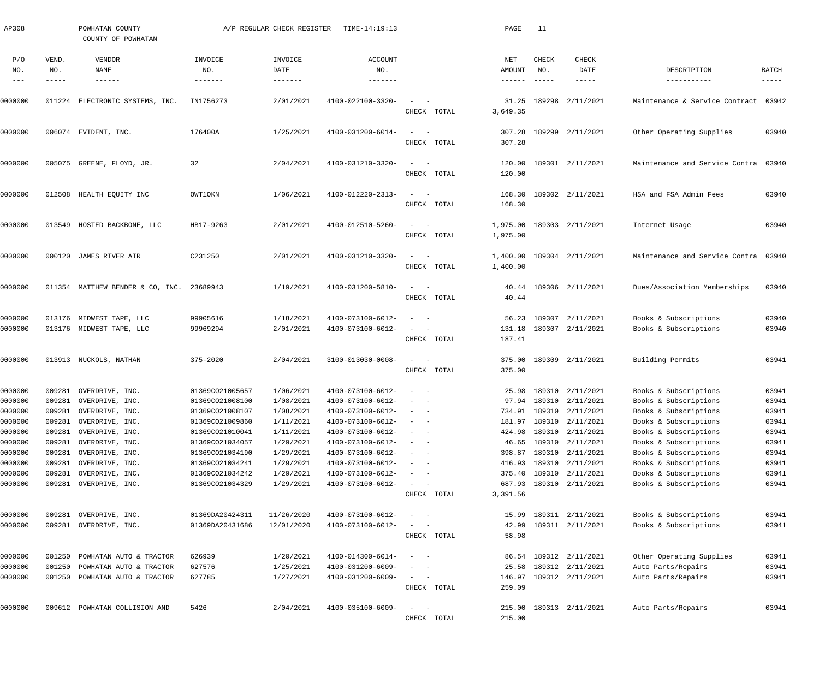| AP308                          |              | POWHATAN COUNTY<br>COUNTY OF POWHATAN                          |                      | A/P REGULAR CHECK REGISTER | TIME-14:19:13                |                                        |             | PAGE               | 11                        |                           |                                                     |              |
|--------------------------------|--------------|----------------------------------------------------------------|----------------------|----------------------------|------------------------------|----------------------------------------|-------------|--------------------|---------------------------|---------------------------|-----------------------------------------------------|--------------|
| P/O<br>NO.                     | VEND.<br>NO. | VENDOR<br><b>NAME</b>                                          | INVOICE<br>NO.       | INVOICE<br>DATE            | <b>ACCOUNT</b><br>NO.        |                                        |             | NET<br>AMOUNT      | CHECK<br>NO.              | CHECK<br>DATE             | DESCRIPTION                                         | <b>BATCH</b> |
| $\qquad \qquad - -$<br>0000000 |              | $\qquad \qquad - - - - - -$<br>011224 ELECTRONIC SYSTEMS, INC. | -------<br>IN1756273 | 2/01/2021                  | -------<br>4100-022100-3320- |                                        |             | ------<br>31.25    | $\qquad \qquad - - - - -$ | -----<br>189298 2/11/2021 | -----------<br>Maintenance & Service Contract 03942 | -----        |
|                                |              |                                                                |                      |                            |                              |                                        | CHECK TOTAL | 3,649.35           |                           |                           |                                                     |              |
| 0000000                        |              | 006074 EVIDENT, INC.                                           | 176400A              | 1/25/2021                  | 4100-031200-6014-            | $\equiv$<br>$\sim$ $-$                 | CHECK TOTAL | 307.28<br>307.28   |                           | 189299 2/11/2021          | Other Operating Supplies                            | 03940        |
| 0000000                        |              | 005075 GREENE, FLOYD, JR.                                      | 32                   | 2/04/2021                  | 4100-031210-3320-            | $\equiv$<br>$\sim$                     | CHECK TOTAL | 120.00             |                           | 120.00 189301 2/11/2021   | Maintenance and Service Contra                      | 03940        |
| 0000000                        |              | 012508 HEALTH EQUITY INC                                       | OWT1OKN              | 1/06/2021                  | 4100-012220-2313-            | $\equiv$<br>$\sim$                     | CHECK TOTAL | 168.30             |                           | 168.30 189302 2/11/2021   | HSA and FSA Admin Fees                              | 03940        |
| 0000000                        |              | 013549 HOSTED BACKBONE, LLC                                    | HB17-9263            | 2/01/2021                  | 4100-012510-5260-            | $\equiv$<br>$\sim$                     | CHECK TOTAL | 1,975.00           |                           | 1,975.00 189303 2/11/2021 | Internet Usage                                      | 03940        |
| 0000000                        |              | 000120 JAMES RIVER AIR                                         | C231250              | 2/01/2021                  | 4100-031210-3320-            | $\equiv$<br>$\sim$                     | CHECK TOTAL | 1,400.00           |                           | 1,400.00 189304 2/11/2021 | Maintenance and Service Contra 03940                |              |
| 0000000                        |              | 011354 MATTHEW BENDER & CO, INC. 23689943                      |                      | 1/19/2021                  | 4100-031200-5810-            | $\equiv$<br>$\sim$                     | CHECK TOTAL | 40.44              |                           | 40.44 189306 2/11/2021    | Dues/Association Memberships                        | 03940        |
| 0000000                        |              | 013176 MIDWEST TAPE, LLC                                       | 99905616             | 1/18/2021                  | 4100-073100-6012-            | $\overline{\phantom{0}}$               |             |                    |                           | 56.23 189307 2/11/2021    | Books & Subscriptions                               | 03940        |
| 0000000                        |              | 013176 MIDWEST TAPE, LLC                                       | 99969294             | 2/01/2021                  | 4100-073100-6012-            |                                        | CHECK TOTAL | 131.18<br>187.41   |                           | 189307 2/11/2021          | Books & Subscriptions                               | 03940        |
| 0000000                        |              | 013913 NUCKOLS, NATHAN                                         | 375-2020             | 2/04/2021                  | 3100-013030-0008-            | $\equiv$<br>$\sim$                     | CHECK TOTAL | 375.00             |                           | 375.00 189309 2/11/2021   | Building Permits                                    | 03941        |
| 0000000                        |              | 009281 OVERDRIVE, INC.                                         | 01369CO21005657      | 1/06/2021                  | 4100-073100-6012-            |                                        |             |                    |                           | 25.98 189310 2/11/2021    | Books & Subscriptions                               | 03941        |
| 0000000                        |              | 009281 OVERDRIVE, INC.                                         | 01369CO21008100      | 1/08/2021                  | $4100 - 073100 - 6012 - -$   |                                        |             |                    |                           | 97.94 189310 2/11/2021    | Books & Subscriptions                               | 03941        |
| 0000000                        | 009281       | OVERDRIVE, INC.                                                | 01369CO21008107      | 1/08/2021                  | 4100-073100-6012-            |                                        |             |                    |                           | 734.91 189310 2/11/2021   | Books & Subscriptions                               | 03941        |
| 0000000                        | 009281       | OVERDRIVE, INC.                                                | 01369CO21009860      | 1/11/2021                  | 4100-073100-6012-            |                                        |             | 181.97             |                           | 189310 2/11/2021          | Books & Subscriptions                               | 03941        |
| 0000000                        | 009281       | OVERDRIVE, INC.                                                | 01369CO21010041      | 1/11/2021                  | 4100-073100-6012-            | $\equiv$<br>$\sim$                     |             | 424.98             |                           | 189310 2/11/2021          | Books & Subscriptions                               | 03941        |
| 0000000                        | 009281       | OVERDRIVE, INC.                                                | 01369CO21034057      | 1/29/2021                  | 4100-073100-6012-            | $\equiv$<br>$\sim$ $-$                 |             | 46.65              |                           | 189310 2/11/2021          | Books & Subscriptions                               | 03941        |
| 0000000                        | 009281       | OVERDRIVE, INC.                                                | 01369CO21034190      | 1/29/2021                  | 4100-073100-6012-            | $\equiv$<br>$\sim$ $-$                 |             | 398.87             |                           | 189310 2/11/2021          | Books & Subscriptions                               | 03941        |
| 0000000                        | 009281       | OVERDRIVE, INC.                                                | 01369CO21034241      | 1/29/2021                  | 4100-073100-6012-            | $\equiv$<br>$\sim$                     |             | 416.93             |                           | 189310 2/11/2021          | Books & Subscriptions                               | 03941        |
| 0000000                        | 009281       | OVERDRIVE, INC.                                                | 01369CO21034242      | 1/29/2021                  | 4100-073100-6012-            | $\equiv$<br>$\sim$                     |             | 375.40             |                           | 189310 2/11/2021          | Books & Subscriptions                               | 03941        |
| 0000000                        |              | 009281 OVERDRIVE, INC.                                         | 01369CO21034329      | 1/29/2021                  | 4100-073100-6012-            | $\sim$<br>$\sim$ $-$                   | CHECK TOTAL | 687.93<br>3,391.56 |                           | 189310 2/11/2021          | Books & Subscriptions                               | 03941        |
|                                |              |                                                                |                      |                            |                              |                                        |             |                    |                           |                           |                                                     |              |
| 0000000                        | 009281       | OVERDRIVE, INC.                                                | 01369DA20424311      | 11/26/2020                 | 4100-073100-6012-            | $\equiv$<br>$\sim$ $-$                 |             |                    |                           | 15.99 189311 2/11/2021    | Books & Subscriptions                               | 03941        |
| 0000000                        |              | 009281 OVERDRIVE, INC.                                         | 01369DA20431686      | 12/01/2020                 | 4100-073100-6012-            | $\sim$                                 |             | 42.99              |                           | 189311 2/11/2021          | Books & Subscriptions                               | 03941        |
|                                |              |                                                                |                      |                            |                              |                                        | CHECK TOTAL | 58.98              |                           |                           |                                                     |              |
| 0000000                        | 001250       | POWHATAN AUTO & TRACTOR                                        | 626939               | 1/20/2021                  | 4100-014300-6014-            | $\overline{\phantom{a}}$<br>$\sim$ $-$ |             |                    |                           | 86.54 189312 2/11/2021    | Other Operating Supplies                            | 03941        |
| 0000000                        | 001250       | POWHATAN AUTO & TRACTOR                                        | 627576               | 1/25/2021                  | 4100-031200-6009-            | $\overline{\phantom{0}}$               |             | 25.58              |                           | 189312 2/11/2021          | Auto Parts/Repairs                                  | 03941        |
| 0000000                        |              | 001250 POWHATAN AUTO & TRACTOR                                 | 627785               | 1/27/2021                  | 4100-031200-6009-            | $\sim$ 100 $\mu$<br>$\sim$             |             |                    |                           | 146.97 189312 2/11/2021   | Auto Parts/Repairs                                  | 03941        |
|                                |              |                                                                |                      |                            |                              |                                        | CHECK TOTAL | 259.09             |                           |                           |                                                     |              |
| 0000000                        |              | 009612 POWHATAN COLLISION AND                                  | 5426                 | 2/04/2021                  | 4100-035100-6009-            | $\sim$<br>$\sim$                       |             |                    |                           | 215.00 189313 2/11/2021   | Auto Parts/Repairs                                  | 03941        |
|                                |              |                                                                |                      |                            |                              |                                        | CHECK TOTAL | 215.00             |                           |                           |                                                     |              |
|                                |              |                                                                |                      |                            |                              |                                        |             |                    |                           |                           |                                                     |              |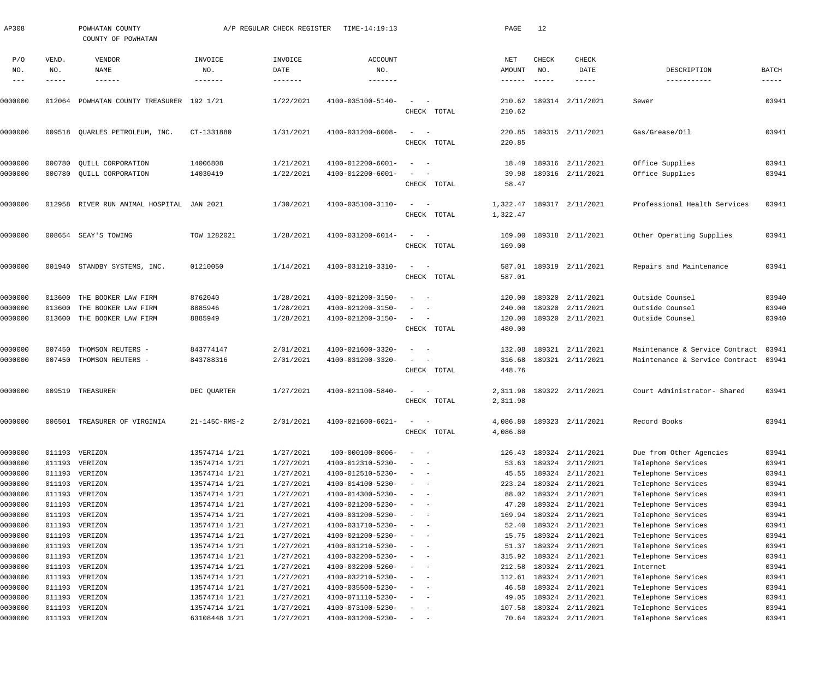| AP308   |        | POWHATAN COUNTY<br>COUNTY OF POWHATAN     |                       | A/P REGULAR CHECK REGISTER | TIME-14:19:13           |                                    |             | PAGE             | 12            |                           |                                |             |
|---------|--------|-------------------------------------------|-----------------------|----------------------------|-------------------------|------------------------------------|-------------|------------------|---------------|---------------------------|--------------------------------|-------------|
| P/O     | VEND.  | VENDOR                                    | INVOICE               | INVOICE                    | ACCOUNT                 |                                    |             | NET              | CHECK         | <b>CHECK</b>              |                                |             |
| NO.     | NO.    | NAME                                      | NO.                   | DATE                       | NO.                     |                                    |             | AMOUNT           | NO.           | DATE                      | DESCRIPTION<br>-----------     | BATCH       |
|         | -----  | $- - - - - - -$                           | -------               | $- - - - - - -$            | $- - - - - - -$         |                                    |             | $- - - - - -$    | $- - - - - -$ | $------$                  |                                | $- - - - -$ |
| 0000000 |        | 012064 POWHATAN COUNTY TREASURER 192 1/21 |                       | 1/22/2021                  | 4100-035100-5140-       |                                    |             | 210.62           |               | 189314 2/11/2021          | Sewer                          | 03941       |
|         |        |                                           |                       |                            |                         |                                    | CHECK TOTAL | 210.62           |               |                           |                                |             |
|         |        |                                           |                       |                            |                         |                                    |             |                  |               |                           |                                | 03941       |
| 0000000 |        | 009518 QUARLES PETROLEUM, INC.            | CT-1331880            | 1/31/2021                  | 4100-031200-6008-       |                                    | CHECK TOTAL | 220.85<br>220.85 |               | 189315 2/11/2021          | Gas/Grease/Oil                 |             |
|         |        |                                           |                       |                            |                         |                                    |             |                  |               |                           |                                |             |
| 0000000 | 000780 | QUILL CORPORATION                         | 14006808              | 1/21/2021                  | 4100-012200-6001-       |                                    |             | 18.49            |               | 189316 2/11/2021          | Office Supplies                | 03941       |
| 0000000 |        | 000780 QUILL CORPORATION                  | 14030419              | 1/22/2021                  | 4100-012200-6001-       |                                    |             | 39.98            |               | 189316 2/11/2021          | Office Supplies                | 03941       |
|         |        |                                           |                       |                            |                         |                                    | CHECK TOTAL | 58.47            |               |                           |                                |             |
| 0000000 |        | 012958 RIVER RUN ANIMAL HOSPITAL JAN 2021 |                       | 1/30/2021                  | 4100-035100-3110-       | $\sim$ $-$                         |             | 1,322.47         |               | 189317 2/11/2021          | Professional Health Services   | 03941       |
|         |        |                                           |                       |                            |                         |                                    | CHECK TOTAL | 1,322.47         |               |                           |                                |             |
|         |        |                                           |                       |                            |                         |                                    |             |                  |               |                           |                                |             |
| 0000000 |        | 008654 SEAY'S TOWING                      | TOW 1282021           | 1/28/2021                  | 4100-031200-6014-       | $\sim$ $-$                         |             | 169.00           |               | 189318 2/11/2021          | Other Operating Supplies       | 03941       |
|         |        |                                           |                       |                            |                         |                                    | CHECK TOTAL | 169.00           |               |                           |                                |             |
|         |        |                                           |                       |                            | 4100-031210-3310-       |                                    |             |                  |               |                           |                                |             |
| 0000000 |        | 001940 STANDBY SYSTEMS, INC.              | 01210050              | 1/14/2021                  |                         | $\sim$ $-$                         | CHECK TOTAL | 587.01<br>587.01 |               | 189319 2/11/2021          | Repairs and Maintenance        | 03941       |
|         |        |                                           |                       |                            |                         |                                    |             |                  |               |                           |                                |             |
| 0000000 | 013600 | THE BOOKER LAW FIRM                       | 8762040               | 1/28/2021                  | 4100-021200-3150-       | $\sim$                             |             | 120.00           | 189320        | 2/11/2021                 | Outside Counsel                | 03940       |
| 0000000 | 013600 | THE BOOKER LAW FIRM                       | 8885946               | 1/28/2021                  | 4100-021200-3150-       |                                    |             | 240.00           | 189320        | 2/11/2021                 | Outside Counsel                | 03940       |
| 0000000 |        | 013600 THE BOOKER LAW FIRM                | 8885949               | 1/28/2021                  | 4100-021200-3150-       | $\sim$<br>$\sim$ $-$               |             | 120.00           |               | 189320 2/11/2021          | Outside Counsel                | 03940       |
|         |        |                                           |                       |                            |                         |                                    | CHECK TOTAL | 480.00           |               |                           |                                |             |
| 0000000 | 007450 | THOMSON REUTERS -                         | 843774147             | 2/01/2021                  | 4100-021600-3320-       | $\sim$                             |             | 132.08           |               | 189321 2/11/2021          | Maintenance & Service Contract | 03941       |
| 0000000 |        | 007450 THOMSON REUTERS -                  | 843788316             | 2/01/2021                  | 4100-031200-3320-       |                                    |             | 316.68           |               | 189321 2/11/2021          | Maintenance & Service Contract | 03941       |
|         |        |                                           |                       |                            |                         |                                    | CHECK TOTAL | 448.76           |               |                           |                                |             |
|         |        |                                           |                       |                            |                         |                                    |             |                  |               |                           |                                |             |
| 0000000 |        | 009519 TREASURER                          | DEC QUARTER           | 1/27/2021                  | 4100-021100-5840-       |                                    | CHECK TOTAL | 2,311.98         |               | 2,311.98 189322 2/11/2021 | Court Administrator- Shared    | 03941       |
|         |        |                                           |                       |                            |                         |                                    |             |                  |               |                           |                                |             |
| 0000000 |        | 006501 TREASURER OF VIRGINIA              | $21 - 145C - RMS - 2$ | 2/01/2021                  | 4100-021600-6021-       |                                    |             | 4,086.80         |               | 189323 2/11/2021          | Record Books                   | 03941       |
|         |        |                                           |                       |                            |                         |                                    | CHECK TOTAL | 4,086.80         |               |                           |                                |             |
| 0000000 |        | 011193 VERIZON                            | 13574714 1/21         | 1/27/2021                  | $100 - 000100 - 0006 -$ | $\overline{\phantom{m}}$<br>$\sim$ |             | 126.43           |               | 189324 2/11/2021          | Due from Other Agencies        | 03941       |
| 0000000 | 011193 | VERIZON                                   | 13574714 1/21         | 1/27/2021                  | 4100-012310-5230-       | $\overline{\phantom{m}}$<br>$\sim$ |             | 53.63            |               | 189324 2/11/2021          | Telephone Services             | 03941       |
| 0000000 |        | 011193 VERIZON                            | 13574714 1/21         | 1/27/2021                  | 4100-012510-5230-       | $\overline{\phantom{m}}$<br>$\sim$ |             | 45.55            |               | 189324 2/11/2021          | Telephone Services             | 03941       |
| 0000000 |        | 011193 VERIZON                            | 13574714 1/21         | 1/27/2021                  | 4100-014100-5230-       | $\sim$<br>$\overline{\phantom{0}}$ |             | 223.24           |               | 189324 2/11/2021          | Telephone Services             | 03941       |
| 0000000 | 011193 | VERIZON                                   | 13574714 1/21         | 1/27/2021                  | 4100-014300-5230-       | $\overline{\phantom{a}}$<br>$\sim$ |             | 88.02            |               | 189324 2/11/2021          | Telephone Services             | 03941       |
| 0000000 | 011193 | VERIZON                                   | 13574714 1/21         | 1/27/2021                  | 4100-021200-5230-       | $\overline{\phantom{m}}$<br>- -    |             | 47.20            |               | 189324 2/11/2021          | Telephone Services             | 03941       |
| 0000000 | 011193 | VERIZON                                   | 13574714 1/21         | 1/27/2021                  | 4100-031200-5230-       | $\sim$<br>$\overline{\phantom{0}}$ |             | 169.94           |               | 189324 2/11/2021          | Telephone Services             | 03941       |
| 0000000 | 011193 | VERIZON                                   | 13574714 1/21         | 1/27/2021                  | 4100-031710-5230-       | $\sim$<br>$\sim$                   |             | 52.40            |               | 189324 2/11/2021          | Telephone Services             | 03941       |
| 0000000 | 011193 | VERIZON                                   | 13574714 1/21         | 1/27/2021                  | 4100-021200-5230-       | $\overline{\phantom{m}}$<br>- -    |             | 15.75            |               | 189324 2/11/2021          | Telephone Services             | 03941       |
| 0000000 | 011193 | VERIZON                                   | 13574714 1/21         | 1/27/2021                  | 4100-031210-5230-       | $\sim$<br>$\overline{\phantom{0}}$ |             | 51.37            |               | 189324 2/11/2021          | Telephone Services             | 03941       |
| 0000000 | 011193 | VERIZON                                   | 13574714 1/21         | 1/27/2021                  | 4100-032200-5230-       | $\sim$<br>$\sim$ $-$               |             | 315.92           | 189324        | 2/11/2021                 | Telephone Services             | 03941       |
| 0000000 | 011193 | VERIZON                                   | 13574714 1/21         | 1/27/2021                  | 4100-032200-5260-       | $\overline{\phantom{m}}$<br>- -    |             | 212.58           |               | 189324 2/11/2021          | Internet                       | 03941       |
| 0000000 |        | 011193 VERIZON                            | 13574714 1/21         | 1/27/2021                  | 4100-032210-5230-       | $\sim$<br>$\sim$                   |             | 112.61           |               | 189324 2/11/2021          | Telephone Services             | 03941       |
| 0000000 |        | 011193 VERIZON                            | 13574714 1/21         | 1/27/2021                  | 4100-035500-5230-       | $\sim$<br>$\sim$ $-$               |             | 46.58            | 189324        | 2/11/2021                 | Telephone Services             | 03941       |
| 0000000 |        | 011193 VERIZON                            | 13574714 1/21         | 1/27/2021                  | 4100-071110-5230-       | $\sim$<br>$\sim$ $-$               |             | 49.05            |               | 189324 2/11/2021          | Telephone Services             | 03941       |
| 0000000 |        | 011193 VERIZON                            | 13574714 1/21         | 1/27/2021                  | 4100-073100-5230-       | $\sim$<br>$\sim$                   |             | 107.58           |               | 189324 2/11/2021          | Telephone Services             | 03941       |
| 0000000 |        | 011193 VERIZON                            | 63108448 1/21         | 1/27/2021                  | 4100-031200-5230-       | $\sim$ $ -$                        |             |                  |               | 70.64 189324 2/11/2021    | Telephone Services             | 03941       |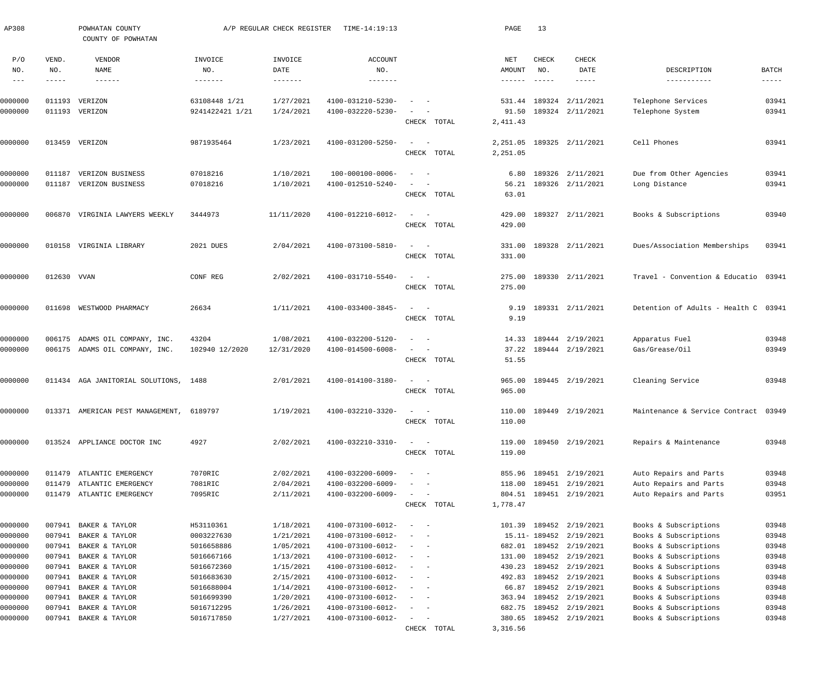| AP308                      |                  | POWHATAN COUNTY<br>COUNTY OF POWHATAN    |                          | A/P REGULAR CHECK REGISTER | TIME-14:19:13                          |                                                                                                                                         | PAGE            | 13                        |                                            |                                                |                |
|----------------------------|------------------|------------------------------------------|--------------------------|----------------------------|----------------------------------------|-----------------------------------------------------------------------------------------------------------------------------------------|-----------------|---------------------------|--------------------------------------------|------------------------------------------------|----------------|
| P/O                        | VEND.            | VENDOR                                   | INVOICE                  | INVOICE                    | <b>ACCOUNT</b>                         |                                                                                                                                         | NET             | CHECK                     | CHECK                                      |                                                |                |
| NO.                        | NO.              | NAME                                     | NO.                      | DATE                       | NO.                                    |                                                                                                                                         | AMOUNT          | NO.                       | DATE                                       | DESCRIPTION                                    | BATCH          |
| $\qquad \qquad - \qquad -$ | $- - - - - -$    | $\qquad \qquad - - - - - -$              | -------                  | -------                    | -------                                |                                                                                                                                         | $- - - - - - -$ | $\qquad \qquad - - - - -$ | $- - - - - -$                              | -----------                                    | -----          |
| 0000000                    | 011193           | VERIZON                                  | 63108448 1/21            | 1/27/2021                  | 4100-031210-5230-                      |                                                                                                                                         | 531.44          | 189324                    | 2/11/2021                                  | Telephone Services                             | 03941          |
| 0000000                    |                  | 011193 VERIZON                           | 9241422421 1/21          | 1/24/2021                  | 4100-032220-5230-                      |                                                                                                                                         | 91.50           |                           | 189324 2/11/2021                           | Telephone System                               | 03941          |
|                            |                  |                                          |                          |                            |                                        | CHECK TOTAL                                                                                                                             | 2,411.43        |                           |                                            |                                                |                |
| 0000000                    |                  | 013459 VERIZON                           | 9871935464               | 1/23/2021                  | 4100-031200-5250-                      | $\sim$<br>$\overline{\phantom{a}}$                                                                                                      | 2,251.05        |                           | 189325 2/11/2021                           | Cell Phones                                    | 03941          |
|                            |                  |                                          |                          |                            |                                        | CHECK TOTAL                                                                                                                             | 2,251.05        |                           |                                            |                                                |                |
| 0000000                    | 011187           | VERIZON BUSINESS                         | 07018216                 | 1/10/2021                  | 100-000100-0006-                       | $\overline{\phantom{a}}$                                                                                                                | 6.80            |                           | 189326 2/11/2021                           | Due from Other Agencies                        | 03941          |
| 0000000                    | 011187           | VERIZON BUSINESS                         | 07018216                 | 1/10/2021                  | 4100-012510-5240-                      |                                                                                                                                         | 56.21           |                           | 189326 2/11/2021                           | Long Distance                                  | 03941          |
|                            |                  |                                          |                          |                            |                                        | CHECK TOTAL                                                                                                                             | 63.01           |                           |                                            |                                                |                |
| 0000000                    | 006870           | VIRGINIA LAWYERS WEEKLY                  | 3444973                  | 11/11/2020                 | 4100-012210-6012-                      | $\sim$<br>$\sim$ $-$                                                                                                                    | 429.00          |                           | 189327 2/11/2021                           | Books & Subscriptions                          | 03940          |
|                            |                  |                                          |                          |                            |                                        | CHECK TOTAL                                                                                                                             | 429.00          |                           |                                            |                                                |                |
| 0000000                    |                  | 010158 VIRGINIA LIBRARY                  | 2021 DUES                | 2/04/2021                  | 4100-073100-5810-                      | $\sim$<br>$\sim$ $-$                                                                                                                    | 331.00          |                           | 189328 2/11/2021                           | Dues/Association Memberships                   | 03941          |
|                            |                  |                                          |                          |                            |                                        | CHECK TOTAL                                                                                                                             | 331.00          |                           |                                            |                                                |                |
| 0000000                    | 012630 VVAN      |                                          | CONF REG                 | 2/02/2021                  | 4100-031710-5540-                      | $\frac{1}{2} \left( \frac{1}{2} \right) \left( \frac{1}{2} \right) \left( \frac{1}{2} \right) \left( \frac{1}{2} \right)$               | 275.00          |                           | 189330 2/11/2021                           | Travel - Convention & Educatio 03941           |                |
|                            |                  |                                          |                          |                            |                                        | CHECK TOTAL                                                                                                                             | 275.00          |                           |                                            |                                                |                |
| 0000000                    |                  | 011698 WESTWOOD PHARMACY                 | 26634                    | 1/11/2021                  | 4100-033400-3845-                      | $\sim$<br>$\sim$ $-$                                                                                                                    | 9.19            |                           | 189331 2/11/2021                           | Detention of Adults - Health C 03941           |                |
|                            |                  |                                          |                          |                            |                                        | CHECK TOTAL                                                                                                                             | 9.19            |                           |                                            |                                                |                |
| 0000000                    | 006175           | ADAMS OIL COMPANY, INC.                  | 43204                    | 1/08/2021                  | 4100-032200-5120-                      | $\overline{\phantom{0}}$                                                                                                                | 14.33           |                           | 189444 2/19/2021                           | Apparatus Fuel                                 | 03948          |
| 0000000                    |                  | 006175 ADAMS OIL COMPANY, INC.           | 102940 12/2020           | 12/31/2020                 | 4100-014500-6008-                      | $\overline{\phantom{a}}$<br>$\sim$                                                                                                      | 37.22           |                           | 189444 2/19/2021                           | Gas/Grease/Oil                                 | 03949          |
|                            |                  |                                          |                          |                            |                                        | CHECK TOTAL                                                                                                                             | 51.55           |                           |                                            |                                                |                |
| 0000000                    |                  | 011434 AGA JANITORIAL SOLUTIONS, 1488    |                          | 2/01/2021                  | 4100-014100-3180-                      | $\sim$<br>$\sim$ $-$                                                                                                                    | 965.00          |                           | 189445 2/19/2021                           | Cleaning Service                               | 03948          |
|                            |                  |                                          |                          |                            |                                        | CHECK TOTAL                                                                                                                             | 965.00          |                           |                                            |                                                |                |
| 0000000                    |                  | 013371 AMERICAN PEST MANAGEMENT, 6189797 |                          | 1/19/2021                  | 4100-032210-3320- -                    |                                                                                                                                         |                 |                           | 110.00 189449 2/19/2021                    | Maintenance & Service Contract 03949           |                |
|                            |                  |                                          |                          |                            |                                        | CHECK TOTAL                                                                                                                             | 110.00          |                           |                                            |                                                |                |
| 0000000                    |                  | 013524 APPLIANCE DOCTOR INC              | 4927                     | 2/02/2021                  | 4100-032210-3310-                      | $\sim$ $  -$                                                                                                                            |                 |                           | 119.00 189450 2/19/2021                    | Repairs & Maintenance                          | 03948          |
|                            |                  |                                          |                          |                            |                                        | CHECK TOTAL                                                                                                                             | 119.00          |                           |                                            |                                                |                |
| 0000000                    | 011479           | ATLANTIC EMERGENCY                       | 7070RIC                  | 2/02/2021                  | 4100-032200-6009-                      | $\frac{1}{2} \left( \frac{1}{2} \right) \left( \frac{1}{2} \right) \left( \frac{1}{2} \right) \left( \frac{1}{2} \right)$               | 855.96          |                           | 189451 2/19/2021                           | Auto Repairs and Parts                         | 03948          |
| 0000000                    | 011479           | ATLANTIC EMERGENCY                       | 7081RIC                  | 2/04/2021                  | 4100-032200-6009-                      | $\overline{\phantom{a}}$                                                                                                                | 118.00          | 189451                    | 2/19/2021                                  | Auto Repairs and Parts                         | 03948          |
| 0000000                    |                  | 011479 ATLANTIC EMERGENCY                | 7095RIC                  | 2/11/2021                  | 4100-032200-6009-                      | $\sim$<br>$\sim$<br>CHECK TOTAL                                                                                                         | 1,778.47        |                           | 804.51 189451 2/19/2021                    | Auto Repairs and Parts                         | 03951          |
|                            |                  |                                          |                          |                            |                                        |                                                                                                                                         |                 |                           |                                            |                                                |                |
| 0000000                    | 007941           | BAKER & TAYLOR                           | H53110361                | 1/18/2021                  | 4100-073100-6012-                      | $\frac{1}{2} \left( \frac{1}{2} \right) \left( \frac{1}{2} \right) \left( \frac{1}{2} \right) \left( \frac{1}{2} \right)$               |                 |                           | 101.39 189452 2/19/2021                    | Books & Subscriptions                          | 03948          |
| 0000000<br>0000000         | 007941<br>007941 | BAKER & TAYLOR<br>BAKER & TAYLOR         | 0003227630<br>5016658886 | 1/21/2021<br>1/05/2021     | 4100-073100-6012-<br>4100-073100-6012- | $\sim$ $-$<br>$\frac{1}{2} \left( \frac{1}{2} \right) \left( \frac{1}{2} \right) \left( \frac{1}{2} \right) \left( \frac{1}{2} \right)$ | 682.01          |                           | 15.11-189452 2/19/2021<br>189452 2/19/2021 | Books & Subscriptions<br>Books & Subscriptions | 03948<br>03948 |
| 0000000                    | 007941           | BAKER & TAYLOR                           | 5016667166               | 1/13/2021                  | 4100-073100-6012-                      | $\frac{1}{2} \left( \frac{1}{2} \right) \left( \frac{1}{2} \right) \left( \frac{1}{2} \right) \left( \frac{1}{2} \right)$               | 131.00          |                           | 189452 2/19/2021                           | Books & Subscriptions                          | 03948          |
| 0000000                    | 007941           | BAKER & TAYLOR                           | 5016672360               | 1/15/2021                  | 4100-073100-6012-                      | $\frac{1}{2} \left( \frac{1}{2} \right) \left( \frac{1}{2} \right) \left( \frac{1}{2} \right) \left( \frac{1}{2} \right)$               | 430.23          |                           | 189452 2/19/2021                           | Books & Subscriptions                          | 03948          |
| 0000000                    | 007941           | BAKER & TAYLOR                           | 5016683630               | 2/15/2021                  | 4100-073100-6012-                      | $\frac{1}{2} \left( \frac{1}{2} \right) \left( \frac{1}{2} \right) \left( \frac{1}{2} \right) \left( \frac{1}{2} \right)$               | 492.83          |                           | 189452 2/19/2021                           | Books & Subscriptions                          | 03948          |
| 0000000                    | 007941           | BAKER & TAYLOR                           | 5016688004               | 1/14/2021                  | 4100-073100-6012-                      | $\frac{1}{2} \left( \frac{1}{2} \right) \left( \frac{1}{2} \right) \left( \frac{1}{2} \right) \left( \frac{1}{2} \right)$               | 66.87           |                           | 189452 2/19/2021                           | Books & Subscriptions                          | 03948          |
| 0000000                    | 007941           | BAKER & TAYLOR                           | 5016699390               | 1/20/2021                  | 4100-073100-6012-                      | $\frac{1}{2} \left( \frac{1}{2} \right) \left( \frac{1}{2} \right) = \frac{1}{2} \left( \frac{1}{2} \right)$                            | 363.94          |                           | 189452 2/19/2021                           | Books & Subscriptions                          | 03948          |
| 0000000                    | 007941           | BAKER & TAYLOR                           | 5016712295               | 1/26/2021                  | 4100-073100-6012-                      | $\frac{1}{2} \left( \frac{1}{2} \right) \left( \frac{1}{2} \right) \left( \frac{1}{2} \right) \left( \frac{1}{2} \right)$               | 682.75          |                           | 189452 2/19/2021                           | Books & Subscriptions                          | 03948          |
| 0000000                    | 007941           | BAKER & TAYLOR                           | 5016717850               | 1/27/2021                  | 4100-073100-6012-                      | $\frac{1}{2}$ and $\frac{1}{2}$ and $\frac{1}{2}$                                                                                       | 380.65          |                           | 189452 2/19/2021                           | Books & Subscriptions                          | 03948          |
|                            |                  |                                          |                          |                            |                                        | CHECK TOTAL                                                                                                                             | 3,316.56        |                           |                                            |                                                |                |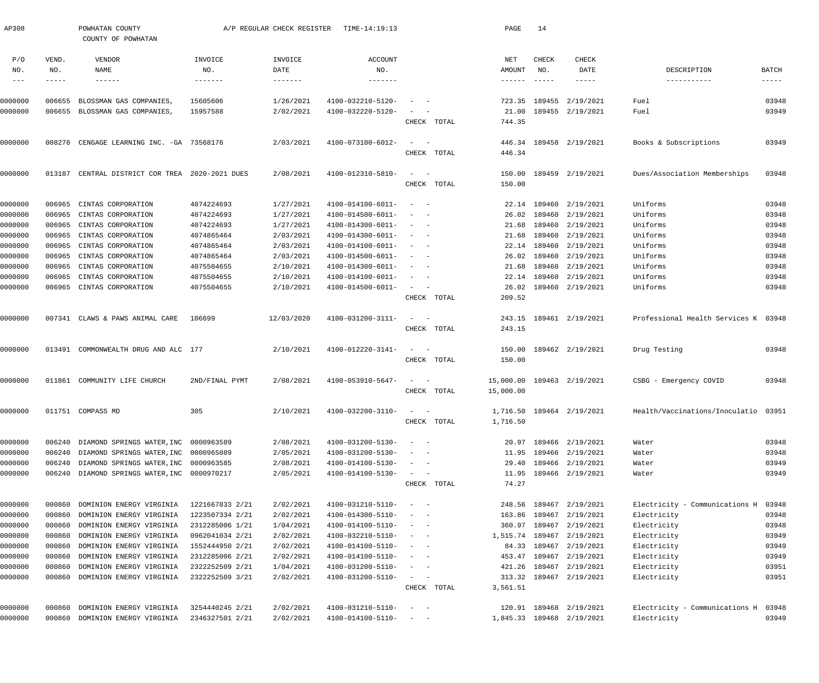| AP308               |              | POWHATAN COUNTY<br>COUNTY OF POWHATAN        |                 | A/P REGULAR CHECK REGISTER | TIME-14:19:13         |                           |             | PAGE            | 14                        |                            |                                      |              |
|---------------------|--------------|----------------------------------------------|-----------------|----------------------------|-----------------------|---------------------------|-------------|-----------------|---------------------------|----------------------------|--------------------------------------|--------------|
| P/O<br>NO.          | VEND.<br>NO. | VENDOR<br><b>NAME</b>                        | INVOICE<br>NO.  | INVOICE<br>DATE            | <b>ACCOUNT</b><br>NO. |                           |             | NET<br>AMOUNT   | <b>CHECK</b><br>NO.       | CHECK<br>DATE              | DESCRIPTION                          | <b>BATCH</b> |
| $\qquad \qquad - -$ | -----        | $- - - - - - -$                              | -------         | $- - - - - - - -$          | $- - - - - - - -$     |                           |             | ------          | $\qquad \qquad - - - - -$ | -----                      | -----------                          | $- - - - -$  |
| 0000000             | 006655       | BLOSSMAN GAS COMPANIES,                      | 15605606        | 1/26/2021                  | 4100-032210-5120-     |                           |             |                 |                           | 723.35 189455 2/19/2021    | Fuel                                 | 03948        |
| 0000000             |              | 006655 BLOSSMAN GAS COMPANIES,               | 15957588        | 2/02/2021                  | 4100-032220-5120-     |                           |             | 21.00           |                           | 189455 2/19/2021           | Fuel                                 | 03949        |
|                     |              |                                              |                 |                            |                       |                           | CHECK TOTAL | 744.35          |                           |                            |                                      |              |
| 0000000             |              | 008276 CENGAGE LEARNING INC. - GA 73568176   |                 | 2/03/2021                  | 4100-073100-6012-     | $\sim$<br>$\sim$ $-$      |             |                 |                           | 446.34 189458 2/19/2021    | Books & Subscriptions                | 03949        |
|                     |              |                                              |                 |                            |                       |                           | CHECK TOTAL | 446.34          |                           |                            |                                      |              |
| 0000000             | 013187       | CENTRAL DISTRICT COR TREA 2020-2021 DUES     |                 | 2/08/2021                  | 4100-012310-5810-     | $\sim$<br>$\sim$ $-$      |             | 150.00          |                           | 189459 2/19/2021           | Dues/Association Memberships         | 03948        |
|                     |              |                                              |                 |                            |                       |                           | CHECK TOTAL | 150.00          |                           |                            |                                      |              |
| 0000000             | 006965       | CINTAS CORPORATION                           | 4074224693      | 1/27/2021                  | 4100-014100-6011-     | $\sim$                    |             |                 |                           | 22.14 189460 2/19/2021     | Uniforms                             | 03948        |
| 0000000             | 006965       | CINTAS CORPORATION                           | 4074224693      | 1/27/2021                  | 4100-014500-6011-     |                           |             |                 |                           | 26.02 189460 2/19/2021     | Uniforms                             | 03948        |
| 0000000             | 006965       | CINTAS CORPORATION                           | 4074224693      | 1/27/2021                  | 4100-014300-6011-     |                           |             | 21.68           |                           | 189460 2/19/2021           | Uniforms                             | 03948        |
| 0000000             | 006965       | CINTAS CORPORATION                           | 4074865464      | 2/03/2021                  | 4100-014300-6011-     |                           |             | 21.68           |                           | 189460 2/19/2021           | Uniforms                             | 03948        |
| 0000000             | 006965       | CINTAS CORPORATION                           | 4074865464      | 2/03/2021                  | 4100-014100-6011-     |                           |             |                 |                           | 22.14 189460 2/19/2021     | Uniforms                             | 03948        |
| 0000000             | 006965       | CINTAS CORPORATION                           | 4074865464      | 2/03/2021                  | 4100-014500-6011-     |                           |             | 26.02           |                           | 189460 2/19/2021           | Uniforms                             | 03948        |
| 0000000             | 006965       | CINTAS CORPORATION                           | 4075504655      | 2/10/2021                  | 4100-014300-6011-     |                           |             | 21.68           |                           | 189460 2/19/2021           | Uniforms                             | 03948        |
| 0000000             | 006965       | CINTAS CORPORATION                           | 4075504655      | 2/10/2021                  | 4100-014100-6011-     |                           |             | 22.14           |                           | 189460 2/19/2021           | Uniforms                             | 03948        |
| 0000000             | 006965       | CINTAS CORPORATION                           | 4075504655      | 2/10/2021                  | 4100-014500-6011-     | $\sim$                    | CHECK TOTAL | 26.02<br>209.52 |                           | 189460 2/19/2021           | Uniforms                             | 03948        |
| 0000000             |              | 007341 CLAWS & PAWS ANIMAL CARE              | 106699          | 12/03/2020                 | 4100-031200-3111-     | $\sim$<br>$\sim$ $-$      |             |                 |                           | 243.15 189461 2/19/2021    | Professional Health Services K 03948 |              |
|                     |              |                                              |                 |                            |                       |                           | CHECK TOTAL | 243.15          |                           |                            |                                      |              |
| 0000000             |              | 013491 COMMONWEALTH DRUG AND ALC 177         |                 | 2/10/2021                  | 4100-012220-3141-     | $\sim$ $-$                |             |                 |                           | 150.00 189462 2/19/2021    | Drug Testing                         | 03948        |
|                     |              |                                              |                 |                            |                       |                           | CHECK TOTAL | 150.00          |                           |                            |                                      |              |
| 0000000             |              | 011861 COMMUNITY LIFE CHURCH                 | 2ND/FINAL PYMT  | 2/08/2021                  | 4100-053910-5647-     |                           | $\sim$      |                 |                           | 15,000.00 189463 2/19/2021 | CSBG - Emergency COVID               | 03948        |
|                     |              |                                              |                 |                            |                       |                           | CHECK TOTAL | 15,000.00       |                           |                            |                                      |              |
|                     |              | 0000000 011751 COMPASS MD                    | 305             | 2/10/2021                  | 4100-032200-3110-     |                           | CHECK TOTAL | 1,716.50        |                           | 1,716.50 189464 2/19/2021  | Health/Vaccinations/Inoculatio 03951 |              |
|                     |              |                                              |                 |                            |                       |                           |             |                 |                           |                            |                                      |              |
| 0000000             |              | 006240 DIAMOND SPRINGS WATER, INC 0000963589 |                 | 2/08/2021                  | 4100-031200-5130-     | $\overline{\phantom{a}}$  |             | 20.97           |                           | 189466 2/19/2021           | Water                                | 03948        |
| 0000000             | 006240       | DIAMOND SPRINGS WATER, INC 0000965089        |                 | 2/05/2021                  | 4100-031200-5130-     |                           |             |                 |                           | 11.95 189466 2/19/2021     | Water                                | 03948        |
| 0000000             | 006240       | DIAMOND SPRINGS WATER, INC 0000963585        |                 | 2/08/2021                  | 4100-014100-5130-     |                           |             |                 |                           | 29.40 189466 2/19/2021     | Water                                | 03949        |
| 0000000             |              | 006240 DIAMOND SPRINGS WATER, INC 0000970217 |                 | 2/05/2021                  | 4100-014100-5130-     | $\sim$                    |             | 11.95           |                           | 189466 2/19/2021           | Water                                | 03949        |
|                     |              |                                              |                 |                            |                       |                           | CHECK TOTAL | 74.27           |                           |                            |                                      |              |
| 0000000             | 000860       | DOMINION ENERGY VIRGINIA                     | 1221667833 2/21 | 2/02/2021                  | 4100-031210-5110-     |                           |             |                 |                           | 248.56 189467 2/19/2021    | Electricity - Communications H       | 03948        |
| 0000000             | 000860       | DOMINION ENERGY VIRGINIA                     | 1223507334 2/21 | 2/02/2021                  | 4100-014300-5110-     |                           |             | 163.86          |                           | 189467 2/19/2021           | Electricity                          | 03948        |
| 0000000             | 000860       | DOMINION ENERGY VIRGINIA                     | 2312285006 1/21 | 1/04/2021                  | 4100-014100-5110-     |                           |             |                 |                           | 360.97 189467 2/19/2021    | Electricity                          | 03948        |
| 0000000             | 000860       | DOMINION ENERGY VIRGINIA                     | 0962041034 2/21 | 2/02/2021                  | 4100-032210-5110-     | $\sim$                    |             |                 |                           | 1,515.74 189467 2/19/2021  | Electricity                          | 03949        |
| 0000000             | 000860       | DOMINION ENERGY VIRGINIA                     | 1552444950 2/21 | 2/02/2021                  | 4100-014100-5110-     | $\overline{\phantom{a}}$  |             |                 |                           | 84.33 189467 2/19/2021     | Electricity                          | 03949        |
| 0000000             | 000860       | DOMINION ENERGY VIRGINIA                     | 2312285006 2/21 | 2/02/2021                  | 4100-014100-5110-     |                           |             | 453.47          |                           | 189467 2/19/2021           | Electricity                          | 03949        |
| 0000000             | 000860       | DOMINION ENERGY VIRGINIA                     | 2322252509 2/21 | 1/04/2021                  | 4100-031200-5110-     | $\sim$                    |             | 421.26          |                           | 189467 2/19/2021           | Electricity                          | 03951        |
| 0000000             |              | 000860 DOMINION ENERGY VIRGINIA              | 2322252509 3/21 | 2/02/2021                  | 4100-031200-5110-     | $\sim$                    |             |                 |                           | 313.32 189467 2/19/2021    | Electricity                          | 03951        |
|                     |              |                                              |                 |                            |                       |                           | CHECK TOTAL | 3,561.51        |                           |                            |                                      |              |
| 0000000             | 000860       | DOMINION ENERGY VIRGINIA                     | 3254440245 2/21 | 2/02/2021                  | 4100-031210-5110-     |                           |             |                 |                           | 120.91 189468 2/19/2021    | Electricity - Communications H       | 03948        |
| 0000000             |              | 000860 DOMINION ENERGY VIRGINIA              | 2346327501 2/21 | 2/02/2021                  | 4100-014100-5110-     | $\alpha = 1, \ldots, n-1$ |             |                 |                           | 1,845.33 189468 2/19/2021  | Electricity                          | 03949        |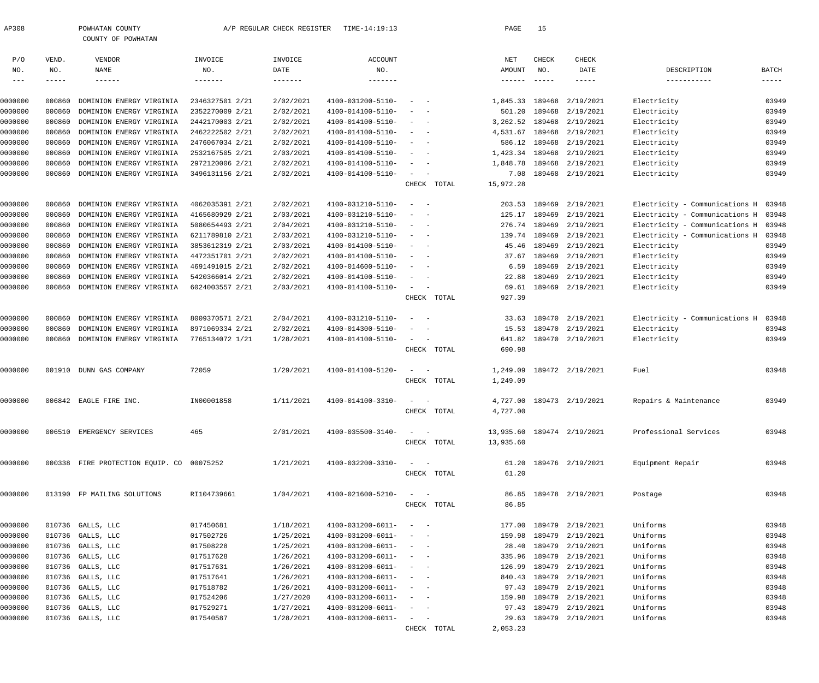|                      |              | COUNTY OF POWHATAN                        |                 |                         |                          |                              |             |                           |                      |                            |                                |                               |
|----------------------|--------------|-------------------------------------------|-----------------|-------------------------|--------------------------|------------------------------|-------------|---------------------------|----------------------|----------------------------|--------------------------------|-------------------------------|
| P/O                  | VEND.        | VENDOR                                    | INVOICE         | INVOICE                 | <b>ACCOUNT</b>           |                              |             | NET                       | CHECK                | <b>CHECK</b>               |                                |                               |
| NO.<br>$\frac{1}{2}$ | NO.<br>----- | NAME<br>$- - - - - - -$                   | NO.<br>-------  | DATE<br>$- - - - - - -$ | NO.<br>--------          |                              |             | AMOUNT<br>$- - - - - - -$ | NO.<br>$- - - - - -$ | DATE<br>$- - - - - -$      | DESCRIPTION<br>-----------     | <b>BATCH</b><br>$- - - - - -$ |
| 0000000              | 000860       | DOMINION ENERGY VIRGINIA                  | 2346327501 2/21 | 2/02/2021               | 4100-031200-5110-        |                              |             | 1,845.33                  | 189468               | 2/19/2021                  | Electricity                    | 03949                         |
| 0000000              | 000860       | DOMINION ENERGY VIRGINIA                  | 2352270009 2/21 | 2/02/2021               | 4100-014100-5110-        |                              |             | 501.20                    | 189468               | 2/19/2021                  | Electricity                    | 03949                         |
| 0000000              | 000860       | DOMINION ENERGY VIRGINIA                  | 2442170003 2/21 | 2/02/2021               | 4100-014100-5110-        |                              |             | 3,262.52                  |                      | 189468 2/19/2021           | Electricity                    | 03949                         |
| 0000000              | 000860       | DOMINION ENERGY VIRGINIA                  | 2462222502 2/21 | 2/02/2021               | 4100-014100-5110-        | $\sim$ $-$                   |             | 4,531.67                  | 189468               | 2/19/2021                  | Electricity                    | 03949                         |
| 0000000              | 000860       | DOMINION ENERGY VIRGINIA                  | 2476067034 2/21 | 2/02/2021               | 4100-014100-5110-        |                              |             | 586.12                    |                      | 189468 2/19/2021           | Electricity                    | 03949                         |
| 0000000              | 000860       | DOMINION ENERGY VIRGINIA                  | 2532167505 2/21 | 2/03/2021               | 4100-014100-5110-        |                              |             | 1,423.34                  |                      | 189468 2/19/2021           | Electricity                    | 03949                         |
| 0000000              | 000860       | DOMINION ENERGY VIRGINIA                  | 2972120006 2/21 | 2/02/2021               | 4100-014100-5110-        |                              |             | 1,848.78                  |                      | 189468 2/19/2021           | Electricity                    | 03949                         |
| 0000000              | 000860       | DOMINION ENERGY VIRGINIA                  | 3496131156 2/21 | 2/02/2021               | 4100-014100-5110-        | $\sim$                       |             | 7.08                      |                      | 189468 2/19/2021           | Electricity                    | 03949                         |
|                      |              |                                           |                 |                         |                          |                              | CHECK TOTAL | 15,972.28                 |                      |                            |                                |                               |
| 0000000              | 000860       | DOMINION ENERGY VIRGINIA                  | 4062035391 2/21 | 2/02/2021               | 4100-031210-5110-        | $\sim$                       |             | 203.53                    |                      | 189469 2/19/2021           | Electricity - Communications H | 03948                         |
| 0000000              | 000860       | DOMINION ENERGY VIRGINIA                  | 4165680929 2/21 | 2/03/2021               | 4100-031210-5110-        |                              |             | 125.17                    | 189469               | 2/19/2021                  | Electricity - Communications H | 03948                         |
| 0000000              | 000860       | DOMINION ENERGY VIRGINIA                  | 5080654493 2/21 | 2/04/2021               | 4100-031210-5110-        |                              |             | 276.74                    |                      | 189469 2/19/2021           | Electricity - Communications H | 03948                         |
| 0000000              | 000860       | DOMINION ENERGY VIRGINIA                  | 6211789810 2/21 | 2/03/2021               | 4100-031210-5110-        |                              |             | 139.74                    |                      | 189469 2/19/2021           | Electricity - Communications H | 03948                         |
| 0000000              | 000860       | DOMINION ENERGY VIRGINIA                  | 3853612319 2/21 | 2/03/2021               | 4100-014100-5110-        |                              |             | 45.46                     | 189469               | 2/19/2021                  | Electricity                    | 03949                         |
| 0000000              | 000860       | DOMINION ENERGY VIRGINIA                  | 4472351701 2/21 | 2/02/2021               | 4100-014100-5110-        |                              |             | 37.67                     |                      | 189469 2/19/2021           | Electricity                    | 03949                         |
| 0000000              | 000860       | DOMINION ENERGY VIRGINIA                  | 4691491015 2/21 | 2/02/2021               | 4100-014600-5110-        |                              |             | 6.59                      | 189469               | 2/19/2021                  | Electricity                    | 03949                         |
| 0000000              | 000860       | DOMINION ENERGY VIRGINIA                  | 5420366014 2/21 | 2/02/2021               | 4100-014100-5110-        |                              |             | 22.88                     | 189469               | 2/19/2021                  | Electricity                    | 03949                         |
| 0000000              | 000860       | DOMINION ENERGY VIRGINIA                  | 6024003557 2/21 | 2/03/2021               | 4100-014100-5110-        | $\sim$                       |             | 69.61                     |                      | 189469 2/19/2021           | Electricity                    | 03949                         |
|                      |              |                                           |                 |                         |                          |                              | CHECK TOTAL | 927.39                    |                      |                            |                                |                               |
| 0000000              | 000860       | DOMINION ENERGY VIRGINIA                  | 8009370571 2/21 | 2/04/2021               | 4100-031210-5110-        |                              |             | 33.63                     |                      | 189470 2/19/2021           | Electricity - Communications H | 03948                         |
| 0000000              | 000860       | DOMINION ENERGY VIRGINIA                  | 8971069334 2/21 | 2/02/2021               | 4100-014300-5110-        |                              |             | 15.53                     |                      | 189470 2/19/2021           | Electricity                    | 03948                         |
| 0000000              | 000860       | DOMINION ENERGY VIRGINIA                  | 7765134072 1/21 | 1/28/2021               | 4100-014100-5110-        | $\sim$<br>$\sim$             |             | 641.82                    |                      | 189470 2/19/2021           | Electricity                    | 03949                         |
|                      |              |                                           |                 |                         |                          |                              | CHECK TOTAL | 690.98                    |                      |                            |                                |                               |
| 0000000              |              | 001910 DUNN GAS COMPANY                   | 72059           | 1/29/2021               | 4100-014100-5120-        |                              |             | 1,249.09                  |                      | 189472 2/19/2021           | Fuel                           | 03948                         |
|                      |              |                                           |                 |                         |                          |                              | CHECK TOTAL | 1,249.09                  |                      |                            |                                |                               |
| 0000000              |              | 006842 EAGLE FIRE INC.                    | IN00001858      | 1/11/2021               | 4100-014100-3310-        |                              |             | 4,727.00                  |                      | 189473 2/19/2021           | Repairs & Maintenance          | 03949                         |
|                      |              |                                           |                 |                         |                          |                              | CHECK TOTAL | 4,727.00                  |                      |                            |                                |                               |
| 0000000              |              | 006510 EMERGENCY SERVICES                 | 465             | 2/01/2021               | $4100 - 035500 - 3140 -$ |                              |             |                           |                      | 13,935.60 189474 2/19/2021 | Professional Services          | 03948                         |
|                      |              |                                           |                 |                         |                          |                              | CHECK TOTAL | 13,935.60                 |                      |                            |                                |                               |
| 0000000              |              | 000338 FIRE PROTECTION EQUIP. CO 00075252 |                 | 1/21/2021               | 4100-032200-3310-        |                              |             | 61.20                     |                      | 189476 2/19/2021           | Equipment Repair               | 03948                         |
|                      |              |                                           |                 |                         |                          |                              | CHECK TOTAL | 61.20                     |                      |                            |                                |                               |
| 0000000              |              | 013190 FP MAILING SOLUTIONS               | RI104739661     | 1/04/2021               | 4100-021600-5210-        |                              |             | 86.85                     |                      | 189478 2/19/2021           | Postage                        | 03948                         |
|                      |              |                                           |                 |                         |                          |                              | CHECK TOTAL | 86.85                     |                      |                            |                                |                               |
| 0000000              |              | 010736 GALLS, LLC                         | 017450681       | 1/18/2021               | 4100-031200-6011-        | $\sim$ $-$                   |             |                           |                      | 177.00 189479 2/19/2021    | Uniforms                       | 03948                         |
| 0000000              |              | 010736 GALLS, LLC                         | 017502726       | 1/25/2021               | 4100-031200-6011-        | $\sim$                       |             | 159.98                    |                      | 189479 2/19/2021           | Uniforms                       | 03948                         |
| 0000000              |              | 010736 GALLS, LLC                         | 017508228       | 1/25/2021               | 4100-031200-6011-        | $\overline{\phantom{0}}$     |             | 28.40                     |                      | 189479 2/19/2021           | Uniforms                       | 03948                         |
| 0000000              |              | 010736 GALLS, LLC                         | 017517628       | 1/26/2021               | 4100-031200-6011-        | $\sim$                       |             | 335.96                    |                      | 189479 2/19/2021           | Uniforms                       | 03948                         |
| 0000000              |              | 010736 GALLS, LLC                         | 017517631       | 1/26/2021               | 4100-031200-6011-        | $\sim$                       |             | 126.99                    |                      | 189479 2/19/2021           | Uniforms                       | 03948                         |
| 0000000              |              | 010736 GALLS, LLC                         | 017517641       | 1/26/2021               | 4100-031200-6011-        |                              |             |                           |                      | 840.43 189479 2/19/2021    | Uniforms                       | 03948                         |
| 0000000              |              | 010736 GALLS, LLC                         | 017518782       | 1/26/2021               | 4100-031200-6011-        | $\sim$                       |             | 97.43                     |                      | 189479 2/19/2021           | Uniforms                       | 03948                         |
| 0000000              |              | 010736 GALLS, LLC                         | 017524206       | 1/27/2020               | 4100-031200-6011-        | $\sim$                       |             | 159.98                    |                      | 189479 2/19/2021           | Uniforms                       | 03948                         |
| 0000000              |              | 010736 GALLS, LLC                         | 017529271       | 1/27/2021               | 4100-031200-6011-        |                              |             |                           |                      | 97.43 189479 2/19/2021     | Uniforms                       | 03948                         |
| 0000000              |              | 010736 GALLS, LLC                         | 017540587       | 1/28/2021               | 4100-031200-6011-        | $\alpha = 1, \ldots, \alpha$ |             |                           |                      | 29.63 189479 2/19/2021     | Uniforms                       | 03948                         |
|                      |              |                                           |                 |                         |                          |                              | CHECK TOTAL | 2,053.23                  |                      |                            |                                |                               |

AP308 POWHATAN COUNTY A/P REGULAR CHECK REGISTER TIME-14:19:13 PAGE 15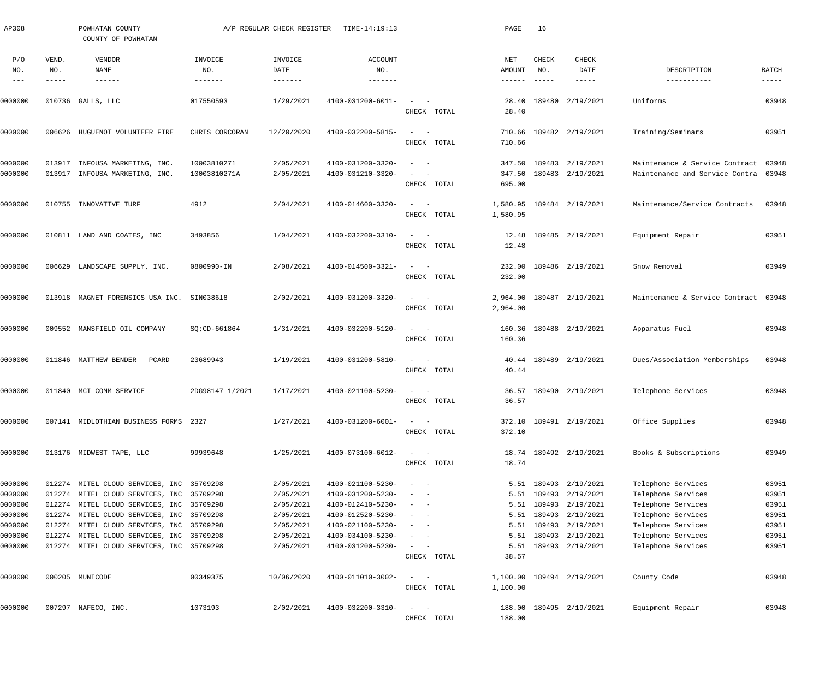| AP308                           |                       | POWHATAN COUNTY<br>COUNTY OF POWHATAN                                                  |                                     | A/P REGULAR CHECK REGISTER | TIME-14:19:13                          |                                                                                                                             | PAGE                       | 16                            |                                       |                                                                  |                      |
|---------------------------------|-----------------------|----------------------------------------------------------------------------------------|-------------------------------------|----------------------------|----------------------------------------|-----------------------------------------------------------------------------------------------------------------------------|----------------------------|-------------------------------|---------------------------------------|------------------------------------------------------------------|----------------------|
| P/O<br>NO.<br>$\qquad \qquad -$ | VEND.<br>NO.<br>----- | VENDOR<br>NAME<br>$\cdots\cdots\cdots\cdots$                                           | INVOICE<br>NO.<br>$- - - - - - - -$ | INVOICE<br>DATE            | <b>ACCOUNT</b><br>NO.<br>-------       |                                                                                                                             | NET<br>AMOUNT<br>------    | CHECK<br>NO.<br>$- - - - - -$ | <b>CHECK</b><br>DATE<br>$- - - - - -$ | DESCRIPTION<br>-----------                                       | BATCH<br>$- - - - -$ |
| 0000000                         |                       | 010736 GALLS, LLC                                                                      | 017550593                           | 1/29/2021                  | 4100-031200-6011-                      | CHECK TOTAL                                                                                                                 | 28.40<br>28.40             | 189480                        | 2/19/2021                             | Uniforms                                                         | 03948                |
| 0000000                         | 006626                | HUGUENOT VOLUNTEER FIRE                                                                | CHRIS CORCORAN                      | 12/20/2020                 | 4100-032200-5815-                      | $\sim$<br>CHECK TOTAL                                                                                                       | 710.66<br>710.66           |                               | 189482 2/19/2021                      | Training/Seminars                                                | 03951                |
| 0000000<br>0000000              | 013917                | INFOUSA MARKETING, INC.<br>013917 INFOUSA MARKETING, INC.                              | 10003810271<br>10003810271A         | 2/05/2021<br>2/05/2021     | 4100-031200-3320-<br>4100-031210-3320- | CHECK TOTAL                                                                                                                 | 347.50<br>347.50<br>695.00 |                               | 189483 2/19/2021<br>189483 2/19/2021  | Maintenance & Service Contract<br>Maintenance and Service Contra | 03948<br>03948       |
| 0000000                         | 010755                | INNOVATIVE TURF                                                                        | 4912                                | 2/04/2021                  | 4100-014600-3320-                      | $\overline{\phantom{a}}$<br>CHECK TOTAL                                                                                     | 1,580.95<br>1,580.95       |                               | 189484 2/19/2021                      | Maintenance/Service Contracts                                    | 03948                |
| 0000000                         |                       | 010811 LAND AND COATES, INC                                                            | 3493856                             | 1/04/2021                  | 4100-032200-3310-                      | $\sim$<br>CHECK TOTAL                                                                                                       | 12.48<br>12.48             |                               | 189485 2/19/2021                      | Equipment Repair                                                 | 03951                |
| 0000000                         | 006629                | LANDSCAPE SUPPLY, INC.                                                                 | 0800990-IN                          | 2/08/2021                  | 4100-014500-3321-                      | $\sim$<br>$\sim$<br>CHECK TOTAL                                                                                             | 232.00<br>232.00           |                               | 189486 2/19/2021                      | Snow Removal                                                     | 03949                |
| 0000000                         |                       | 013918 MAGNET FORENSICS USA INC. SIN038618                                             |                                     | 2/02/2021                  | 4100-031200-3320-                      | $\sim$<br>$\sim$ $-$<br>CHECK TOTAL                                                                                         | 2,964.00<br>2,964.00       |                               | 189487 2/19/2021                      | Maintenance & Service Contract 03948                             |                      |
| 0000000                         |                       | 009552 MANSFIELD OIL COMPANY                                                           | SQ; CD-661864                       | 1/31/2021                  | 4100-032200-5120-                      | $\sim$<br>$\sim$ $-$<br>CHECK TOTAL                                                                                         | 160.36<br>160.36           |                               | 189488 2/19/2021                      | Apparatus Fuel                                                   | 03948                |
| 0000000                         |                       | 011846 MATTHEW BENDER<br>PCARD                                                         | 23689943                            | 1/19/2021                  | 4100-031200-5810-                      | $\sim$<br>$\sim$<br>CHECK TOTAL                                                                                             | 40.44<br>40.44             |                               | 189489 2/19/2021                      | Dues/Association Memberships                                     | 03948                |
| 0000000                         |                       | 011840 MCI COMM SERVICE                                                                | 2DG98147 1/2021                     | 1/17/2021                  | 4100-021100-5230-                      | CHECK TOTAL                                                                                                                 | 36.57<br>36.57             |                               | 189490 2/19/2021                      | Telephone Services                                               | 03948                |
| 0000000                         |                       | 007141 MIDLOTHIAN BUSINESS FORMS 2327                                                  |                                     | 1/27/2021                  | 4100-031200-6001-                      | $\sim$<br>CHECK TOTAL                                                                                                       | 372.10                     |                               | 372.10 189491 2/19/2021               | Office Supplies                                                  | 03948                |
| 0000000                         |                       | 013176 MIDWEST TAPE, LLC                                                               | 99939648                            | 1/25/2021                  | 4100-073100-6012-                      | $\sim$ $  -$<br>CHECK TOTAL                                                                                                 | 18.74                      |                               | 18.74 189492 2/19/2021                | Books & Subscriptions                                            | 03949                |
| 0000000<br>0000000              |                       | 012274 MITEL CLOUD SERVICES, INC 35709298<br>012274 MITEL CLOUD SERVICES, INC 35709298 |                                     | 2/05/2021<br>2/05/2021     | 4100-021100-5230-<br>4100-031200-5230- | $\sim$ $-$                                                                                                                  | 5.51                       | 189493                        | 5.51 189493 2/19/2021<br>2/19/2021    | Telephone Services<br>Telephone Services                         | 03951<br>03951       |
|                                 |                       |                                                                                        |                                     |                            |                                        |                                                                                                                             |                            |                               | 189493 2/19/2021                      |                                                                  |                      |
| 0000000                         |                       | 012274 MITEL CLOUD SERVICES, INC 35709298<br>012274 MITEL CLOUD SERVICES, INC 35709298 |                                     | 2/05/2021                  | 4100-012410-5230-                      |                                                                                                                             | 5.51                       |                               | 189493 2/19/2021                      | Telephone Services                                               | 03951                |
| 0000000                         |                       | 012274 MITEL CLOUD SERVICES, INC 35709298                                              |                                     | 2/05/2021<br>2/05/2021     | 4100-012520-5230-<br>4100-021100-5230- |                                                                                                                             | 5.51                       |                               | 189493 2/19/2021                      | Telephone Services<br>Telephone Services                         | 03951<br>03951       |
| 0000000                         |                       |                                                                                        |                                     |                            |                                        |                                                                                                                             | 5.51                       |                               |                                       |                                                                  |                      |
| 0000000                         |                       | 012274 MITEL CLOUD SERVICES, INC 35709298                                              |                                     | 2/05/2021                  | 4100-034100-5230-                      |                                                                                                                             | 5.51                       |                               | 189493 2/19/2021                      | Telephone Services                                               | 03951                |
| 0000000                         |                       | 012274 MITEL CLOUD SERVICES, INC 35709298                                              |                                     | 2/05/2021                  | 4100-031200-5230-                      | $\sim$ 100 $\mu$<br>$\overline{\phantom{a}}$<br>CHECK TOTAL                                                                 | 38.57                      |                               | 5.51 189493 2/19/2021                 | Telephone Services                                               | 03951                |
| 0000000                         |                       | 000205 MUNICODE                                                                        | 00349375                            | 10/06/2020                 | 4100-011010-3002-                      | $\frac{1}{2} \left( \frac{1}{2} \right) \left( \frac{1}{2} \right) = \frac{1}{2} \left( \frac{1}{2} \right)$<br>CHECK TOTAL | 1,100.00                   |                               | 1,100.00 189494 2/19/2021             | County Code                                                      | 03948                |
| 0000000                         |                       | 007297 NAFECO, INC.                                                                    | 1073193                             | 2/02/2021                  | 4100-032200-3310-                      | $\omega_{\rm{max}}=1$<br>CHECK TOTAL                                                                                        | 188.00                     |                               | 188.00 189495 2/19/2021               | Equipment Repair                                                 | 03948                |
|                                 |                       |                                                                                        |                                     |                            |                                        |                                                                                                                             |                            |                               |                                       |                                                                  |                      |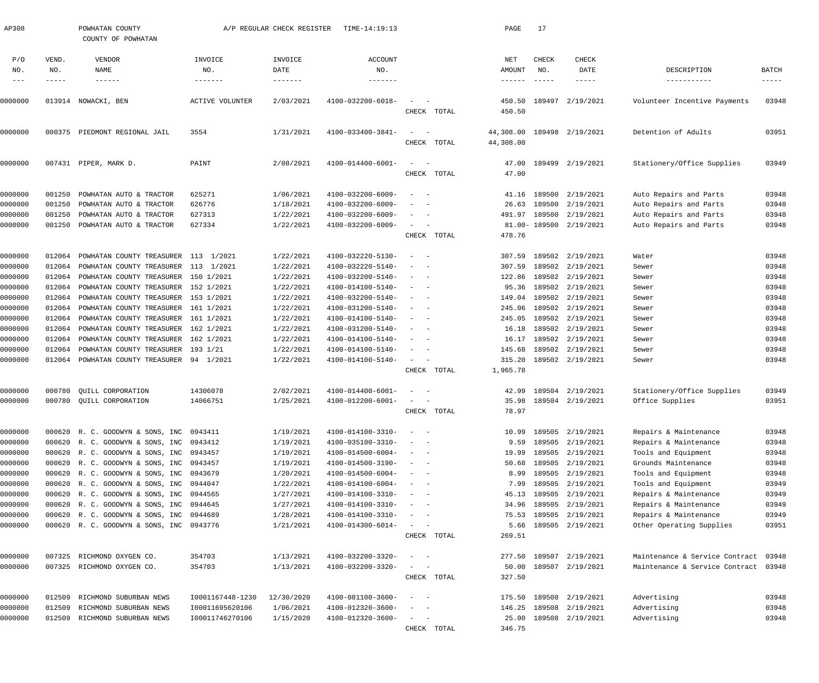| AP308                       |                               | POWHATAN COUNTY<br>COUNTY OF POWHATAN    |                           | A/P REGULAR CHECK REGISTER | TIME-14:19:13                            |                                   | PAGE                             | 17                            |                                |                                      |                                        |
|-----------------------------|-------------------------------|------------------------------------------|---------------------------|----------------------------|------------------------------------------|-----------------------------------|----------------------------------|-------------------------------|--------------------------------|--------------------------------------|----------------------------------------|
| P/O<br>NO.<br>$\frac{1}{2}$ | VEND.<br>NO.<br>$- - - - - -$ | VENDOR<br>NAME<br>$- - - - - - -$        | INVOICE<br>NO.<br>------- | INVOICE<br>DATE            | <b>ACCOUNT</b><br>NO.<br>$- - - - - - -$ |                                   | NET<br>AMOUNT<br>$- - - - - - -$ | CHECK<br>NO.<br>$- - - - - -$ | CHECK<br>DATE<br>$- - - - - -$ | DESCRIPTION<br>-----------           | BATCH<br>$\cdots \cdots \cdots \cdots$ |
| 0000000                     |                               | 013914 NOWACKI, BEN                      | <b>ACTIVE VOLUNTER</b>    | 2/03/2021                  | 4100-032200-6018-                        | $\sim$<br>CHECK TOTAL             | 450.50<br>450.50                 |                               | 189497 2/19/2021               | Volunteer Incentive Payments         | 03948                                  |
| 0000000                     |                               | 000375 PIEDMONT REGIONAL JAIL            | 3554                      | 1/31/2021                  | 4100-033400-3841-                        | $\sim$<br>$\sim$<br>CHECK TOTAL   | 44,308.00<br>44,308.00           |                               | 189498 2/19/2021               | Detention of Adults                  | 03951                                  |
| 0000000                     |                               | 007431 PIPER, MARK D.                    | PAINT                     | 2/08/2021                  | 4100-014400-6001-                        | $\sim$<br>CHECK TOTAL             | 47.00<br>47.00                   |                               | 189499 2/19/2021               | Stationery/Office Supplies           | 03949                                  |
| 0000000                     | 001250                        | POWHATAN AUTO & TRACTOR                  | 625271                    | 1/06/2021                  | 4100-032200-6009-                        |                                   | 41.16                            |                               | 189500 2/19/2021               | Auto Repairs and Parts               | 03948                                  |
| 0000000                     | 001250                        | POWHATAN AUTO & TRACTOR                  | 626776                    | 1/18/2021                  | 4100-032200-6009-                        |                                   | 26.63                            |                               | 189500 2/19/2021               | Auto Repairs and Parts               | 03948                                  |
| 0000000                     | 001250                        | POWHATAN AUTO & TRACTOR                  | 627313                    | 1/22/2021                  | 4100-032200-6009-                        |                                   | 491.97                           |                               | 189500 2/19/2021               | Auto Repairs and Parts               | 03948                                  |
| 0000000                     | 001250                        | POWHATAN AUTO & TRACTOR                  | 627334                    | 1/22/2021                  | 4100-032200-6009-                        | $\overline{\phantom{0}}$          |                                  |                               | 81.00-189500 2/19/2021         | Auto Repairs and Parts               | 03948                                  |
|                             |                               |                                          |                           |                            |                                          | CHECK TOTAL                       | 478.76                           |                               |                                |                                      |                                        |
| 0000000                     | 012064                        | POWHATAN COUNTY TREASURER 113 1/2021     |                           | 1/22/2021                  | 4100-032220-5130-                        | $\sim$                            | 307.59                           |                               | 189502 2/19/2021               | Water                                | 03948                                  |
| 0000000                     | 012064                        | POWHATAN COUNTY TREASURER 113 1/2021     |                           | 1/22/2021                  | 4100-032220-5140-                        |                                   | 307.59                           |                               | 189502 2/19/2021               | Sewer                                | 03948                                  |
| 0000000                     | 012064                        | POWHATAN COUNTY TREASURER 150 1/2021     |                           | 1/22/2021                  | 4100-032200-5140-                        | $\sim$                            | 122.86                           |                               | 189502 2/19/2021               | Sewer                                | 03948                                  |
| 0000000                     | 012064                        | POWHATAN COUNTY TREASURER 152 1/2021     |                           | 1/22/2021                  | 4100-014100-5140-                        | $\overline{\phantom{a}}$          | 95.36                            |                               | 189502 2/19/2021               | Sewer                                | 03948                                  |
| 0000000                     | 012064                        | POWHATAN COUNTY TREASURER 153 1/2021     |                           | 1/22/2021                  | 4100-032200-5140-                        | $\sim$                            | 149.04                           |                               | 189502 2/19/2021               | Sewer                                | 03948                                  |
| 0000000                     | 012064                        | POWHATAN COUNTY TREASURER 161 1/2021     |                           | 1/22/2021                  | 4100-031200-5140-                        | $\sim$                            | 245.06                           |                               | 189502 2/19/2021               | Sewer                                | 03948                                  |
| 0000000                     | 012064                        | POWHATAN COUNTY TREASURER 161 1/2021     |                           | 1/22/2021                  | 4100-014100-5140-                        |                                   | 245.05                           |                               | 189502 2/19/2021               | Sewer                                | 03948                                  |
| 0000000                     | 012064                        | POWHATAN COUNTY TREASURER 162 1/2021     |                           | 1/22/2021                  | 4100-031200-5140-                        | $\sim$                            | 16.18                            |                               | 189502 2/19/2021               | Sewer                                | 03948                                  |
| 0000000                     | 012064                        | POWHATAN COUNTY TREASURER 162 1/2021     |                           | 1/22/2021                  | 4100-014100-5140-                        | $\overline{\phantom{a}}$          | 16.17                            |                               | 189502 2/19/2021               | Sewer                                | 03948                                  |
| 0000000                     | 012064                        | POWHATAN COUNTY TREASURER 193 1/21       |                           | 1/22/2021                  | 4100-014100-5140-                        | $\sim$                            | 145.68                           |                               | 189502 2/19/2021               | Sewer                                | 03948                                  |
| 0000000                     | 012064                        | POWHATAN COUNTY TREASURER 94 1/2021      |                           | 1/22/2021                  | 4100-014100-5140-                        | $\sim$                            | 315.20                           |                               | 189502 2/19/2021               | Sewer                                | 03948                                  |
|                             |                               |                                          |                           |                            |                                          | CHECK TOTAL                       | 1,965.78                         |                               |                                |                                      |                                        |
| 0000000                     | 000780                        | QUILL CORPORATION                        | 14306078                  | 2/02/2021                  | 4100-014400-6001-                        |                                   | 42.99                            |                               | 189504 2/19/2021               | Stationery/Office Supplies           | 03949                                  |
| 0000000                     |                               | 000780 OUILL CORPORATION                 | 14066751                  | 1/25/2021                  | 4100-012200-6001-                        |                                   |                                  |                               | 35.98 189504 2/19/2021         | Office Supplies                      | 03951                                  |
|                             |                               |                                          |                           |                            |                                          | CHECK TOTAL                       | 78.97                            |                               |                                |                                      |                                        |
| 0000000                     |                               | 000620 R. C. GOODWYN & SONS, INC 0943411 |                           | 1/19/2021                  | 4100-014100-3310-                        | $\sim$<br>$\sim$                  | 10.99                            |                               | 189505 2/19/2021               | Repairs & Maintenance                | 03948                                  |
| 0000000                     |                               | 000620 R. C. GOODWYN & SONS, INC 0943412 |                           | 1/19/2021                  | 4100-035100-3310-                        |                                   | 9.59                             |                               | 189505 2/19/2021               | Repairs & Maintenance                | 03948                                  |
| 0000000                     |                               | 000620 R. C. GOODWYN & SONS, INC 0943457 |                           | 1/19/2021                  | 4100-014500-6004-                        | $\sim$                            | 19.99                            |                               | 189505 2/19/2021               | Tools and Equipment                  | 03948                                  |
| 0000000                     |                               | 000620 R. C. GOODWYN & SONS, INC 0943457 |                           | 1/19/2021                  | 4100-014500-3190-                        |                                   | 50.68                            |                               | 189505 2/19/2021               | Grounds Maintenance                  | 03948                                  |
| 0000000                     |                               | 000620 R. C. GOODWYN & SONS, INC 0943679 |                           | 1/20/2021                  | 4100-014500-6004-                        |                                   | 8.99                             |                               | 189505 2/19/2021               | Tools and Equipment                  | 03948                                  |
| 0000000                     |                               | 000620 R. C. GOODWYN & SONS, INC 0944047 |                           | 1/22/2021                  | 4100-014100-6004-                        |                                   | 7.99                             |                               | 189505 2/19/2021               | Tools and Equipment                  | 03949                                  |
| 0000000                     |                               | 000620 R. C. GOODWYN & SONS, INC 0944565 |                           | 1/27/2021                  | 4100-014100-3310-                        |                                   | 45.13                            |                               | 189505 2/19/2021               | Repairs & Maintenance                | 03949                                  |
| 0000000                     |                               | 000620 R. C. GOODWYN & SONS, INC 0944645 |                           | 1/27/2021                  | 4100-014100-3310-                        | $\sim$                            | 34.96                            |                               | 189505 2/19/2021               | Repairs & Maintenance                | 03949                                  |
| 0000000                     |                               | 000620 R. C. GOODWYN & SONS, INC 0944689 |                           | 1/28/2021                  | 4100-014100-3310-                        |                                   | 75.53                            |                               | 189505 2/19/2021               | Repairs & Maintenance                | 03949                                  |
| 0000000                     |                               | 000620 R. C. GOODWYN & SONS, INC 0943776 |                           | 1/21/2021                  | 4100-014300-6014-                        |                                   | 5.66                             |                               | 189505 2/19/2021               | Other Operating Supplies             | 03951                                  |
|                             |                               |                                          |                           |                            |                                          | CHECK TOTAL                       | 269.51                           |                               |                                |                                      |                                        |
| 0000000                     | 007325                        | RICHMOND OXYGEN CO.                      | 354703                    | 1/13/2021                  | 4100-032200-3320-                        |                                   | 277.50                           |                               | 189507 2/19/2021               | Maintenance & Service Contract       | 03948                                  |
| 0000000                     |                               | 007325 RICHMOND OXYGEN CO.               | 354703                    | 1/13/2021                  | 4100-032200-3320-                        |                                   | 50.00                            |                               | 189507 2/19/2021               | Maintenance & Service Contract 03948 |                                        |
|                             |                               |                                          |                           |                            |                                          | CHECK TOTAL                       | 327.50                           |                               |                                |                                      |                                        |
| 0000000                     | 012509                        | RICHMOND SUBURBAN NEWS                   | 10001167448-1230          | 12/30/2020                 | 4100-081100-3600-                        | $\hspace{0.1cm}$ $\hspace{0.1cm}$ | 175.50                           |                               | 189508 2/19/2021               | Advertising                          | 03948                                  |
| 0000000                     | 012509                        | RICHMOND SUBURBAN NEWS                   | 100011695620106           | 1/06/2021                  | 4100-012320-3600-                        |                                   | 146.25                           |                               | 189508 2/19/2021               | Advertising                          | 03948                                  |
| 0000000                     | 012509                        | RICHMOND SUBURBAN NEWS                   | 100011746270106           | 1/15/2020                  | 4100-012320-3600-                        |                                   | 25.00                            |                               | 189508 2/19/2021               | Advertising                          | 03948                                  |
|                             |                               |                                          |                           |                            |                                          | CHECK TOTAL                       | 346.75                           |                               |                                |                                      |                                        |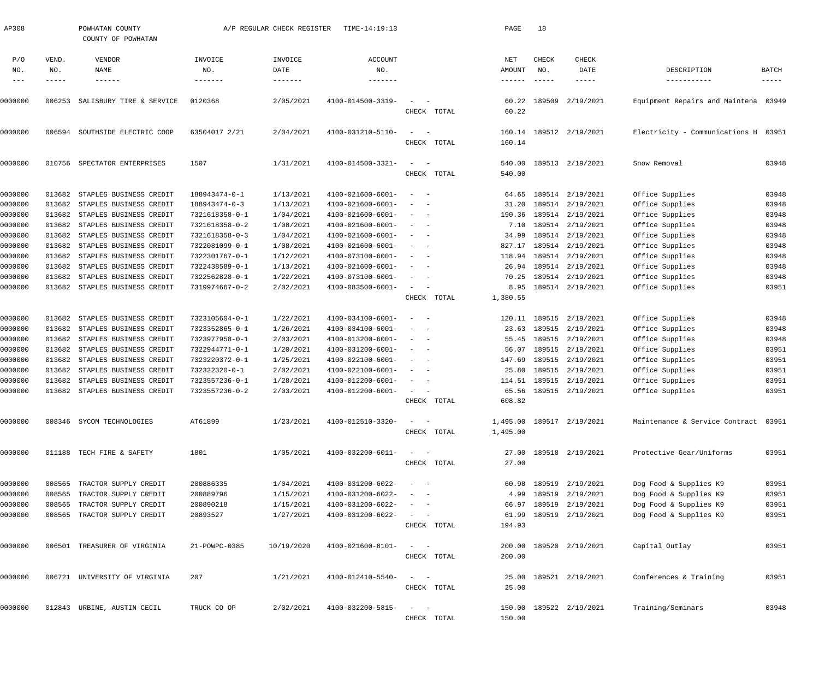| AP308         |        | POWHATAN COUNTY<br>COUNTY OF POWHATAN |                 | A/P REGULAR CHECK REGISTER | TIME-14:19:13            |                     |             | PAGE            | 18            |                           |                                      |               |
|---------------|--------|---------------------------------------|-----------------|----------------------------|--------------------------|---------------------|-------------|-----------------|---------------|---------------------------|--------------------------------------|---------------|
| P/O           | VEND.  | VENDOR                                | INVOICE         | INVOICE                    | <b>ACCOUNT</b>           |                     |             | NET             | CHECK         | <b>CHECK</b>              |                                      |               |
| NO.           | NO.    | NAME                                  | NO.             | DATE                       | NO.                      |                     |             | AMOUNT          | NO.           | DATE                      | DESCRIPTION                          | <b>BATCH</b>  |
| $\frac{1}{2}$ | -----  | $- - - - - - -$                       | $- - - - - - -$ | $- - - - - - - -$          |                          |                     |             | $- - - - - - -$ | $\frac{1}{2}$ | $- - - - -$               | -----------                          | $- - - - - -$ |
| 0000000       | 006253 | SALISBURY TIRE & SERVICE              | 0120368         | 2/05/2021                  | 4100-014500-3319-        |                     |             | 60.22           | 189509        | 2/19/2021                 | Equipment Repairs and Maintena       | 03949         |
|               |        |                                       |                 |                            |                          |                     | CHECK TOTAL | 60.22           |               |                           |                                      |               |
| 0000000       | 006594 | SOUTHSIDE ELECTRIC COOP               | 63504017 2/21   | 2/04/2021                  | 4100-031210-5110-        |                     |             |                 |               | 160.14 189512 2/19/2021   | Electricity - Communications H 03951 |               |
|               |        |                                       |                 |                            |                          |                     | CHECK TOTAL | 160.14          |               |                           |                                      |               |
| 0000000       | 010756 | SPECTATOR ENTERPRISES                 | 1507            | 1/31/2021                  | 4100-014500-3321-        |                     |             | 540.00          |               | 189513 2/19/2021          | Snow Removal                         | 03948         |
|               |        |                                       |                 |                            |                          |                     | CHECK TOTAL | 540.00          |               |                           |                                      |               |
| 0000000       | 013682 | STAPLES BUSINESS CREDIT               | 188943474-0-1   | 1/13/2021                  | 4100-021600-6001-        |                     |             | 64.65           |               | 189514 2/19/2021          | Office Supplies                      | 03948         |
| 0000000       | 013682 | STAPLES BUSINESS CREDIT               | 188943474-0-3   | 1/13/2021                  | 4100-021600-6001-        |                     |             | 31.20           |               | 189514 2/19/2021          | Office Supplies                      | 03948         |
| 0000000       | 013682 | STAPLES BUSINESS CREDIT               | 7321618358-0-1  | 1/04/2021                  | 4100-021600-6001-        | $\sim$              |             | 190.36          |               | 189514 2/19/2021          | Office Supplies                      | 03948         |
| 0000000       | 013682 | STAPLES BUSINESS CREDIT               | 7321618358-0-2  | 1/08/2021                  | 4100-021600-6001-        | $\sim$              |             |                 |               | 7.10 189514 2/19/2021     | Office Supplies                      | 03948         |
| 0000000       | 013682 | STAPLES BUSINESS CREDIT               | 7321618358-0-3  | 1/04/2021                  | 4100-021600-6001-        | $\sim$              |             | 34.99           |               | 189514 2/19/2021          | Office Supplies                      | 03948         |
| 0000000       | 013682 | STAPLES BUSINESS CREDIT               | 7322081099-0-1  | 1/08/2021                  | 4100-021600-6001-        | $\sim$              |             | 827.17          |               | 189514 2/19/2021          | Office Supplies                      | 03948         |
| 0000000       | 013682 | STAPLES BUSINESS CREDIT               | 7322301767-0-1  | 1/12/2021                  | 4100-073100-6001-        | $\sim$              |             | 118.94          |               | 189514 2/19/2021          | Office Supplies                      | 03948         |
| 0000000       | 013682 | STAPLES BUSINESS CREDIT               | 7322438589-0-1  | 1/13/2021                  | 4100-021600-6001-        | $\sim$              |             |                 |               | 26.94 189514 2/19/2021    | Office Supplies                      | 03948         |
| 0000000       | 013682 | STAPLES BUSINESS CREDIT               | 7322562828-0-1  | 1/22/2021                  | 4100-073100-6001-        | $\sim$              |             | 70.25           |               | 189514 2/19/2021          | Office Supplies                      | 03948         |
| 0000000       | 013682 | STAPLES BUSINESS CREDIT               | 7319974667-0-2  | 2/02/2021                  | 4100-083500-6001-        | $\sim$              |             | 8.95            |               | 189514 2/19/2021          | Office Supplies                      | 03951         |
|               |        |                                       |                 |                            |                          |                     | CHECK TOTAL | 1,380.55        |               |                           |                                      |               |
| 0000000       | 013682 | STAPLES BUSINESS CREDIT               | 7323105604-0-1  | 1/22/2021                  | $4100 - 034100 - 6001 -$ |                     |             |                 |               | 120.11 189515 2/19/2021   | Office Supplies                      | 03948         |
| 0000000       | 013682 | STAPLES BUSINESS CREDIT               | 7323352865-0-1  | 1/26/2021                  | 4100-034100-6001-        | $\sim$              |             |                 |               | 23.63 189515 2/19/2021    | Office Supplies                      | 03948         |
| 0000000       | 013682 | STAPLES BUSINESS CREDIT               | 7323977958-0-1  | 2/03/2021                  | 4100-013200-6001-        | $\sim$              |             |                 |               | 55.45 189515 2/19/2021    | Office Supplies                      | 03948         |
| 0000000       | 013682 | STAPLES BUSINESS CREDIT               | 7322944771-0-1  | 1/20/2021                  | 4100-031200-6001-        | $\sim$              |             | 56.07           |               | 189515 2/19/2021          | Office Supplies                      | 03951         |
| 0000000       | 013682 | STAPLES BUSINESS CREDIT               | 7323220372-0-1  | 1/25/2021                  | 4100-022100-6001-        | $\sim$              |             | 147.69          |               | 189515 2/19/2021          | Office Supplies                      | 03951         |
| 0000000       | 013682 | STAPLES BUSINESS CREDIT               | 732322320-0-1   | 2/02/2021                  | 4100-022100-6001-        | $\sim$              |             | 25.80           |               | 189515 2/19/2021          | Office Supplies                      | 03951         |
| 0000000       | 013682 | STAPLES BUSINESS CREDIT               | 7323557236-0-1  | 1/28/2021                  | 4100-012200-6001-        |                     |             |                 |               | 114.51 189515 2/19/2021   | Office Supplies                      | 03951         |
|               |        |                                       |                 |                            |                          |                     |             |                 |               |                           |                                      |               |
| 0000000       | 013682 | STAPLES BUSINESS CREDIT               | 7323557236-0-2  | 2/03/2021                  | 4100-012200-6001-        | $\sim$ $-$<br>CHECK | TOTAL       | 608.82          |               | 65.56 189515 2/19/2021    | Office Supplies                      | 03951         |
|               |        |                                       |                 |                            |                          |                     |             |                 |               |                           |                                      |               |
| 0000000       |        | 008346 SYCOM TECHNOLOGIES             | AT61899         | 1/23/2021                  | 4100-012510-3320-        | $\sim$ $  -$        | CHECK TOTAL | 1,495.00        |               | 1,495.00 189517 2/19/2021 | Maintenance & Service Contract 03951 |               |
|               |        |                                       |                 |                            |                          |                     |             |                 |               |                           |                                      |               |
| 0000000       |        | 011188 TECH FIRE & SAFETY             | 1801            | 1/05/2021                  | 4100-032200-6011-        | $\sim$ $  -$        |             |                 |               | 27.00 189518 2/19/2021    | Protective Gear/Uniforms             | 03951         |
|               |        |                                       |                 |                            |                          |                     | CHECK TOTAL | 27.00           |               |                           |                                      |               |
| 0000000       |        | 008565 TRACTOR SUPPLY CREDIT          | 200886335       | 1/04/2021                  | 4100-031200-6022-        | $\qquad \qquad -$   |             |                 |               | 60.98 189519 2/19/2021    | Dog Food & Supplies K9               | 03951         |
| 0000000       | 008565 | TRACTOR SUPPLY CREDIT                 | 200889796       | 1/15/2021                  | 4100-031200-6022-        |                     |             |                 |               | 4.99 189519 2/19/2021     | Dog Food & Supplies K9               | 03951         |
| 0000000       | 008565 | TRACTOR SUPPLY CREDIT                 | 200890218       | 1/15/2021                  | 4100-031200-6022-        | $\qquad \qquad -$   |             |                 |               | 66.97 189519 2/19/2021    | Dog Food & Supplies K9               | 03951         |
| 0000000       |        | 008565 TRACTOR SUPPLY CREDIT          | 20893527        | 1/27/2021                  | 4100-031200-6022-        | $\sim$ $  -$        |             |                 |               | 61.99 189519 2/19/2021    | Dog Food & Supplies K9               | 03951         |
|               |        |                                       |                 |                            |                          |                     | CHECK TOTAL | 194.93          |               |                           |                                      |               |
| 0000000       |        | 006501 TREASURER OF VIRGINIA          | 21-POWPC-0385   | 10/19/2020                 | 4100-021600-8101-        | $\sim$ $  -$        |             |                 |               | 200.00 189520 2/19/2021   | Capital Outlay                       | 03951         |
|               |        |                                       |                 |                            |                          |                     | CHECK TOTAL | 200.00          |               |                           |                                      |               |
| 0000000       |        | 006721 UNIVERSITY OF VIRGINIA         | 207             | 1/21/2021                  | 4100-012410-5540-        | $\qquad \qquad -$   |             |                 |               | 25.00 189521 2/19/2021    | Conferences & Training               | 03951         |
|               |        |                                       |                 |                            |                          |                     | CHECK TOTAL | 25.00           |               |                           |                                      |               |
|               |        |                                       |                 |                            |                          |                     |             |                 |               |                           |                                      |               |
| 0000000       |        | 012843 URBINE, AUSTIN CECIL           | TRUCK CO OP     | 2/02/2021                  | 4100-032200-5815-        | $\sim$ $  -$        |             |                 |               | 150.00 189522 2/19/2021   | Training/Seminars                    | 03948         |
|               |        |                                       |                 |                            |                          |                     | CHECK TOTAL | 150.00          |               |                           |                                      |               |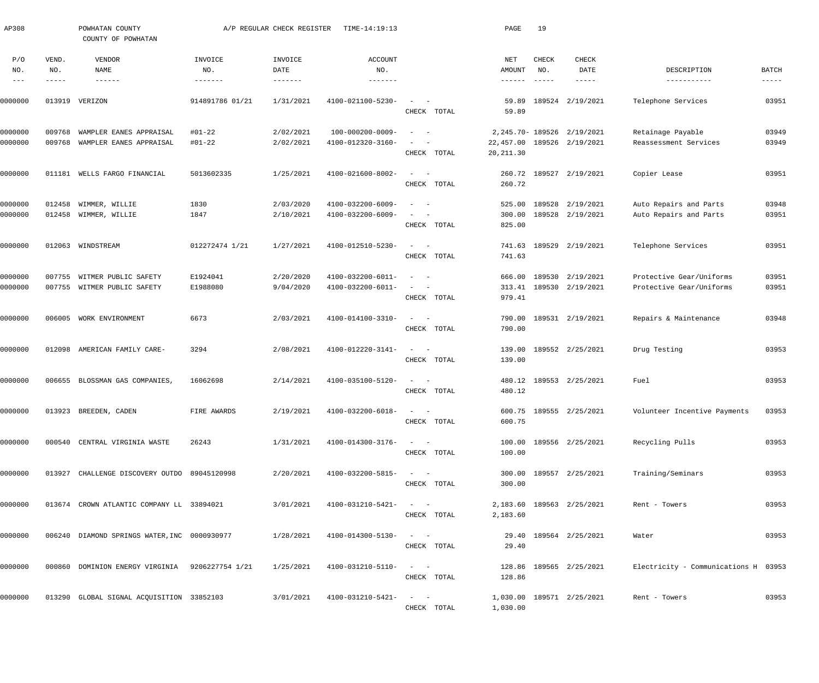| AP308                           |                       | POWHATAN COUNTY<br>COUNTY OF POWHATAN               |                           | A/P REGULAR CHECK REGISTER           | TIME-14:19:13                          |                                                                 | PAGE                             | 19                                        |                                                            |                                                      |                       |
|---------------------------------|-----------------------|-----------------------------------------------------|---------------------------|--------------------------------------|----------------------------------------|-----------------------------------------------------------------|----------------------------------|-------------------------------------------|------------------------------------------------------------|------------------------------------------------------|-----------------------|
| P/O<br>NO.<br>$\qquad \qquad -$ | VEND.<br>NO.<br>----- | VENDOR<br>NAME<br>------                            | INVOICE<br>NO.<br>------- | INVOICE<br>DATE<br>$- - - - - - - -$ | ACCOUNT<br>NO.<br>-------              |                                                                 | NET<br>AMOUNT<br>$- - - - - - -$ | CHECK<br>NO.<br>$\qquad \qquad - - - - -$ | CHECK<br>DATE<br>$------$                                  | DESCRIPTION<br>-----------                           | <b>BATCH</b><br>----- |
| 0000000                         |                       | 013919 VERIZON                                      | 914891786 01/21           | 1/31/2021                            | 4100-021100-5230-                      | $\overline{\phantom{a}}$<br>CHECK TOTAL                         | 59.89<br>59.89                   |                                           | 189524 2/19/2021                                           | Telephone Services                                   | 03951                 |
| 0000000<br>0000000              | 009768<br>009768      | WAMPLER EANES APPRAISAL<br>WAMPLER EANES APPRAISAL  | $#01-22$<br>#01-22        | 2/02/2021<br>2/02/2021               | 100-000200-0009-<br>4100-012320-3160-  | $\sim$ $-$<br>$\overline{\phantom{m}}$<br>CHECK TOTAL           | 20, 211.30                       |                                           | 2, 245.70 - 189526 2/19/2021<br>22,457.00 189526 2/19/2021 | Retainage Payable<br>Reassessment Services           | 03949<br>03949        |
| 0000000                         | 011181                | WELLS FARGO FINANCIAL                               | 5013602335                | 1/25/2021                            | 4100-021600-8002-                      | $\sim$<br>$\sim$ $-$<br>CHECK TOTAL                             | 260.72<br>260.72                 |                                           | 189527 2/19/2021                                           | Copier Lease                                         | 03951                 |
| 0000000<br>0000000              | 012458                | WIMMER, WILLIE<br>012458 WIMMER, WILLIE             | 1830<br>1847              | 2/03/2020<br>2/10/2021               | 4100-032200-6009-<br>4100-032200-6009- | $\sim$ $-$<br>$\sim$<br>CHECK TOTAL                             | 525.00<br>300.00<br>825.00       |                                           | 189528 2/19/2021<br>189528 2/19/2021                       | Auto Repairs and Parts<br>Auto Repairs and Parts     | 03948<br>03951        |
| 0000000                         |                       | 012063 WINDSTREAM                                   | 012272474 1/21            | 1/27/2021                            | 4100-012510-5230-                      | $\sim$<br>$\sim$ $-$<br>CHECK TOTAL                             | 741.63<br>741.63                 |                                           | 189529 2/19/2021                                           | Telephone Services                                   | 03951                 |
| 0000000<br>0000000              | 007755                | WITMER PUBLIC SAFETY<br>007755 WITMER PUBLIC SAFETY | E1924041<br>E1988080      | 2/20/2020<br>9/04/2020               | 4100-032200-6011-<br>4100-032200-6011- | $\sim$ $-$<br>$\overline{\phantom{m}}$<br>$\sim$<br>CHECK TOTAL | 666.00<br>313.41<br>979.41       |                                           | 189530 2/19/2021<br>189530 2/19/2021                       | Protective Gear/Uniforms<br>Protective Gear/Uniforms | 03951<br>03951        |
| 0000000                         |                       | 006005 WORK ENVIRONMENT                             | 6673                      | 2/03/2021                            | 4100-014100-3310-                      | $\sim$<br>$\sim$ $-$<br>CHECK TOTAL                             | 790.00<br>790.00                 |                                           | 189531 2/19/2021                                           | Repairs & Maintenance                                | 03948                 |
| 0000000                         |                       | 012098 AMERICAN FAMILY CARE-                        | 3294                      | 2/08/2021                            | 4100-012220-3141-                      | $\sim$ $  -$<br>CHECK TOTAL                                     | 139.00<br>139.00                 |                                           | 189552 2/25/2021                                           | Drug Testing                                         | 03953                 |
| 0000000                         |                       | 006655 BLOSSMAN GAS COMPANIES,                      | 16062698                  | 2/14/2021                            | 4100-035100-5120-                      | $\sim$ $  -$<br>CHECK TOTAL                                     | 480.12                           |                                           | 480.12 189553 2/25/2021                                    | Fuel                                                 | 03953                 |
| 0000000                         |                       | 013923 BREEDEN, CADEN                               | FIRE AWARDS               | 2/19/2021                            | $4100 - 032200 - 6018 - - -$           | CHECK TOTAL                                                     | 600.75                           |                                           | 600.75 189555 2/25/2021                                    | Volunteer Incentive Payments                         | 03953                 |
| 0000000                         |                       | 000540 CENTRAL VIRGINIA WASTE                       | 26243                     | 1/31/2021                            | 4100-014300-3176-                      | $\alpha$ and $\alpha$ and $\alpha$<br>CHECK TOTAL               | 100.00                           |                                           | 100.00 189556 2/25/2021                                    | Recycling Pulls                                      | 03953                 |
| 0000000                         |                       | 013927 CHALLENGE DISCOVERY OUTDO 89045120998        |                           | 2/20/2021                            | 4100-032200-5815-                      | $\sim$ $ \sim$ $  -$<br>CHECK TOTAL                             | 300.00                           |                                           | 300.00 189557 2/25/2021                                    | Training/Seminars                                    | 03953                 |
| 0000000                         |                       | 013674 CROWN ATLANTIC COMPANY LL 33894021           |                           | 3/01/2021                            | 4100-031210-5421-                      | $\alpha$ and $\alpha$ and $\alpha$<br>CHECK TOTAL               | 2,183.60                         |                                           | 2,183.60 189563 2/25/2021                                  | Rent - Towers                                        | 03953                 |
| 0000000                         |                       | 006240 DIAMOND SPRINGS WATER, INC 0000930977        |                           | 1/28/2021                            | 4100-014300-5130-                      | $\alpha = 1, \ldots, n-1$<br>CHECK TOTAL                        | 29.40                            |                                           | 29.40 189564 2/25/2021                                     | Water                                                | 03953                 |
| 0000000                         |                       | 000860 DOMINION ENERGY VIRGINIA 9206227754 1/21     |                           | 1/25/2021                            | 4100-031210-5110-                      | $\alpha = 1, \ldots, n-1$<br>CHECK TOTAL                        | 128.86                           |                                           | 128.86 189565 2/25/2021                                    | Electricity - Communications H 03953                 |                       |
| 0000000                         |                       | 013290 GLOBAL SIGNAL ACQUISITION 33852103           |                           | 3/01/2021                            | 4100-031210-5421-                      | $\alpha = 1, \ldots, n-1$<br>CHECK TOTAL                        | 1,030.00                         |                                           | 1,030.00 189571 2/25/2021                                  | Rent - Towers                                        | 03953                 |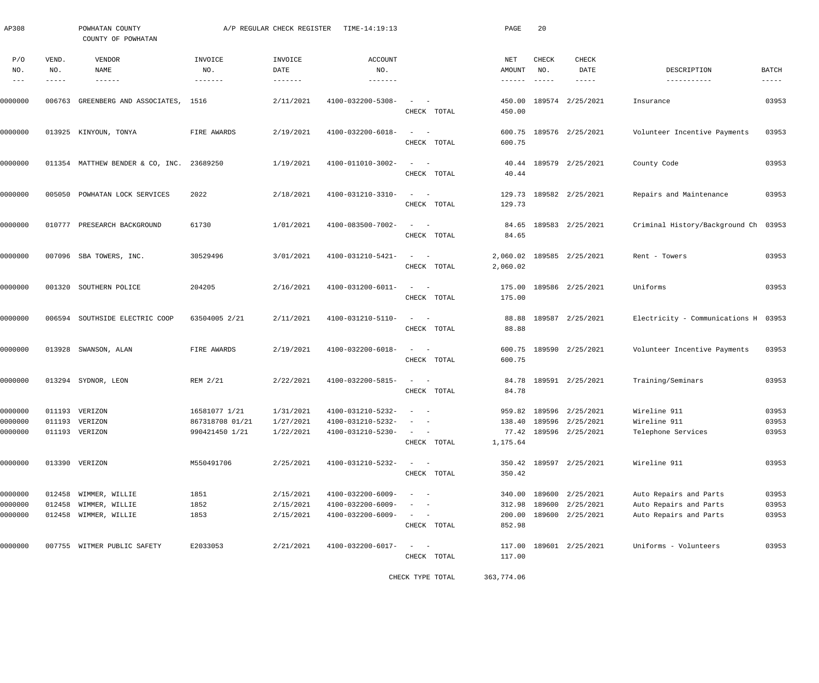| AP308                                          | POWHATAN COUNTY<br>COUNTY OF POWHATAN                            |                                                    | A/P REGULAR CHECK REGISTER             | TIME-14:19:13                                                          |                                                                                                                                                                                                | PAGE                             | 20                            |                                                                              |                                                                            |                                                                                                                                                                                                                                                                                                                                                                                                                                                                                                 |
|------------------------------------------------|------------------------------------------------------------------|----------------------------------------------------|----------------------------------------|------------------------------------------------------------------------|------------------------------------------------------------------------------------------------------------------------------------------------------------------------------------------------|----------------------------------|-------------------------------|------------------------------------------------------------------------------|----------------------------------------------------------------------------|-------------------------------------------------------------------------------------------------------------------------------------------------------------------------------------------------------------------------------------------------------------------------------------------------------------------------------------------------------------------------------------------------------------------------------------------------------------------------------------------------|
| P/O<br>VEND.<br>NO.<br>NO.<br>$- - -$<br>----- | VENDOR<br>NAME<br>$- - - - - - -$                                | INVOICE<br>NO.                                     | INVOICE<br>DATE<br>$- - - - - - - - -$ | ACCOUNT<br>NO.                                                         |                                                                                                                                                                                                | NET<br>AMOUNT<br>$- - - - - - -$ | CHECK<br>NO.<br>$- - - - - -$ | CHECK<br>DATE<br>-----                                                       | DESCRIPTION<br>-----------                                                 | BATCH<br>$\begin{tabular}{cccccc} - & - & - & - & - \\ & - & - & - & - \\ & - & - & - & - \\ & - & - & - & - \\ & - & - & - & - \\ & - & - & - & - \\ & - & - & - & - \\ & - & - & - & - \\ & - & - & - & - \\ & - & - & - & - \\ & - & - & - & - \\ & - & - & - & - \\ & - & - & - & - \\ & - & - & - & - \\ & - & - & - & - \\ & - & - & - & - \\ & - & - & - & - \\ & - & - & - & - \\ & - & - & - & - \\ & - & - & - & - \\ & - & - & - & - \\ & - & - & - & - \\ & - & - & - & - & - \\ &$ |
| 0000000<br>006763                              | GREENBERG AND ASSOCIATES,                                        | 1516                                               | 2/11/2021                              | 4100-032200-5308-                                                      | CHECK TOTAL                                                                                                                                                                                    | 450.00                           |                               | 450.00 189574 2/25/2021                                                      | Insurance                                                                  | 03953                                                                                                                                                                                                                                                                                                                                                                                                                                                                                           |
| 0000000                                        | 013925 KINYOUN, TONYA                                            | FIRE AWARDS                                        | 2/19/2021                              | 4100-032200-6018-                                                      | $\frac{1}{2} \left( \frac{1}{2} \right) \left( \frac{1}{2} \right) = \frac{1}{2} \left( \frac{1}{2} \right)$<br>CHECK TOTAL                                                                    | 600.75                           |                               | 600.75 189576 2/25/2021                                                      | Volunteer Incentive Payments                                               | 03953                                                                                                                                                                                                                                                                                                                                                                                                                                                                                           |
| 0000000                                        | 011354 MATTHEW BENDER & CO, INC. 23689250                        |                                                    | 1/19/2021                              | 4100-011010-3002-                                                      | $\frac{1}{2} \left( \frac{1}{2} \right) \left( \frac{1}{2} \right) \left( \frac{1}{2} \right) \left( \frac{1}{2} \right)$<br>CHECK TOTAL                                                       | 40.44                            |                               | 40.44 189579 2/25/2021                                                       | County Code                                                                | 03953                                                                                                                                                                                                                                                                                                                                                                                                                                                                                           |
| 0000000                                        | 005050 POWHATAN LOCK SERVICES                                    | 2022                                               | 2/18/2021                              | 4100-031210-3310-                                                      | $\frac{1}{2} \left( \frac{1}{2} \right) \left( \frac{1}{2} \right) = \frac{1}{2} \left( \frac{1}{2} \right)$<br>CHECK TOTAL                                                                    | 129.73                           |                               | 129.73 189582 2/25/2021                                                      | Repairs and Maintenance                                                    | 03953                                                                                                                                                                                                                                                                                                                                                                                                                                                                                           |
| 0000000                                        | 010777 PRESEARCH BACKGROUND                                      | 61730                                              | 1/01/2021                              | 4100-083500-7002-                                                      | $\frac{1}{2} \left( \frac{1}{2} \right) \left( \frac{1}{2} \right) = \frac{1}{2} \left( \frac{1}{2} \right)$<br>CHECK TOTAL                                                                    | 84.65                            |                               | 84.65 189583 2/25/2021                                                       | Criminal History/Background Ch 03953                                       |                                                                                                                                                                                                                                                                                                                                                                                                                                                                                                 |
| 0000000                                        | 007096 SBA TOWERS, INC.                                          | 30529496                                           | 3/01/2021                              | 4100-031210-5421-                                                      | $\frac{1}{2} \left( \frac{1}{2} \right) \left( \frac{1}{2} \right) = \frac{1}{2} \left( \frac{1}{2} \right)$<br>CHECK TOTAL                                                                    | 2,060.02                         |                               | 2,060.02 189585 2/25/2021                                                    | Rent - Towers                                                              | 03953                                                                                                                                                                                                                                                                                                                                                                                                                                                                                           |
| 0000000<br>001320                              | SOUTHERN POLICE                                                  | 204205                                             | 2/16/2021                              | 4100-031200-6011-                                                      | $\frac{1}{2}$ and $\frac{1}{2}$ and $\frac{1}{2}$<br>CHECK TOTAL                                                                                                                               | 175.00                           |                               | 175.00 189586 2/25/2021                                                      | Uniforms                                                                   | 03953                                                                                                                                                                                                                                                                                                                                                                                                                                                                                           |
| 0000000                                        | 006594 SOUTHSIDE ELECTRIC COOP                                   | 63504005 2/21                                      | 2/11/2021                              | 4100-031210-5110-                                                      | $\frac{1}{2}$ and $\frac{1}{2}$ and $\frac{1}{2}$<br>CHECK TOTAL                                                                                                                               | 88.88                            |                               | 88.88 189587 2/25/2021                                                       | Electricity - Communications H 03953                                       |                                                                                                                                                                                                                                                                                                                                                                                                                                                                                                 |
| 0000000<br>013928                              | SWANSON, ALAN                                                    | FIRE AWARDS                                        | 2/19/2021                              | 4100-032200-6018-                                                      | $\frac{1}{2} \left( \frac{1}{2} \right) \left( \frac{1}{2} \right) = \frac{1}{2} \left( \frac{1}{2} \right)$<br>CHECK TOTAL                                                                    | 600.75                           |                               | 600.75 189590 2/25/2021                                                      | Volunteer Incentive Payments                                               | 03953                                                                                                                                                                                                                                                                                                                                                                                                                                                                                           |
| 0000000                                        | 013294 SYDNOR, LEON                                              | REM 2/21                                           | 2/22/2021                              | 4100-032200-5815-                                                      | $\sim$<br>$\sim$ $-$<br>CHECK TOTAL                                                                                                                                                            | 84.78                            |                               | 84.78 189591 2/25/2021                                                       | Training/Seminars                                                          | 03953                                                                                                                                                                                                                                                                                                                                                                                                                                                                                           |
| 0000000<br>0000000<br>0000000                  | 011193 VERIZON<br>011193 VERIZON<br>011193 VERIZON               | 16581077 1/21<br>867318708 01/21<br>990421450 1/21 | 1/31/2021<br>1/27/2021<br>1/22/2021    | $4100 - 031210 - 5232 - - -$<br>4100-031210-5232-<br>4100-031210-5230- | $\frac{1}{2}$ and $\frac{1}{2}$ and $\frac{1}{2}$<br>CHECK TOTAL                                                                                                                               | 1,175.64                         |                               | 959.82 189596 2/25/2021<br>138.40 189596 2/25/2021<br>77.42 189596 2/25/2021 | Wireline 911<br>Wireline 911<br>Telephone Services                         | 03953<br>03953<br>03953                                                                                                                                                                                                                                                                                                                                                                                                                                                                         |
| 0000000                                        | 013390 VERIZON                                                   | M550491706                                         | 2/25/2021                              | 4100-031210-5232-                                                      | $\sim$ $  -$<br>CHECK TOTAL                                                                                                                                                                    | 350.42                           |                               | 350.42 189597 2/25/2021                                                      | Wireline 911                                                               | 03953                                                                                                                                                                                                                                                                                                                                                                                                                                                                                           |
| 0000000<br>0000000<br>012458<br>0000000        | 012458 WIMMER, WILLIE<br>WIMMER, WILLIE<br>012458 WIMMER, WILLIE | 1851<br>1852<br>1853                               | 2/15/2021<br>2/15/2021<br>2/15/2021    | 4100-032200-6009-<br>4100-032200-6009-<br>4100-032200-6009-            | $\frac{1}{2} \left( \frac{1}{2} \right) \left( \frac{1}{2} \right) = \frac{1}{2} \left( \frac{1}{2} \right)$<br>$\sim$ $-$<br>$\frac{1}{2}$ and $\frac{1}{2}$ and $\frac{1}{2}$<br>CHECK TOTAL | 312.98<br>200.00<br>852.98       |                               | 340.00 189600 2/25/2021<br>189600 2/25/2021<br>189600 2/25/2021              | Auto Repairs and Parts<br>Auto Repairs and Parts<br>Auto Repairs and Parts | 03953<br>03953<br>03953                                                                                                                                                                                                                                                                                                                                                                                                                                                                         |
| 0000000                                        | 007755 WITMER PUBLIC SAFETY                                      | E2033053                                           | 2/21/2021                              | 4100-032200-6017-                                                      | $\sim$<br>CHECK TOTAL                                                                                                                                                                          | 117.00                           |                               | 117.00 189601 2/25/2021                                                      | Uniforms - Volunteers                                                      | 03953                                                                                                                                                                                                                                                                                                                                                                                                                                                                                           |

CHECK TYPE TOTAL 363,774.06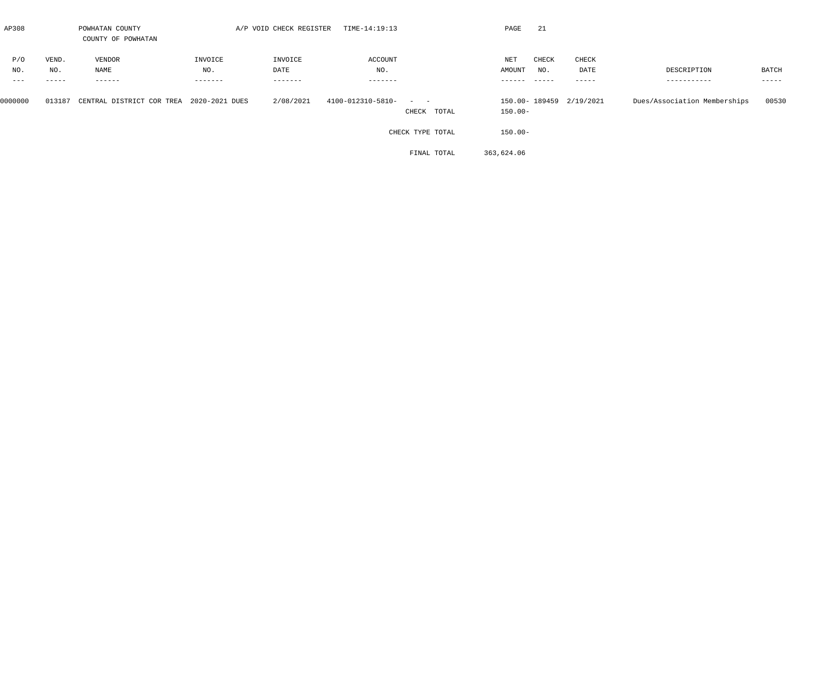| AP308   |        | POWHATAN COUNTY<br>COUNTY OF POWHATAN    |                 | A/P VOID CHECK REGISTER | TIME-14:19:13     |                                | PAGE       | -21    |                         |                              |               |
|---------|--------|------------------------------------------|-----------------|-------------------------|-------------------|--------------------------------|------------|--------|-------------------------|------------------------------|---------------|
| P/O     | VEND.  | VENDOR                                   | INVOICE         | INVOICE                 | ACCOUNT           |                                | NET        | CHECK  | CHECK                   |                              |               |
| NO.     | NO.    | NAME                                     | NO.             | DATE                    | NO.               |                                | AMOUNT     | NO.    | DATE                    | DESCRIPTION                  | BATCH         |
| $-- -$  | -----  | ------                                   | $- - - - - - -$ | -------                 | -------           |                                | -------    | ------ | -----                   | -----------                  | $- - - - - -$ |
| 0000000 | 013187 | CENTRAL DISTRICT COR TREA 2020-2021 DUES |                 | 2/08/2021               | 4100-012310-5810- | $\alpha = 1, \ldots, \alpha$ . |            |        | 150.00-189459 2/19/2021 | Dues/Association Memberships | 00530         |
|         |        |                                          |                 |                         |                   | CHECK TOTAL                    | $150.00 -$ |        |                         |                              |               |
|         |        |                                          |                 |                         |                   | CHECK TYPE TOTAL               | $150.00 -$ |        |                         |                              |               |
|         |        |                                          |                 |                         |                   | FINAL TOTAL                    | 363,624.06 |        |                         |                              |               |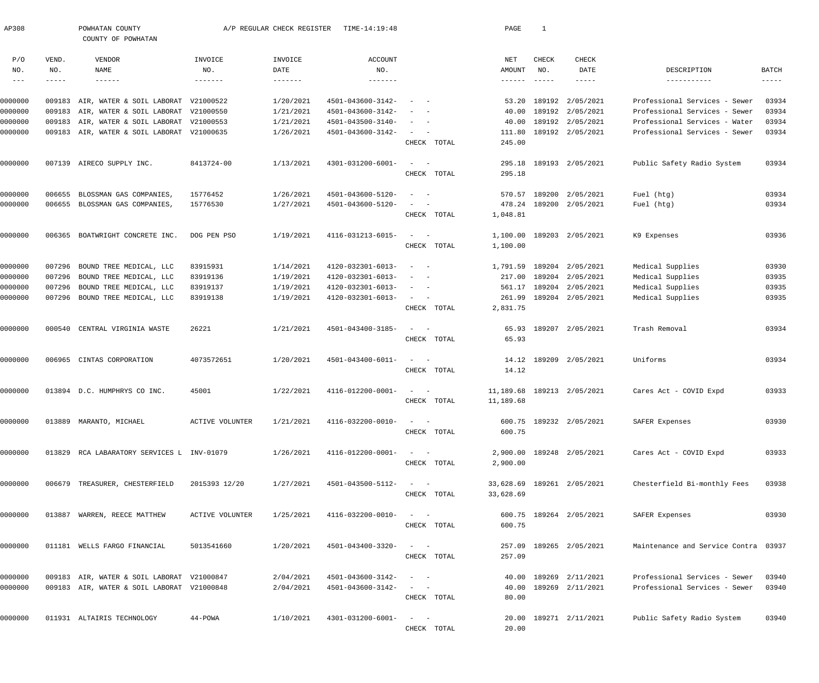| AP308                |                      | POWHATAN COUNTY<br>COUNTY OF POWHATAN      |                        | A/P REGULAR CHECK REGISTER | TIME-14:19:48          |                                                   | PAGE             | 1                    |                             |                                      |                               |
|----------------------|----------------------|--------------------------------------------|------------------------|----------------------------|------------------------|---------------------------------------------------|------------------|----------------------|-----------------------------|--------------------------------------|-------------------------------|
| P/O                  | VEND.                | VENDOR                                     | INVOICE                | INVOICE                    | ACCOUNT                |                                                   | NET              | CHECK                | <b>CHECK</b>                |                                      |                               |
| NO.<br>$\frac{1}{2}$ | NO.<br>$- - - - - -$ | NAME<br>$- - - - - - -$                    | NO.<br>$- - - - - - -$ | DATE                       | NO.<br>$- - - - - - -$ |                                                   | AMOUNT<br>------ | NO.<br>$- - - - - -$ | DATE<br>$- - - - - -$       | DESCRIPTION<br>-----------           | BATCH<br>$\cdots\cdots\cdots$ |
| 0000000              |                      | 009183 AIR, WATER & SOIL LABORAT           | V21000522              | 1/20/2021                  | 4501-043600-3142-      | $\overline{\phantom{a}}$<br>$\sim$                | 53.20            | 189192               | 2/05/2021                   | Professional Services - Sewer        | 03934                         |
| 0000000              |                      | 009183 AIR, WATER & SOIL LABORAT V21000550 |                        | 1/21/2021                  | 4501-043600-3142-      | $\overline{\phantom{a}}$                          | 40.00            | 189192               | 2/05/2021                   | Professional Services - Sewer        | 03934                         |
| 0000000              |                      | 009183 AIR, WATER & SOIL LABORAT V21000553 |                        | 1/21/2021                  | 4501-043500-3140-      | $\overline{\phantom{a}}$<br>$\sim$                | 40.00            |                      | 189192 2/05/2021            | Professional Services - Water        | 03934                         |
| 0000000              |                      | 009183 AIR, WATER & SOIL LABORAT V21000635 |                        | 1/26/2021                  | 4501-043600-3142-      | $\sim$<br>$\overline{\phantom{a}}$<br>CHECK TOTAL | 111.80<br>245.00 |                      | 189192 2/05/2021            | Professional Services - Sewer        | 03934                         |
| 0000000              |                      | 007139 AIRECO SUPPLY INC.                  | 8413724-00             | 1/13/2021                  | 4301-031200-6001-      | $\sim$<br>$\hspace{0.1mm}-\hspace{0.1mm}$         | 295.18           |                      | 189193 2/05/2021            | Public Safety Radio System           | 03934                         |
|                      |                      |                                            |                        |                            |                        | CHECK TOTAL                                       | 295.18           |                      |                             |                                      |                               |
| 0000000              | 006655               | BLOSSMAN GAS COMPANIES,                    | 15776452               | 1/26/2021                  | 4501-043600-5120-      | $\sim$ $-$                                        | 570.57           | 189200               | 2/05/2021                   | Fuel (htg)                           | 03934                         |
| 0000000              | 006655               | BLOSSMAN GAS COMPANIES                     | 15776530               | 1/27/2021                  | 4501-043600-5120-      |                                                   | 478.24           |                      | 189200 2/05/2021            | Fuel (htg)                           | 03934                         |
|                      |                      |                                            |                        |                            |                        | CHECK TOTAL                                       | 1,048.81         |                      |                             |                                      |                               |
| 0000000              | 006365               | BOATWRIGHT CONCRETE INC.                   | DOG PEN PSO            | 1/19/2021                  | 4116-031213-6015-      | $\equiv$<br>$\overline{\phantom{a}}$              | 1,100.00         |                      | 189203 2/05/2021            | K9 Expenses                          | 03936                         |
|                      |                      |                                            |                        |                            |                        | CHECK TOTAL                                       | 1,100.00         |                      |                             |                                      |                               |
| 0000000              | 007296               | BOUND TREE MEDICAL, LLC                    | 83915931               | 1/14/2021                  | 4120-032301-6013-      | $\sim$ $-$                                        | 1,791.59         |                      | 189204 2/05/2021            | Medical Supplies                     | 03930                         |
| 0000000              | 007296               | BOUND TREE MEDICAL, LLC                    | 83919136               | 1/19/2021                  | 4120-032301-6013-      | $\sim$                                            | 217.00           |                      | 189204 2/05/2021            | Medical Supplies                     | 03935                         |
| 0000000              | 007296               | BOUND TREE MEDICAL, LLC                    | 83919137               | 1/19/2021                  | 4120-032301-6013-      | $\sim$<br>$\sim$ $-$                              | 561.17           |                      | 189204 2/05/2021            | Medical Supplies                     | 03935                         |
| 0000000              |                      | 007296 BOUND TREE MEDICAL, LLC             | 83919138               | 1/19/2021                  | 4120-032301-6013-      | $\sim$<br>$\hspace{0.1mm}-\hspace{0.1mm}$         | 261.99           |                      | 189204 2/05/2021            | Medical Supplies                     | 03935                         |
|                      |                      |                                            |                        |                            |                        | CHECK TOTAL                                       | 2,831.75         |                      |                             |                                      |                               |
| 0000000              | 000540               | CENTRAL VIRGINIA WASTE                     | 26221                  | 1/21/2021                  | 4501-043400-3185-      | $\sim$<br>$\sim$                                  | 65.93            |                      | 189207 2/05/2021            | Trash Removal                        | 03934                         |
|                      |                      |                                            |                        |                            |                        | CHECK TOTAL                                       | 65.93            |                      |                             |                                      |                               |
| 0000000              |                      | 006965 CINTAS CORPORATION                  | 4073572651             | 1/20/2021                  | 4501-043400-6011-      | $\sim$ $-$                                        | 14.12            |                      | 189209 2/05/2021            | Uniforms                             | 03934                         |
|                      |                      |                                            |                        |                            |                        | CHECK TOTAL                                       | 14.12            |                      |                             |                                      |                               |
| 0000000              |                      | 013894 D.C. HUMPHRYS CO INC.               | 45001                  | 1/22/2021                  | 4116-012200-0001-      |                                                   |                  |                      | 11, 189.68 189213 2/05/2021 | Cares Act - COVID Expd               | 03933                         |
|                      |                      |                                            |                        |                            |                        | CHECK TOTAL                                       | 11,189.68        |                      |                             |                                      |                               |
| 0000000              |                      | 013889 MARANTO, MICHAEL                    | <b>ACTIVE VOLUNTER</b> | 1/21/2021                  | 4116-032200-0010-      |                                                   |                  |                      | 600.75 189232 2/05/2021     | SAFER Expenses                       | 03930                         |
|                      |                      |                                            |                        |                            |                        | CHECK TOTAL                                       | 600.75           |                      |                             |                                      |                               |
| 0000000              |                      | 013829 RCA LABARATORY SERVICES L INV-01079 |                        | 1/26/2021                  | 4116-012200-0001-      | $\sim$                                            |                  |                      | 2,900.00 189248 2/05/2021   | Cares Act - COVID Expd               | 03933                         |
|                      |                      |                                            |                        |                            |                        | CHECK TOTAL                                       | 2,900.00         |                      |                             |                                      |                               |
| 0000000              |                      | 006679 TREASURER, CHESTERFIELD             | 2015393 12/20          | 1/27/2021                  | 4501-043500-5112-      | $\sim$ 100 $\mu$<br>$\overline{\phantom{a}}$      |                  |                      | 33,628.69 189261 2/05/2021  | Chesterfield Bi-monthly Fees         | 03938                         |
|                      |                      |                                            |                        |                            |                        | CHECK TOTAL                                       | 33,628.69        |                      |                             |                                      |                               |
| 0000000              |                      | 013887 WARREN, REECE MATTHEW               | <b>ACTIVE VOLUNTER</b> | 1/25/2021                  | 4116-032200-0010-      | $\frac{1}{2}$ and $\frac{1}{2}$ and $\frac{1}{2}$ |                  |                      | 600.75 189264 2/05/2021     | SAFER Expenses                       | 03930                         |
|                      |                      |                                            |                        |                            |                        | CHECK TOTAL                                       | 600.75           |                      |                             |                                      |                               |
| 0000000              |                      | 011181 WELLS FARGO FINANCIAL               | 5013541660             | 1/20/2021                  | 4501-043400-3320-      | $\sim$                                            |                  |                      | 257.09 189265 2/05/2021     | Maintenance and Service Contra 03937 |                               |
|                      |                      |                                            |                        |                            |                        | CHECK TOTAL                                       | 257.09           |                      |                             |                                      |                               |
| 0000000              |                      | 009183 AIR, WATER & SOIL LABORAT V21000847 |                        | 2/04/2021                  | 4501-043600-3142-      | $\sim$ $-$                                        | 40.00            |                      | 189269 2/11/2021            | Professional Services - Sewer        | 03940                         |
| 0000000              |                      | 009183 AIR, WATER & SOIL LABORAT V21000848 |                        | 2/04/2021                  | 4501-043600-3142-      |                                                   | 40.00            |                      | 189269 2/11/2021            | Professional Services - Sewer        | 03940                         |
|                      |                      |                                            |                        |                            |                        | CHECK TOTAL                                       | 80.00            |                      |                             |                                      |                               |
| 0000000              |                      | 011931 ALTAIRIS TECHNOLOGY                 | 44-POWA                | 1/10/2021                  | 4301-031200-6001-      | $\sim$<br>$\sim$ $-$                              |                  |                      | 20.00 189271 2/11/2021      | Public Safety Radio System           | 03940                         |
|                      |                      |                                            |                        |                            |                        | CHECK TOTAL                                       | 20.00            |                      |                             |                                      |                               |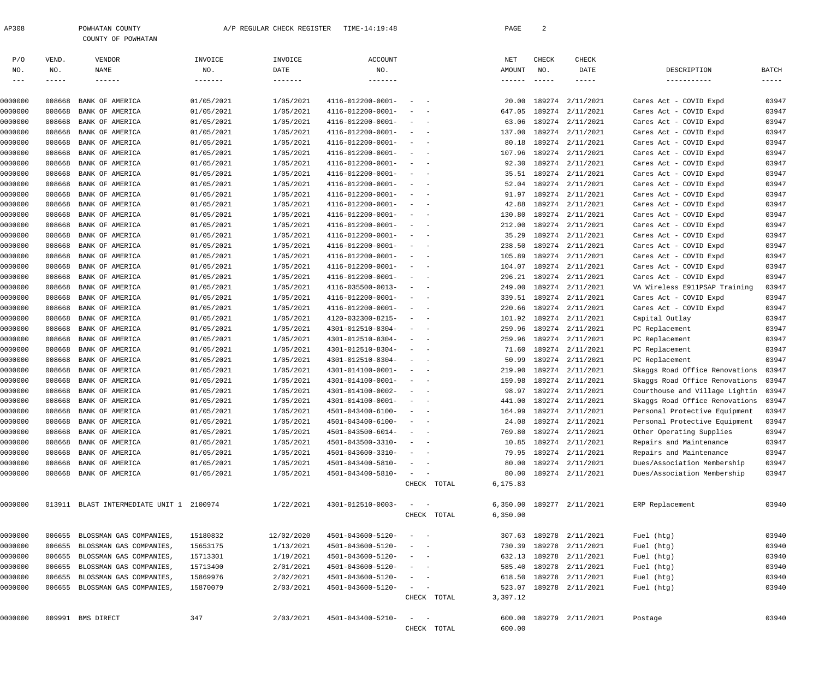| 308 | POWHATAN COUNTY |  |                    |  |  |  |  |  |  |  |
|-----|-----------------|--|--------------------|--|--|--|--|--|--|--|
|     |                 |  | COUNTY OF POWHATAN |  |  |  |  |  |  |  |

| P/O        | VEND.       | VENDOR                                   | INVOICE    | INVOICE    | ACCOUNT                      |                                                                                                                           |             | NET             | CHECK         | CHECK                     |                                |                        |
|------------|-------------|------------------------------------------|------------|------------|------------------------------|---------------------------------------------------------------------------------------------------------------------------|-------------|-----------------|---------------|---------------------------|--------------------------------|------------------------|
| NO.        | NO.         | NAME                                     | NO.        | DATE       | NO.                          |                                                                                                                           |             | AMOUNT          | NO.           | DATE                      | DESCRIPTION                    | BATCH                  |
| $--\,$ $-$ | $- - - - -$ | $- - - - - - -$                          |            |            | $- - - - - - -$              |                                                                                                                           |             | $- - - - - - -$ | $- - - - - -$ | $--- - - -$               | -----------                    | $\cdots \cdots \cdots$ |
|            |             |                                          |            |            |                              |                                                                                                                           |             |                 |               |                           |                                |                        |
| 0000000    | 008668      | BANK OF AMERICA                          | 01/05/2021 | 1/05/2021  | 4116-012200-0001-            |                                                                                                                           |             | 20.00           |               | 189274 2/11/2021          | Cares Act - COVID Expd         | 03947                  |
| 0000000    | 008668      | BANK OF AMERICA                          | 01/05/2021 | 1/05/2021  | 4116-012200-0001-            |                                                                                                                           |             | 647.05          |               | 189274 2/11/2021          | Cares Act - COVID Expd         | 03947                  |
| 0000000    | 008668      | BANK OF AMERICA                          | 01/05/2021 | 1/05/2021  | 4116-012200-0001-            |                                                                                                                           |             | 63.06           |               | 189274 2/11/2021          | Cares Act - COVID Expd         | 03947                  |
| 0000000    | 008668      | BANK OF AMERICA                          | 01/05/2021 | 1/05/2021  | 4116-012200-0001-            |                                                                                                                           |             | 137.00          |               | 189274 2/11/2021          | Cares Act - COVID Expd         | 03947                  |
| 0000000    | 008668      | BANK OF AMERICA                          | 01/05/2021 | 1/05/2021  | 4116-012200-0001-            |                                                                                                                           |             | 80.18           |               | 189274 2/11/2021          | Cares Act - COVID Expd         | 03947                  |
| 0000000    | 008668      | BANK OF AMERICA                          | 01/05/2021 | 1/05/2021  | 4116-012200-0001-            |                                                                                                                           |             | 107.96          |               | 189274 2/11/2021          | Cares Act - COVID Expd         | 03947                  |
| 0000000    | 008668      | BANK OF AMERICA                          | 01/05/2021 | 1/05/2021  | 4116-012200-0001-            |                                                                                                                           |             | 92.30           |               | 189274 2/11/2021          | Cares Act - COVID Expd         | 03947                  |
| 0000000    | 008668      | BANK OF AMERICA                          | 01/05/2021 | 1/05/2021  | 4116-012200-0001-            |                                                                                                                           |             | 35.51           |               | 189274 2/11/2021          | Cares Act - COVID Expd         | 03947                  |
| 0000000    | 008668      | BANK OF AMERICA                          | 01/05/2021 | 1/05/2021  | 4116-012200-0001-            |                                                                                                                           |             | 52.04           |               | 189274 2/11/2021          | Cares Act - COVID Expd         | 03947                  |
| 0000000    | 008668      | BANK OF AMERICA                          | 01/05/2021 | 1/05/2021  | 4116-012200-0001-            |                                                                                                                           |             | 91.97           |               | 189274 2/11/2021          | Cares Act - COVID Expd         | 03947                  |
| 0000000    | 008668      | BANK OF AMERICA                          | 01/05/2021 | 1/05/2021  | 4116-012200-0001-            |                                                                                                                           |             | 42.88           |               | 189274 2/11/2021          | Cares Act - COVID Expd         | 03947                  |
| 0000000    | 008668      | BANK OF AMERICA                          | 01/05/2021 | 1/05/2021  | 4116-012200-0001-            |                                                                                                                           |             | 130.80          |               | 189274 2/11/2021          | Cares Act - COVID Expd         | 03947                  |
| 0000000    | 008668      | BANK OF AMERICA                          | 01/05/2021 | 1/05/2021  | 4116-012200-0001-            |                                                                                                                           |             | 212.00          |               | 189274 2/11/2021          | Cares Act - COVID Expd         | 03947                  |
| 0000000    | 008668      | BANK OF AMERICA                          | 01/05/2021 | 1/05/2021  | 4116-012200-0001-            |                                                                                                                           |             | 35.29           |               | 189274 2/11/2021          | Cares Act - COVID Expd         | 03947                  |
| 0000000    | 008668      | BANK OF AMERICA                          | 01/05/2021 | 1/05/2021  | 4116-012200-0001-            |                                                                                                                           |             | 238.50          |               | 189274 2/11/2021          | Cares Act - COVID Expd         | 03947                  |
| 0000000    | 008668      | BANK OF AMERICA                          | 01/05/2021 | 1/05/2021  | 4116-012200-0001-            |                                                                                                                           |             | 105.89          |               | 189274 2/11/2021          | Cares Act - COVID Expd         | 03947                  |
| 0000000    | 008668      | BANK OF AMERICA                          | 01/05/2021 | 1/05/2021  | 4116-012200-0001-            |                                                                                                                           |             | 104.07          |               | 189274 2/11/2021          | Cares Act - COVID Expd         | 03947                  |
| 0000000    | 008668      | BANK OF AMERICA                          | 01/05/2021 | 1/05/2021  | 4116-012200-0001-            |                                                                                                                           |             | 296.21          |               | 189274 2/11/2021          | Cares Act - COVID Expd         | 03947                  |
| 0000000    | 008668      | BANK OF AMERICA                          | 01/05/2021 | 1/05/2021  | 4116-035500-0013-            |                                                                                                                           |             | 249.00          |               | 189274 2/11/2021          | VA Wireless E911PSAP Training  | 03947                  |
| 0000000    | 008668      | BANK OF AMERICA                          | 01/05/2021 | 1/05/2021  | 4116-012200-0001-            |                                                                                                                           |             | 339.51          |               | 189274 2/11/2021          | Cares Act - COVID Expd         | 03947                  |
| 0000000    | 008668      | BANK OF AMERICA                          | 01/05/2021 | 1/05/2021  | 4116-012200-0001-            |                                                                                                                           |             | 220.66          |               | 189274 2/11/2021          | Cares Act - COVID Expd         | 03947                  |
| 0000000    | 008668      | BANK OF AMERICA                          | 01/05/2021 | 1/05/2021  | 4120-032300-8215-            |                                                                                                                           |             |                 |               | 101.92 189274 2/11/2021   | Capital Outlay                 | 03947                  |
| 0000000    | 008668      | BANK OF AMERICA                          | 01/05/2021 | 1/05/2021  | 4301-012510-8304-            |                                                                                                                           |             | 259.96          |               | 189274 2/11/2021          | PC Replacement                 | 03947                  |
| 0000000    | 008668      | BANK OF AMERICA                          | 01/05/2021 | 1/05/2021  | 4301-012510-8304-            |                                                                                                                           |             | 259.96          |               | 189274 2/11/2021          | PC Replacement                 | 03947                  |
| 0000000    | 008668      | BANK OF AMERICA                          | 01/05/2021 | 1/05/2021  | 4301-012510-8304-            |                                                                                                                           |             | 71.60           |               | 189274 2/11/2021          | PC Replacement                 | 03947                  |
| 0000000    | 008668      | BANK OF AMERICA                          | 01/05/2021 | 1/05/2021  | 4301-012510-8304-            |                                                                                                                           |             | 50.99           |               | 189274 2/11/2021          | PC Replacement                 | 03947                  |
| 0000000    | 008668      | BANK OF AMERICA                          | 01/05/2021 | 1/05/2021  | 4301-014100-0001-            |                                                                                                                           |             | 219.90          |               | 189274 2/11/2021          | Skaggs Road Office Renovations | 03947                  |
| 0000000    | 008668      | BANK OF AMERICA                          | 01/05/2021 | 1/05/2021  | 4301-014100-0001-            |                                                                                                                           |             | 159.98          |               | 189274 2/11/2021          | Skaggs Road Office Renovations | 03947                  |
| 0000000    | 008668      | BANK OF AMERICA                          | 01/05/2021 | 1/05/2021  | 4301-014100-0002-            |                                                                                                                           |             | 98.97           |               | 189274 2/11/2021          | Courthouse and Village Lightin | 03947                  |
| 0000000    | 008668      | BANK OF AMERICA                          | 01/05/2021 | 1/05/2021  | 4301-014100-0001-            |                                                                                                                           |             | 441.00          |               | 189274 2/11/2021          | Skaggs Road Office Renovations | 03947                  |
| 0000000    | 008668      | BANK OF AMERICA                          | 01/05/2021 | 1/05/2021  | 4501-043400-6100-            |                                                                                                                           |             | 164.99          |               | 189274 2/11/2021          | Personal Protective Equipment  | 03947                  |
| 0000000    | 008668      | BANK OF AMERICA                          | 01/05/2021 | 1/05/2021  | 4501-043400-6100-            |                                                                                                                           |             | 24.08           |               | 189274 2/11/2021          | Personal Protective Equipment  | 03947                  |
| 0000000    | 008668      | BANK OF AMERICA                          | 01/05/2021 | 1/05/2021  | 4501-043500-6014-            | $\overline{\phantom{a}}$                                                                                                  |             |                 |               | 769.80 189274 2/11/2021   | Other Operating Supplies       | 03947                  |
| 0000000    |             | 008668 BANK OF AMERICA                   | 01/05/2021 | 1/05/2021  | $4501 - 043500 - 3310 - - -$ |                                                                                                                           |             |                 |               | 10.85 189274 2/11/2021    | Repairs and Maintenance        | 03947                  |
| 0000000    |             | 008668 BANK OF AMERICA                   | 01/05/2021 | 1/05/2021  | 4501-043600-3310-            | $\frac{1}{2} \left( \frac{1}{2} \right) \left( \frac{1}{2} \right) \left( \frac{1}{2} \right) \left( \frac{1}{2} \right)$ |             |                 |               | 79.95 189274 2/11/2021    | Repairs and Maintenance        | 03947                  |
| 0000000    |             | 008668 BANK OF AMERICA                   | 01/05/2021 | 1/05/2021  | 4501-043400-5810-            |                                                                                                                           |             |                 |               | 80.00 189274 2/11/2021    | Dues/Association Membership    | 03947                  |
| 0000000    |             | 008668 BANK OF AMERICA                   | 01/05/2021 | 1/05/2021  | 4501-043400-5810-            | $\alpha = 1, \ldots, \alpha$                                                                                              |             |                 |               | 80.00 189274 2/11/2021    | Dues/Association Membership    | 03947                  |
|            |             |                                          |            |            |                              |                                                                                                                           | CHECK TOTAL | 6,175.83        |               |                           |                                |                        |
|            |             |                                          |            |            |                              |                                                                                                                           |             |                 |               |                           |                                |                        |
| 0000000    |             | 013911 BLAST INTERMEDIATE UNIT 1 2100974 |            | 1/22/2021  | 4301-012510-0003-            | $\mathcal{L}_{\mathcal{A}}$ , and $\mathcal{L}_{\mathcal{A}}$                                                             | CHECK TOTAL | 6,350.00        |               | 6,350.00 189277 2/11/2021 | ERP Replacement                | 03940                  |
|            |             |                                          |            |            |                              |                                                                                                                           |             |                 |               |                           |                                |                        |
| 0000000    |             | 006655 BLOSSMAN GAS COMPANIES,           | 15180832   | 12/02/2020 | $4501 - 043600 - 5120 - - -$ |                                                                                                                           |             |                 |               | 307.63 189278 2/11/2021   | Fuel (htg)                     | 03940                  |
| 0000000    |             | 006655 BLOSSMAN GAS COMPANIES,           | 15653175   | 1/13/2021  | 4501-043600-5120-            |                                                                                                                           |             |                 |               | 730.39 189278 2/11/2021   | Fuel (htg)                     | 03940                  |
| 0000000    |             | 006655 BLOSSMAN GAS COMPANIES,           | 15713301   | 1/19/2021  | 4501-043600-5120-            |                                                                                                                           |             |                 |               | 632.13 189278 2/11/2021   | Fuel (htg)                     | 03940                  |
| 0000000    |             | 006655 BLOSSMAN GAS COMPANIES,           | 15713400   | 2/01/2021  | 4501-043600-5120-            |                                                                                                                           |             |                 |               | 585.40 189278 2/11/2021   | Fuel (htg)                     | 03940                  |
| 0000000    |             | 006655 BLOSSMAN GAS COMPANIES,           | 15869976   | 2/02/2021  | 4501-043600-5120-            | $\sim$ $ -$                                                                                                               |             |                 |               | 618.50 189278 2/11/2021   | Fuel (htg)                     | 03940                  |
| 0000000    |             | 006655 BLOSSMAN GAS COMPANIES,           | 15870079   | 2/03/2021  | 4501-043600-5120-            | $\alpha = 1, \ldots, \alpha$                                                                                              |             |                 |               | 523.07 189278 2/11/2021   | Fuel (htg)                     | 03940                  |
|            |             |                                          |            |            |                              |                                                                                                                           | CHECK TOTAL | 3,397.12        |               |                           |                                |                        |
|            |             |                                          |            |            |                              |                                                                                                                           |             |                 |               |                           |                                |                        |
| 0000000    |             | 009991 BMS DIRECT                        | 347        | 2/03/2021  | 4501-043400-5210-            | $\mathcal{L}(\mathcal{L})$ and $\mathcal{L}(\mathcal{L})$                                                                 |             |                 |               | 600.00 189279 2/11/2021   | Postage                        | 03940                  |
|            |             |                                          |            |            |                              |                                                                                                                           | CHECK TOTAL | 600.00          |               |                           |                                |                        |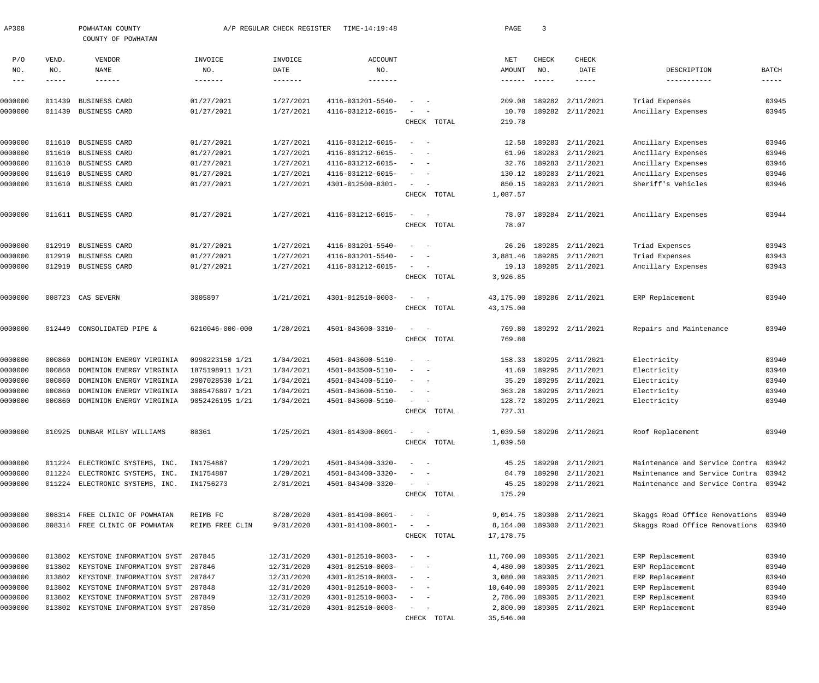| AP308      |              | POWHATAN COUNTY<br>COUNTY OF POWHATAN   |                 | A/P REGULAR CHECK REGISTER | TIME-14:19:48     |                                        |             | PAGE              | $\overline{3}$ |                            |                                |               |
|------------|--------------|-----------------------------------------|-----------------|----------------------------|-------------------|----------------------------------------|-------------|-------------------|----------------|----------------------------|--------------------------------|---------------|
| P/O<br>NO. | VEND.<br>NO. | VENDOR<br>NAME                          | INVOICE<br>NO.  | INVOICE<br>DATE            | ACCOUNT<br>NO.    |                                        |             | NET<br>AMOUNT     | CHECK<br>NO.   | <b>CHECK</b><br>DATE       | DESCRIPTION                    | BATCH         |
| $---$      | -----        | ------                                  | -------         | $- - - - - - -$            | -------           |                                        |             | ------            |                | -----                      |                                | $- - - - - -$ |
| 0000000    | 011439       | BUSINESS CARD                           | 01/27/2021      | 1/27/2021                  | 4116-031201-5540- |                                        |             | 209.08            | 189282         | 2/11/2021                  | Triad Expenses                 | 03945         |
| 0000000    | 011439       | BUSINESS CARD                           | 01/27/2021      | 1/27/2021                  | 4116-031212-6015- |                                        |             | 10.70             |                | 189282 2/11/2021           | Ancillary Expenses             | 03945         |
|            |              |                                         |                 |                            |                   |                                        | CHECK TOTAL | 219.78            |                |                            |                                |               |
| 0000000    | 011610       | BUSINESS CARD                           | 01/27/2021      | 1/27/2021                  | 4116-031212-6015- | $\sim$                                 |             | 12.58             | 189283         | 2/11/2021                  | Ancillary Expenses             | 03946         |
| 0000000    | 011610       | BUSINESS CARD                           | 01/27/2021      | 1/27/2021                  | 4116-031212-6015- |                                        |             | 61.96             | 189283         | 2/11/2021                  | Ancillary Expenses             | 03946         |
| 0000000    | 011610       | BUSINESS CARD                           | 01/27/2021      | 1/27/2021                  | 4116-031212-6015- |                                        |             | 32.76             | 189283         | 2/11/2021                  | Ancillary Expenses             | 03946         |
| 0000000    | 011610       | BUSINESS CARD                           | 01/27/2021      | 1/27/2021                  | 4116-031212-6015- |                                        |             | 130.12            | 189283         | 2/11/2021                  | Ancillary Expenses             | 03946         |
| 0000000    | 011610       | BUSINESS CARD                           | 01/27/2021      | 1/27/2021                  | 4301-012500-8301- | $\overline{\phantom{a}}$               |             | 850.15            | 189283         | 2/11/2021                  | Sheriff's Vehicles             | 03946         |
|            |              |                                         |                 |                            |                   |                                        | CHECK TOTAL | 1,087.57          |                |                            |                                |               |
| 0000000    | 011611       | BUSINESS CARD                           | 01/27/2021      | 1/27/2021                  | 4116-031212-6015- | $\overline{\phantom{a}}$               |             | 78.07             |                | 189284 2/11/2021           | Ancillary Expenses             | 03944         |
|            |              |                                         |                 |                            |                   |                                        | CHECK TOTAL | 78.07             |                |                            |                                |               |
| 0000000    | 012919       | BUSINESS CARD                           | 01/27/2021      | 1/27/2021                  | 4116-031201-5540- |                                        |             | 26.26             | 189285         | 2/11/2021                  | Triad Expenses                 | 03943         |
| 0000000    | 012919       | BUSINESS CARD                           | 01/27/2021      | 1/27/2021                  | 4116-031201-5540- |                                        |             | 3,881.46          | 189285         | 2/11/2021                  | Triad Expenses                 | 03943         |
| 0000000    |              | 012919 BUSINESS CARD                    | 01/27/2021      | 1/27/2021                  | 4116-031212-6015- | $\overline{\phantom{a}}$               | CHECK TOTAL | 19.13<br>3,926.85 | 189285         | 2/11/2021                  | Ancillary Expenses             | 03943         |
|            |              |                                         |                 |                            |                   |                                        |             |                   |                |                            |                                |               |
| 0000000    |              | 008723 CAS SEVERN                       | 3005897         | 1/21/2021                  | 4301-012510-0003- | $\overline{\phantom{a}}$               |             | 43,175.00         |                | 189286 2/11/2021           | ERP Replacement                | 03940         |
|            |              |                                         |                 |                            |                   |                                        | CHECK TOTAL | 43,175.00         |                |                            |                                |               |
| 0000000    | 012449       | CONSOLIDATED PIPE &                     | 6210046-000-000 | 1/20/2021                  | 4501-043600-3310- | $\overline{\phantom{a}}$               |             | 769.80            |                | 189292 2/11/2021           | Repairs and Maintenance        | 03940         |
|            |              |                                         |                 |                            |                   |                                        | CHECK TOTAL | 769.80            |                |                            |                                |               |
| 0000000    | 000860       | DOMINION ENERGY VIRGINIA                | 0998223150 1/21 | 1/04/2021                  | 4501-043600-5110- |                                        |             | 158.33            | 189295         | 2/11/2021                  | Electricity                    | 03940         |
| 0000000    | 000860       | DOMINION ENERGY VIRGINIA                | 1875198911 1/21 | 1/04/2021                  | 4501-043500-5110- |                                        |             | 41.69             | 189295         | 2/11/2021                  | Electricity                    | 03940         |
| 0000000    | 000860       | DOMINION ENERGY VIRGINIA                | 2907028530 1/21 | 1/04/2021                  | 4501-043400-5110- |                                        |             | 35.29             | 189295         | 2/11/2021                  | Electricity                    | 03940         |
| 0000000    | 000860       | DOMINION ENERGY VIRGINIA                | 3085476897 1/21 | 1/04/2021                  | 4501-043600-5110- |                                        |             | 363.28            | 189295         | 2/11/2021                  | Electricity                    | 03940         |
| 0000000    | 000860       | DOMINION ENERGY VIRGINIA                | 9052426195 1/21 | 1/04/2021                  | 4501-043600-5110- | CHECK                                  | TOTAL       | 727.31            |                | 128.72 189295 2/11/2021    | Electricity                    | 03940         |
|            |              |                                         |                 |                            |                   |                                        |             |                   |                |                            |                                |               |
| 0000000    | 010925       | DUNBAR MILBY WILLIAMS                   | 80361           | 1/25/2021                  | 4301-014300-0001- | $\sim$                                 |             |                   |                | 1,039.50 189296 2/11/2021  | Roof Replacement               | 03940         |
|            |              |                                         |                 |                            |                   |                                        | CHECK TOTAL | 1,039.50          |                |                            |                                |               |
| 0000000    | 011224       | ELECTRONIC SYSTEMS, INC.                | IN1754887       | 1/29/2021                  | 4501-043400-3320- |                                        |             | 45.25             |                | 189298 2/11/2021           | Maintenance and Service Contra | 03942         |
| 0000000    | 011224       | ELECTRONIC SYSTEMS, INC.                | IN1754887       | 1/29/2021                  | 4501-043400-3320- |                                        |             | 84.79             | 189298         | 2/11/2021                  | Maintenance and Service Contra | 03942         |
| 0000000    |              | 011224 ELECTRONIC SYSTEMS, INC.         | IN1756273       | 2/01/2021                  | 4501-043400-3320- | $\sim$                                 |             | 45.25             |                | 189298 2/11/2021           | Maintenance and Service Contra | 03942         |
|            |              |                                         |                 |                            |                   |                                        | CHECK TOTAL | 175.29            |                |                            |                                |               |
| 0000000    |              | 008314 FREE CLINIC OF POWHATAN          | REIMB FC        | 8/20/2020                  | 4301-014100-0001- | $\overline{\phantom{a}}$<br>$\sim$ $-$ |             |                   |                | 9,014.75 189300 2/11/2021  | Skaggs Road Office Renovations | 03940         |
| 0000000    |              | 008314 FREE CLINIC OF POWHATAN          | REIMB FREE CLIN | 9/01/2020                  | 4301-014100-0001- |                                        |             | 8,164.00          |                | 189300 2/11/2021           | Skaggs Road Office Renovations | 03940         |
|            |              |                                         |                 |                            |                   |                                        | CHECK TOTAL | 17,178.75         |                |                            |                                |               |
| 0000000    |              | 013802 KEYSTONE INFORMATION SYST 207845 |                 | 12/31/2020                 | 4301-012510-0003- |                                        |             |                   |                | 11,760.00 189305 2/11/2021 | ERP Replacement                | 03940         |
| 0000000    | 013802       | KEYSTONE INFORMATION SYST               | 207846          | 12/31/2020                 | 4301-012510-0003- |                                        |             | 4,480.00          | 189305         | 2/11/2021                  | ERP Replacement                | 03940         |
| 0000000    | 013802       | KEYSTONE INFORMATION SYST               | 207847          | 12/31/2020                 | 4301-012510-0003- |                                        |             | 3,080.00          | 189305         | 2/11/2021                  | ERP Replacement                | 03940         |
| 0000000    | 013802       | KEYSTONE INFORMATION SYST 207848        |                 | 12/31/2020                 | 4301-012510-0003- |                                        |             | 10,640.00         | 189305         | 2/11/2021                  | ERP Replacement                | 03940         |
| 0000000    | 013802       | KEYSTONE INFORMATION SYST               | 207849          | 12/31/2020                 | 4301-012510-0003- | $\sim$                                 |             | 2,786.00          | 189305         | 2/11/2021                  | ERP Replacement                | 03940         |
| 0000000    | 013802       | KEYSTONE INFORMATION SYST 207850        |                 | 12/31/2020                 | 4301-012510-0003- | $\sim$                                 |             | 2,800.00          |                | 189305 2/11/2021           | ERP Replacement                | 03940         |
|            |              |                                         |                 |                            |                   |                                        | CHECK TOTAL | 35,546.00         |                |                            |                                |               |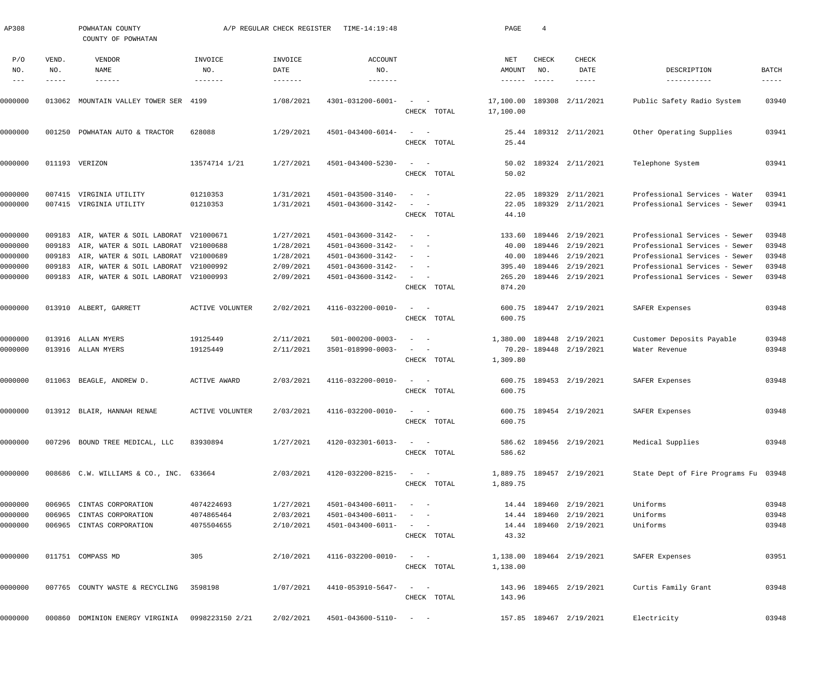| AP308      |              | POWHATAN COUNTY<br>COUNTY OF POWHATAN           |                        | A/P REGULAR CHECK REGISTER | TIME-14:19:48                |                                                         |             | PAGE                   | $\overline{4}$            |                           |                                      |               |
|------------|--------------|-------------------------------------------------|------------------------|----------------------------|------------------------------|---------------------------------------------------------|-------------|------------------------|---------------------------|---------------------------|--------------------------------------|---------------|
| P/O<br>NO. | VEND.<br>NO. | VENDOR<br>NAME                                  | INVOICE<br>NO.         | INVOICE<br>DATE            | ACCOUNT<br>NO.               |                                                         |             | NET<br>AMOUNT          | <b>CHECK</b><br>NO.       | CHECK<br>DATE             | DESCRIPTION                          | BATCH         |
| $--\,-$    | -----        | $- - - - - - -$                                 | -------                | $- - - - - - - -$          | $- - - - - - -$              |                                                         |             | $- - - - - - -$        | $\qquad \qquad - - - - -$ | $- - - - - -$             | -----------                          | $- - - - - -$ |
| 0000000    | 013062       | MOUNTAIN VALLEY TOWER SER 4199                  |                        | 1/08/2021                  | 4301-031200-6001-            | $\sim$<br>CHECK TOTAL                                   |             | 17,100.00<br>17,100.00 |                           | 189308 2/11/2021          | Public Safety Radio System           | 03940         |
| 0000000    | 001250       | POWHATAN AUTO & TRACTOR                         | 628088                 | 1/29/2021                  | 4501-043400-6014-            | $\sim$<br>$\sim$ $-$<br>CHECK TOTAL                     |             | 25.44                  |                           | 25.44 189312 2/11/2021    | Other Operating Supplies             | 03941         |
| 0000000    |              | 011193 VERIZON                                  | 13574714 1/21          | 1/27/2021                  | 4501-043400-5230-            | CHECK TOTAL                                             |             | 50.02<br>50.02         |                           | 189324 2/11/2021          | Telephone System                     | 03941         |
| 0000000    | 007415       | VIRGINIA UTILITY                                | 01210353               | 1/31/2021                  | 4501-043500-3140-            |                                                         |             | 22.05                  | 189329                    | 2/11/2021                 | Professional Services - Water        | 03941         |
| 0000000    |              | 007415 VIRGINIA UTILITY                         | 01210353               | 1/31/2021                  | 4501-043600-3142-            | CHECK TOTAL                                             |             | 22.05<br>44.10         |                           | 189329 2/11/2021          | Professional Services - Sewer        | 03941         |
| 0000000    | 009183       | AIR, WATER & SOIL LABORAT V21000671             |                        | 1/27/2021                  | 4501-043600-3142-            | $\sim$                                                  |             |                        |                           | 133.60 189446 2/19/2021   | Professional Services - Sewer        | 03948         |
| 0000000    | 009183       | AIR, WATER & SOIL LABORAT V21000688             |                        | 1/28/2021                  | 4501-043600-3142-            |                                                         |             | 40.00                  |                           | 189446 2/19/2021          | Professional Services - Sewer        | 03948         |
| 0000000    | 009183       | AIR, WATER & SOIL LABORAT V21000689             |                        | 1/28/2021                  | 4501-043600-3142-            |                                                         |             | 40.00                  |                           | 189446 2/19/2021          | Professional Services - Sewer        | 03948         |
| 0000000    | 009183       | AIR, WATER & SOIL LABORAT V21000992             |                        | 2/09/2021                  | 4501-043600-3142-            |                                                         |             | 395.40                 |                           | 189446 2/19/2021          | Professional Services - Sewer        | 03948         |
| 0000000    |              | 009183 AIR, WATER & SOIL LABORAT V21000993      |                        | 2/09/2021                  | 4501-043600-3142-            |                                                         |             | 265.20                 |                           | 189446 2/19/2021          | Professional Services - Sewer        | 03948         |
|            |              |                                                 |                        |                            |                              | CHECK TOTAL                                             |             | 874.20                 |                           |                           |                                      |               |
| 0000000    |              | 013910 ALBERT, GARRETT                          | <b>ACTIVE VOLUNTER</b> | 2/02/2021                  | 4116-032200-0010-            |                                                         |             |                        |                           | 600.75 189447 2/19/2021   | SAFER Expenses                       | 03948         |
|            |              |                                                 |                        |                            |                              | CHECK TOTAL                                             |             | 600.75                 |                           |                           |                                      |               |
| 0000000    |              | 013916 ALLAN MYERS                              | 19125449               | 2/11/2021                  | 501-000200-0003-             | $\sim$ $-$                                              |             |                        |                           | 1,380.00 189448 2/19/2021 | Customer Deposits Payable            | 03948         |
| 0000000    |              | 013916 ALLAN MYERS                              | 19125449               | 2/11/2021                  | 3501-018990-0003-            |                                                         |             |                        |                           | 70.20-189448 2/19/2021    | Water Revenue                        | 03948         |
|            |              |                                                 |                        |                            |                              | CHECK TOTAL                                             |             | 1,309.80               |                           |                           |                                      |               |
| 0000000    |              | 011063 BEAGLE, ANDREW D.                        | <b>ACTIVE AWARD</b>    | 2/03/2021                  | 4116-032200-0010-            |                                                         |             |                        |                           | 600.75 189453 2/19/2021   | SAFER Expenses                       | 03948         |
|            |              |                                                 |                        |                            |                              | CHECK TOTAL                                             |             | 600.75                 |                           |                           |                                      |               |
| 0000000    |              | 013912 BLAIR, HANNAH RENAE                      | ACTIVE VOLUNTER        | 2/03/2021                  | 4116-032200-0010-            |                                                         |             |                        |                           | 600.75 189454 2/19/2021   | SAFER Expenses                       | 03948         |
|            |              |                                                 |                        |                            |                              |                                                         | CHECK TOTAL | 600.75                 |                           |                           |                                      |               |
| 0000000    |              | 007296 BOUND TREE MEDICAL, LLC                  | 83930894               | 1/27/2021                  | 4120-032301-6013-            | $\alpha = 1, \ldots, n-1$                               |             |                        |                           | 586.62 189456 2/19/2021   | Medical Supplies                     | 03948         |
|            |              |                                                 |                        |                            |                              |                                                         | CHECK TOTAL | 586.62                 |                           |                           |                                      |               |
| 0000000    |              | 008686 C.W. WILLIAMS & CO., INC. 633664         |                        | 2/03/2021                  | 4120-032200-8215-            | $\alpha = 1, \ldots, n-1$                               |             |                        |                           | 1,889.75 189457 2/19/2021 | State Dept of Fire Programs Fu 03948 |               |
|            |              |                                                 |                        |                            |                              |                                                         | CHECK TOTAL | 1,889.75               |                           |                           |                                      |               |
| 0000000    |              | 006965 CINTAS CORPORATION                       | 4074224693             | 1/27/2021                  | $4501 - 043400 - 6011 - - -$ |                                                         |             |                        |                           | 14.44 189460 2/19/2021    | Uniforms                             | 03948         |
| 0000000    | 006965       | CINTAS CORPORATION                              | 4074865464             | 2/03/2021                  | 4501-043400-6011-            | $\alpha_{\rm{max}}=1.000$ and $\alpha_{\rm{max}}=0.000$ |             |                        |                           | 14.44 189460 2/19/2021    | Uniforms                             | 03948         |
| 0000000    |              | 006965 CINTAS CORPORATION                       | 4075504655             | 2/10/2021                  | $4501 - 043400 - 6011 - - -$ |                                                         |             |                        |                           | 14.44 189460 2/19/2021    | Uniforms                             | 03948         |
|            |              |                                                 |                        |                            |                              |                                                         | CHECK TOTAL | 43.32                  |                           |                           |                                      |               |
| 0000000    |              | 011751 COMPASS MD                               | 305                    | 2/10/2021                  | 4116-032200-0010-            | $\alpha = 1, \ldots, n-1$                               |             |                        |                           | 1,138.00 189464 2/19/2021 | SAFER Expenses                       | 03951         |
|            |              |                                                 |                        |                            |                              |                                                         | CHECK TOTAL | 1,138.00               |                           |                           |                                      |               |
| 0000000    |              | 007765 COUNTY WASTE & RECYCLING                 | 3598198                | 1/07/2021                  | 4410-053910-5647-            | $\alpha = 1, \ldots, n-1$                               |             |                        |                           | 143.96 189465 2/19/2021   | Curtis Family Grant                  | 03948         |
|            |              |                                                 |                        |                            |                              |                                                         | CHECK TOTAL | 143.96                 |                           |                           |                                      |               |
|            |              |                                                 |                        |                            | 4501-043600-5110- - -        |                                                         |             |                        |                           |                           | Electricity                          | 03948         |
| 0000000    |              | 000860 DOMINION ENERGY VIRGINIA 0998223150 2/21 |                        | 2/02/2021                  |                              |                                                         |             |                        |                           | 157.85 189467 2/19/2021   |                                      |               |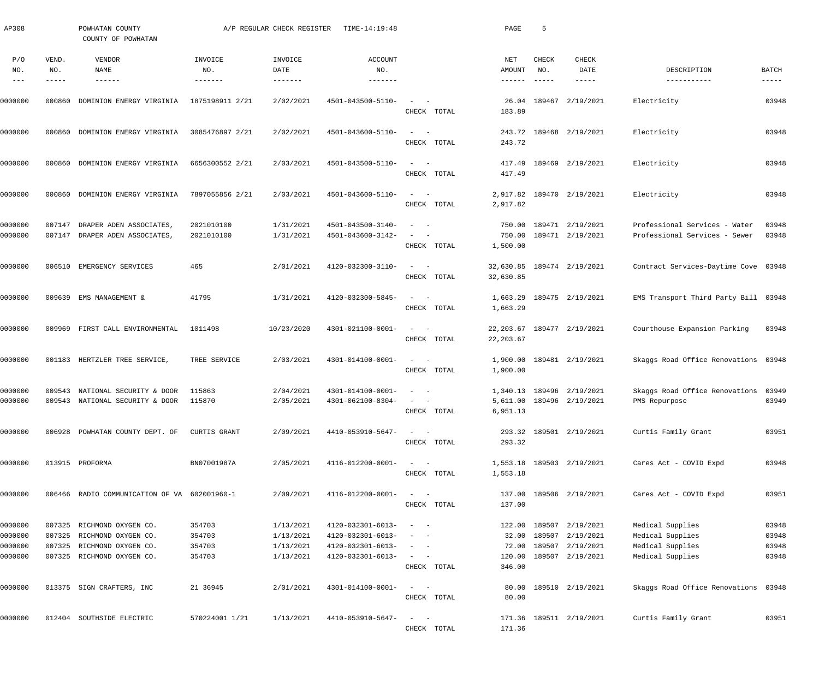| AP308                             |                       | POWHATAN COUNTY<br>COUNTY OF POWHATAN        |                 | A/P REGULAR CHECK REGISTER         | TIME-14:19:48                            |                                                                                                                             | PAGE                             | -5                            |                            |                                      |                      |
|-----------------------------------|-----------------------|----------------------------------------------|-----------------|------------------------------------|------------------------------------------|-----------------------------------------------------------------------------------------------------------------------------|----------------------------------|-------------------------------|----------------------------|--------------------------------------|----------------------|
| P/O<br>NO.<br>$\qquad \qquad - -$ | VEND.<br>NO.<br>----- | VENDOR<br>NAME<br>$- - - - - - -$            | INVOICE<br>NO.  | INVOICE<br>DATE<br>$- - - - - - -$ | <b>ACCOUNT</b><br>NO.<br>$- - - - - - -$ |                                                                                                                             | NET<br>AMOUNT<br>$- - - - - - -$ | CHECK<br>NO.<br>$- - - - - -$ | CHECK<br>DATE<br>-----     | DESCRIPTION<br>-----------           | BATCH<br>$- - - - -$ |
| 0000000                           | 000860                | DOMINION ENERGY VIRGINIA                     | 1875198911 2/21 | 2/02/2021                          | 4501-043500-5110-                        | CHECK TOTAL                                                                                                                 | 26.04<br>183.89                  |                               | 189467 2/19/2021           | Electricity                          | 03948                |
| 0000000                           | 000860                | DOMINION ENERGY VIRGINIA                     | 3085476897 2/21 | 2/02/2021                          | 4501-043600-5110-                        | $\sim$<br>$\sim$ $-$                                                                                                        | 243.72                           |                               | 189468 2/19/2021           | Electricity                          | 03948                |
|                                   |                       |                                              |                 |                                    |                                          | CHECK TOTAL<br>$\sim$                                                                                                       | 243.72                           |                               |                            |                                      | 03948                |
| 0000000                           | 000860                | DOMINION ENERGY VIRGINIA                     | 6656300552 2/21 | 2/03/2021                          | 4501-043500-5110-                        | $\sim$ $-$<br>CHECK TOTAL                                                                                                   | 417.49<br>417.49                 |                               | 189469 2/19/2021           | Electricity                          |                      |
| 0000000                           | 000860                | DOMINION ENERGY VIRGINIA                     | 7897055856 2/21 | 2/03/2021                          | 4501-043600-5110-                        | $\sim$ .<br>$\sim$<br>CHECK TOTAL                                                                                           | 2,917.82                         |                               | 2,917.82 189470 2/19/2021  | Electricity                          | 03948                |
| 0000000                           | 007147                | DRAPER ADEN ASSOCIATES                       | 2021010100      | 1/31/2021                          | 4501-043500-3140-                        | $\overline{\phantom{a}}$                                                                                                    | 750.00                           |                               | 189471 2/19/2021           | Professional Services<br>- Water     | 03948                |
| 0000000                           | 007147                | DRAPER ADEN ASSOCIATES,                      | 2021010100      | 1/31/2021                          | 4501-043600-3142-                        | CHECK TOTAL                                                                                                                 | 1,500.00                         |                               | 750.00 189471 2/19/2021    | Professional Services - Sewer        | 03948                |
| 0000000                           | 006510                | EMERGENCY SERVICES                           | 465             | 2/01/2021                          | 4120-032300-3110-                        | $\sim$<br>$\sim$ $-$<br>CHECK TOTAL                                                                                         | 32,630.85                        |                               | 32,630.85 189474 2/19/2021 | Contract Services-Daytime Cove 03948 |                      |
| 0000000                           |                       | 009639 EMS MANAGEMENT &                      | 41795           | 1/31/2021                          | 4120-032300-5845-                        | $\sim$<br>$\sim$<br>CHECK TOTAL                                                                                             | 1,663.29<br>1,663.29             |                               | 189475 2/19/2021           | EMS Transport Third Party Bill 03948 |                      |
| 0000000                           | 009969                | FIRST CALL ENVIRONMENTAL                     | 1011498         | 10/23/2020                         | 4301-021100-0001-                        | $\sim$<br>$\sim$ $-$<br>CHECK TOTAL                                                                                         | 22,203.67<br>22, 203.67          |                               | 189477 2/19/2021           | Courthouse Expansion Parking         | 03948                |
| 0000000                           | 001183                | HERTZLER TREE SERVICE,                       | TREE SERVICE    | 2/03/2021                          | 4301-014100-0001-                        | $\sim$<br>$\sim$ $-$<br>CHECK TOTAL                                                                                         | 1,900.00<br>1,900.00             |                               | 189481 2/19/2021           | Skaggs Road Office Renovations 03948 |                      |
| 0000000                           | 009543                | NATIONAL SECURITY & DOOR                     | 115863          | 2/04/2021                          | 4301-014100-0001-                        | $\sim$                                                                                                                      |                                  |                               | 1,340.13 189496 2/19/2021  | Skaggs Road Office Renovations       | 03949                |
| 0000000                           | 009543                | NATIONAL SECURITY & DOOR                     | 115870          | 2/05/2021                          | 4301-062100-8304-                        | CHECK TOTAL                                                                                                                 | 6,951.13                         |                               | 5,611.00 189496 2/19/2021  | PMS Repurpose                        | 03949                |
| 0000000                           |                       | 006928 POWHATAN COUNTY DEPT. OF              | CURTIS GRANT    | 2/09/2021                          | 4410-053910-5647-                        | CHECK TOTAL                                                                                                                 | 293.32                           |                               | 293.32 189501 2/19/2021    | Curtis Family Grant                  | 03951                |
| 0000000                           |                       | 013915 PROFORMA                              | BN07001987A     | 2/05/2021                          | 4116-012200-0001-                        | $\frac{1}{2} \left( \frac{1}{2} \right) \left( \frac{1}{2} \right) = \frac{1}{2} \left( \frac{1}{2} \right)$<br>CHECK TOTAL | 1,553.18                         |                               | 1,553.18 189503 2/19/2021  | Cares Act - COVID Expd               | 03948                |
| 0000000                           |                       | 006466 RADIO COMMUNICATION OF VA 602001960-1 |                 | 2/09/2021                          | 4116-012200-0001-                        | $\frac{1}{2} \left( \frac{1}{2} \right) \left( \frac{1}{2} \right) = \frac{1}{2} \left( \frac{1}{2} \right)$<br>CHECK TOTAL | 137.00                           |                               | 137.00 189506 2/19/2021    | Cares Act - COVID Expd               | 03951                |
| 0000000                           |                       | 007325 RICHMOND OXYGEN CO.                   | 354703          | 1/13/2021                          | 4120-032301-6013-                        |                                                                                                                             |                                  |                               | 122.00 189507 2/19/2021    | Medical Supplies                     | 03948                |
| 0000000                           | 007325                | RICHMOND OXYGEN CO.                          | 354703          | 1/13/2021                          | 4120-032301-6013-                        | $\qquad \qquad -$                                                                                                           | 32.00                            |                               | 189507 2/19/2021           | Medical Supplies                     | 03948                |
| 0000000                           | 007325                | RICHMOND OXYGEN CO.                          | 354703          | 1/13/2021                          | 4120-032301-6013-                        |                                                                                                                             | 72.00                            |                               | 189507 2/19/2021           | Medical Supplies                     | 03948                |
| 0000000                           |                       | 007325 RICHMOND OXYGEN CO.                   | 354703          | 1/13/2021                          | 4120-032301-6013-                        | CHECK TOTAL                                                                                                                 | 120.00<br>346.00                 |                               | 189507 2/19/2021           | Medical Supplies                     | 03948                |
| 0000000                           |                       | 013375 SIGN CRAFTERS, INC                    | 21 36945        | 2/01/2021                          | 4301-014100-0001-                        | $\frac{1}{2} \left( \frac{1}{2} \right) \left( \frac{1}{2} \right) = \frac{1}{2} \left( \frac{1}{2} \right)$<br>CHECK TOTAL | 80.00                            |                               | 80.00 189510 2/19/2021     | Skaggs Road Office Renovations 03948 |                      |
| 0000000                           |                       | 012404 SOUTHSIDE ELECTRIC                    | 570224001 1/21  | 1/13/2021                          | 4410-053910-5647-                        | $\frac{1}{2} \left( \frac{1}{2} \right) \left( \frac{1}{2} \right) = \frac{1}{2} \left( \frac{1}{2} \right)$                |                                  |                               | 171.36 189511 2/19/2021    | Curtis Family Grant                  | 03951                |
|                                   |                       |                                              |                 |                                    |                                          | CHECK TOTAL                                                                                                                 | 171.36                           |                               |                            |                                      |                      |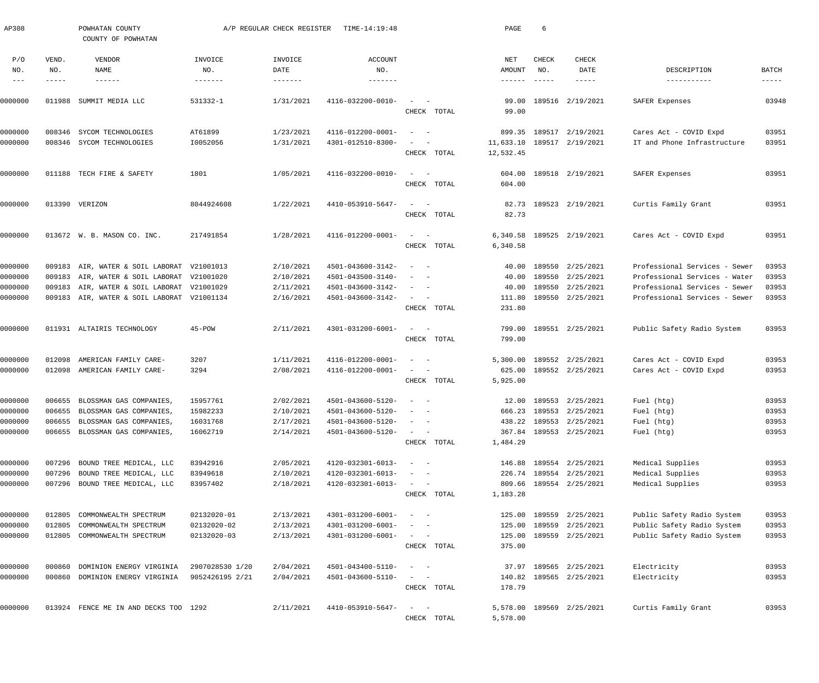| AP308              |                  | POWHATAN COUNTY<br>COUNTY OF POWHATAN          |                            | A/P REGULAR CHECK REGISTER | TIME-14:19:48                          |                                                      | PAGE                   | 6                         |                                      |                                                          |                |
|--------------------|------------------|------------------------------------------------|----------------------------|----------------------------|----------------------------------------|------------------------------------------------------|------------------------|---------------------------|--------------------------------------|----------------------------------------------------------|----------------|
| P/O<br>NO.         | VEND.<br>NO.     | VENDOR<br>NAME                                 | INVOICE<br>NO.             | INVOICE<br>DATE            | <b>ACCOUNT</b><br>NO.                  |                                                      | NET<br>AMOUNT          | CHECK<br>NO.              | CHECK<br>DATE                        | DESCRIPTION                                              | <b>BATCH</b>   |
| $--\,$ $-$         | -----            | $\cdots\cdots\cdots\cdots$                     | -------                    |                            | -------                                |                                                      | ------                 | $\qquad \qquad - - - - -$ | $- - - - - -$                        | -----------                                              | $- - - - -$    |
| 0000000            | 011988           | SUMMIT MEDIA LLC                               | 531332-1                   | 1/31/2021                  | 4116-032200-0010-                      | $\overline{\phantom{a}}$<br>CHECK TOTAL              | 99.00<br>99.00         |                           | 189516 2/19/2021                     | SAFER Expenses                                           | 03948          |
|                    |                  |                                                |                            |                            |                                        |                                                      |                        |                           |                                      |                                                          |                |
| 0000000            | 008346           | SYCOM TECHNOLOGIES                             | AT61899                    | 1/23/2021                  | 4116-012200-0001-                      | $\overline{\phantom{a}}$<br>$\overline{\phantom{a}}$ | 899.35                 |                           | 189517 2/19/2021                     | Cares Act - COVID Expd                                   | 03951          |
| 0000000            | 008346           | SYCOM TECHNOLOGIES                             | I0052056                   | 1/31/2021                  | 4301-012510-8300-                      | $\overline{\phantom{a}}$<br>CHECK TOTAL              | 11,633.10<br>12,532.45 |                           | 189517 2/19/2021                     | IT and Phone Infrastructure                              | 03951          |
| 0000000            | 011188           | TECH FIRE & SAFETY                             | 1801                       | 1/05/2021                  | 4116-032200-0010-                      | $\sim$<br>$\overline{\phantom{0}}$                   | 604.00                 |                           | 189518 2/19/2021                     | SAFER Expenses                                           | 03951          |
|                    |                  |                                                |                            |                            |                                        | CHECK TOTAL                                          | 604.00                 |                           |                                      |                                                          |                |
| 0000000            |                  | 013390 VERIZON                                 | 8044924608                 | 1/22/2021                  | 4410-053910-5647-                      | $\sim$<br>$\sim$ $-$                                 | 82.73                  |                           | 189523 2/19/2021                     | Curtis Family Grant                                      | 03951          |
|                    |                  |                                                |                            |                            |                                        | CHECK TOTAL                                          | 82.73                  |                           |                                      |                                                          |                |
| 0000000            |                  | 013672 W. B. MASON CO. INC.                    | 217491854                  | 1/28/2021                  | 4116-012200-0001-                      | $\sim$<br>$\sim$ $-$                                 | 6,340.58               |                           | 189525 2/19/2021                     | Cares Act - COVID Expd                                   | 03951          |
|                    |                  |                                                |                            |                            |                                        | CHECK TOTAL                                          | 6,340.58               |                           |                                      |                                                          |                |
| 0000000            | 009183           | AIR, WATER & SOIL LABORAT                      | V21001013                  | 2/10/2021                  | 4501-043600-3142-                      | $\overline{\phantom{0}}$                             | 40.00                  | 189550                    | 2/25/2021                            | Professional Services - Sewer                            | 03953          |
| 0000000            | 009183           | AIR, WATER & SOIL LABORAT V21001020            |                            | 2/10/2021                  | 4501-043500-3140-                      | $\sim$                                               | 40.00                  | 189550                    | 2/25/2021                            | Professional Services - Water                            | 03953          |
| 0000000            | 009183           | AIR, WATER & SOIL LABORAT V21001029            |                            | 2/11/2021                  | 4501-043600-3142-                      | $\sim$<br>$\sim$                                     | 40.00                  | 189550                    | 2/25/2021                            | Professional Services - Sewer                            | 03953          |
| 0000000            | 009183           | AIR, WATER & SOIL LABORAT V21001134            |                            | 2/16/2021                  | 4501-043600-3142-                      | $\sim$ $  -$<br>CHECK TOTAL                          | 111.80<br>231.80       |                           | 189550 2/25/2021                     | Professional Services - Sewer                            | 03953          |
| 0000000            |                  | 011931 ALTAIRIS TECHNOLOGY                     | $45 - POW$                 | 2/11/2021                  | 4301-031200-6001-                      | $\sim$<br>$\sim$ $-$                                 | 799.00                 |                           | 189551 2/25/2021                     | Public Safety Radio System                               | 03953          |
|                    |                  |                                                |                            |                            |                                        | CHECK TOTAL                                          | 799.00                 |                           |                                      |                                                          |                |
| 0000000            | 012098           | AMERICAN FAMILY CARE-                          | 3207                       | 1/11/2021                  | 4116-012200-0001-                      | $\overline{\phantom{a}}$<br>$\sim$                   | 5,300.00               |                           | 189552 2/25/2021                     | Cares Act - COVID Expd                                   | 03953          |
| 0000000            | 012098           | AMERICAN FAMILY CARE-                          | 3294                       | 2/08/2021                  | 4116-012200-0001-                      | $\sim$<br>$\sim$                                     | 625.00                 |                           | 189552 2/25/2021                     | Cares Act - COVID Expd                                   | 03953          |
|                    |                  |                                                |                            |                            |                                        | CHECK TOTAL                                          | 5,925.00               |                           |                                      |                                                          |                |
| 0000000            |                  | 006655 BLOSSMAN GAS COMPANIES,                 | 15957761                   | 2/02/2021                  | 4501-043600-5120-                      | $\sim$ $ -$                                          |                        |                           | 12.00 189553 2/25/2021               | Fuel (htg)                                               | 03953          |
| 0000000            |                  | 006655 BLOSSMAN GAS COMPANIES,                 | 15982233                   | 2/10/2021                  | 4501-043600-5120-                      |                                                      |                        |                           | 666.23 189553 2/25/2021              | Fuel (htg)                                               | 03953          |
| 0000000            | 006655           | BLOSSMAN GAS COMPANIES,                        | 16031768                   | 2/17/2021                  | 4501-043600-5120-                      |                                                      |                        |                           | 438.22 189553 2/25/2021              | Fuel (htg)                                               | 03953          |
| 0000000            | 006655           | BLOSSMAN GAS COMPANIES,                        | 16062719                   | 2/14/2021                  | 4501-043600-5120-                      |                                                      |                        |                           | 367.84 189553 2/25/2021              | Fuel (htg)                                               | 03953          |
|                    |                  |                                                |                            |                            |                                        | CHECK TOTAL                                          | 1,484.29               |                           |                                      |                                                          |                |
| 0000000            | 007296           | BOUND TREE MEDICAL, LLC                        | 83942916                   | 2/05/2021                  | 4120-032301-6013-                      | $\overline{\phantom{0}}$                             | 146.88                 |                           | 189554 2/25/2021                     | Medical Supplies                                         | 03953          |
| 0000000            | 007296           | BOUND TREE MEDICAL, LLC                        | 83949618                   | 2/10/2021                  | 4120-032301-6013-                      |                                                      |                        |                           | 226.74 189554 2/25/2021              | Medical Supplies                                         | 03953          |
| 0000000            |                  | 007296 BOUND TREE MEDICAL, LLC                 | 83957402                   | 2/18/2021                  | 4120-032301-6013-                      | $\sim$ $ -$<br>CHECK TOTAL                           | 809.66<br>1,183.28     |                           | 189554 2/25/2021                     | Medical Supplies                                         | 03953          |
|                    |                  |                                                |                            |                            |                                        |                                                      |                        |                           |                                      |                                                          |                |
| 0000000<br>0000000 | 012805<br>012805 | COMMONWEALTH SPECTRUM<br>COMMONWEALTH SPECTRUM | 02132020-01<br>02132020-02 | 2/13/2021<br>2/13/2021     | 4301-031200-6001-<br>4301-031200-6001- | $\sim$<br>$\sim$ $-$                                 | 125.00<br>125.00       |                           | 189559 2/25/2021<br>189559 2/25/2021 | Public Safety Radio System<br>Public Safety Radio System | 03953<br>03953 |
| 0000000            | 012805           | COMMONWEALTH SPECTRUM                          | 02132020-03                | 2/13/2021                  | 4301-031200-6001-                      | $\sim$<br>$\sim$ $-$                                 | 125.00                 |                           | 189559 2/25/2021                     | Public Safety Radio System                               | 03953          |
|                    |                  |                                                |                            |                            |                                        | CHECK TOTAL                                          | 375.00                 |                           |                                      |                                                          |                |
| 0000000            | 000860           | DOMINION ENERGY VIRGINIA                       | 2907028530 1/20            | 2/04/2021                  | 4501-043400-5110-                      |                                                      | 37.97                  |                           | 189565 2/25/2021                     | Electricity                                              | 03953          |
| 0000000            | 000860           | DOMINION ENERGY VIRGINIA                       | 9052426195 2/21            | 2/04/2021                  | 4501-043600-5110-                      | $\sim$                                               | 140.82                 |                           | 189565 2/25/2021                     | Electricity                                              | 03953          |
|                    |                  |                                                |                            |                            |                                        | CHECK TOTAL                                          | 178.79                 |                           |                                      |                                                          |                |
| 0000000            |                  | 013924 FENCE ME IN AND DECKS TOO 1292          |                            | 2/11/2021                  | 4410-053910-5647-                      | $\hspace{0.1mm}$                                     | 5,578.00               |                           | 189569 2/25/2021                     | Curtis Family Grant                                      | 03953          |
|                    |                  |                                                |                            |                            |                                        | CHECK TOTAL                                          | 5,578.00               |                           |                                      |                                                          |                |